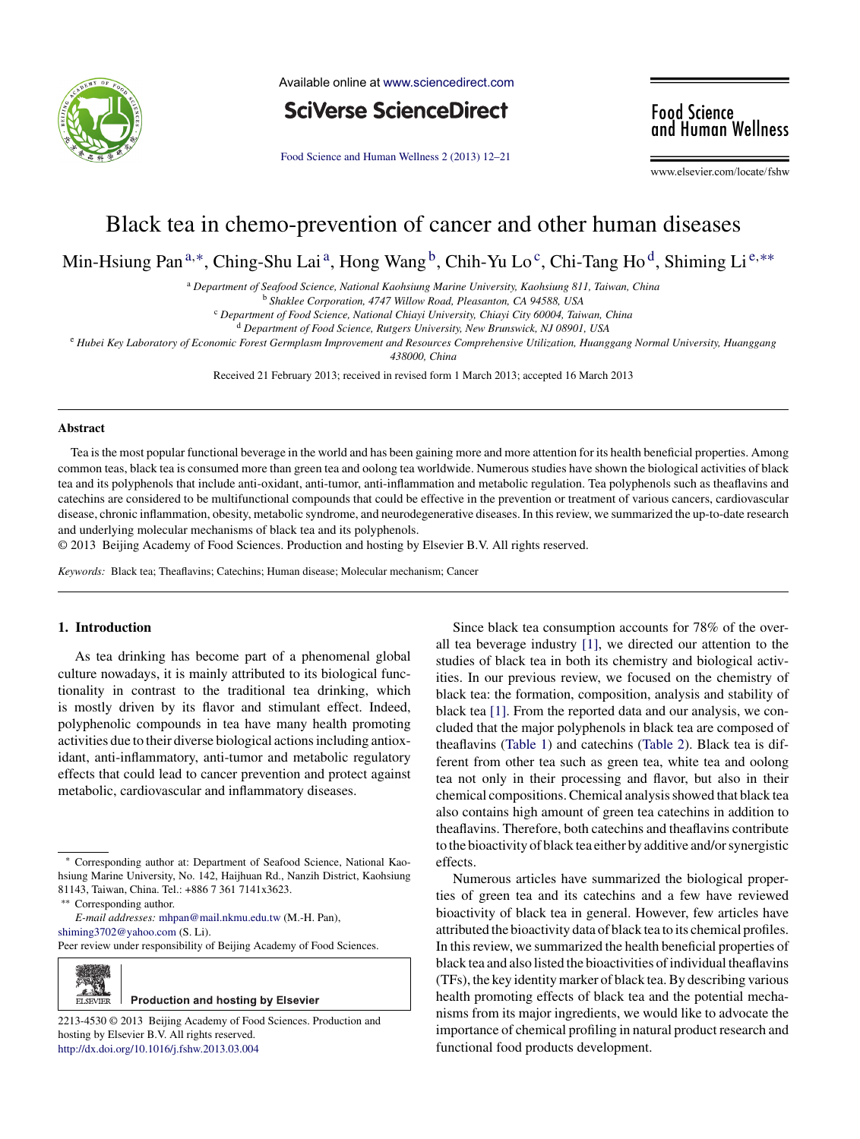

Available online at [www.sciencedirect.com](http://www.sciencedirect.com/science/journal/aip/22134530)

**SciVerse ScienceDirect** 

Food Science and Human [Wellness](dx.doi.org/10.1016/j.fshw.2013.03.004) 2 (2013) 12–21

**Food Science<br>and Human Wellness** 

www.elsevier.com/locate/fshw

# Black tea in chemo-prevention of cancer and other human diseases

Min-Hsiung Pan<sup>a,\*</sup>, Ching-Shu Lai<sup>a</sup>, Hong Wang <sup>b</sup>, Chih-Yu Lo<sup>c</sup>, Chi-Tang Ho<sup>d</sup>, Shiming Li<sup>e,\*\*</sup>

<sup>a</sup> *Department of Seafood Science, National Kaohsiung Marine University, Kaohsiung 811, Taiwan, China*

<sup>b</sup> *Shaklee Corporation, 4747 Willow Road, Pleasanton, CA 94588, USA*

<sup>c</sup> *Department of Food Science, National Chiayi University, Chiayi City 60004, Taiwan, China*

<sup>d</sup> *Department of Food Science, Rutgers University, New Brunswick, NJ 08901, USA*

e Hubei Key Laboratory of Economic Forest Germplasm Improvement and Resources Comprehensive Utilization, Huanggang Normal University, Huanggang

*438000, China*

Received 21 February 2013; received in revised form 1 March 2013; accepted 16 March 2013

#### **Abstract**

Tea isthe most popular functional beverage in the world and has been gaining more and more attention for its health beneficial properties. Among common teas, black tea is consumed more than green tea and oolong tea worldwide. Numerous studies have shown the biological activities of black tea and its polyphenols that include anti-oxidant, anti-tumor, anti-inflammation and metabolic regulation. Tea polyphenols such as theaflavins and catechins are considered to be multifunctional compounds that could be effective in the prevention or treatment of various cancers, cardiovascular disease, chronic inflammation, obesity, metabolic syndrome, and neurodegenerative diseases. In thisreview, we summarized the up-to-date research and underlying molecular mechanisms of black tea and its polyphenols.

© 2013 Beijing Academy of Food Sciences. Production and hosting by Elsevier B.V. All rights reserved.

*Keywords:* Black tea; Theaflavins; Catechins; Human disease; Molecular mechanism; Cancer

# **1. Introduction**

As tea drinking has become part of a phenomenal global culture nowadays, it is mainly attributed to its biological functionality in contrast to the traditional tea drinking, which is mostly driven by its flavor and stimulant effect. Indeed, polyphenolic compounds in tea have many health promoting activities due to their diverse biological actionsincluding antioxidant, anti-inflammatory, anti-tumor and metabolic regulatory effects that could lead to cancer prevention and protect against metabolic, cardiovascular and inflammatory diseases.

Peer review under responsibility of Beijing Academy of Food Sciences.



2213-4530 © 2013 Beijing Academy of Food Sciences. Production and hosting by Elsevier B.V. All rights reserved. [http://dx.doi.org/10.1016/j.fshw.2013.03.004](dx.doi.org/10.1016/j.fshw.2013.03.004)

Since black tea consumption accounts for 78% of the overall tea beverage industry [\[1\],](#page-7-0) we directed our attention to the studies of black tea in both its chemistry and biological activities. In our previous review, we focused on the chemistry of black tea: the formation, composition, analysis and stability of black tea [\[1\].](#page-7-0) From the reported data and our analysis, we concluded that the major polyphenols in black tea are composed of theaflavins [\(Table](#page-1-0) 1) and catechins ([Table](#page-1-0) 2). Black tea is different from other tea such as green tea, white tea and oolong tea not only in their processing and flavor, but also in their chemical compositions.Chemical analysisshowed that black tea also contains high amount of green tea catechins in addition to theaflavins. Therefore, both catechins and theaflavins contribute to the bioactivity of black tea either by additive and/orsynergistic effects.

Numerous articles have summarized the biological properties of green tea and its catechins and a few have reviewed bioactivity of black tea in general. However, few articles have attributed the bioactivity data of black tea to its chemical profiles. In this review, we summarized the health beneficial properties of black tea and also listed the bioactivities of individual theaflavins (TFs), the key identitymarker of black tea.By describing various health promoting effects of black tea and the potential mechanisms from its major ingredients, we would like to advocate the importance of chemical profiling in natural product research and functional food products development.

<sup>∗</sup> Corresponding author at: Department of Seafood Science, National Kaohsiung Marine University, No. 142, Haijhuan Rd., Nanzih District, Kaohsiung 81143, Taiwan, China. Tel.: +886 7 361 7141x3623.

Corresponding author.

*E-mail addresses:* [mhpan@mail.nkmu.edu.tw](mailto:mhpan@mail.nkmu.edu.tw) (M.-H. Pan), [shiming3702@yahoo.com](mailto:shiming3702@yahoo.com) (S. Li).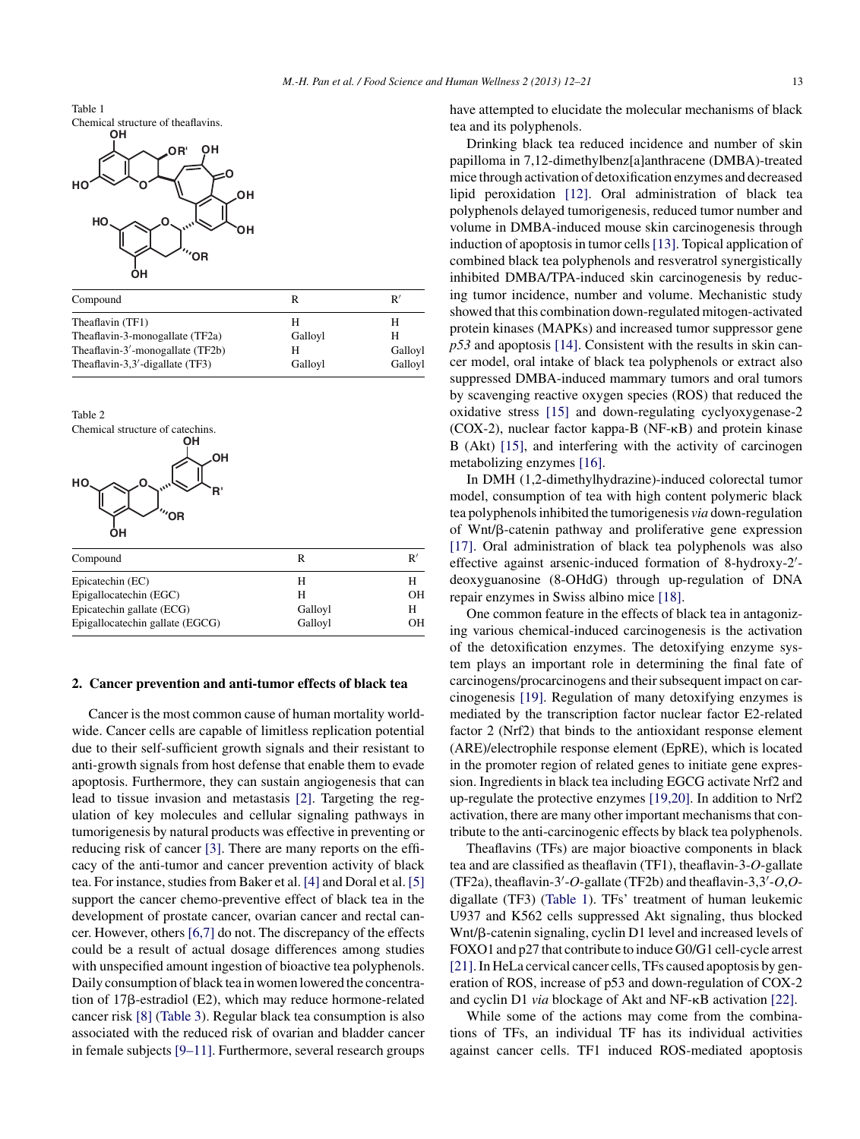<span id="page-1-0"></span>

|                                  |         | R'      |
|----------------------------------|---------|---------|
| Compound                         |         |         |
| Theaflavin (TF1)                 | Н       | н       |
| Theaflavin-3-monogallate (TF2a)  | Galloyl | н       |
| Theaflavin-3'-monogallate (TF2b) | Н       | Galloyl |
| Theaflavin-3,3'-digallate (TF3)  | Galloyl | Galloyl |



#### **2. Cancer prevention and anti-tumor effects of black tea**

Cancer is the most common cause of human mortality worldwide. Cancer cells are capable of limitless replication potential due to their self-sufficient growth signals and their resistant to anti-growth signals from host defense that enable them to evade apoptosis. Furthermore, they can sustain angiogenesis that can lead to tissue invasion and metastasis [\[2\].](#page-7-0) Targeting the regulation of key molecules and cellular signaling pathways in tumorigenesis by natural products was effective in preventing or reducing risk of cancer [\[3\].](#page-7-0) There are many reports on the efficacy of the anti-tumor and cancer prevention activity of black tea. For instance, studies from Baker et al. [\[4\]](#page-7-0) and Doral et al. [\[5\]](#page-7-0) support the cancer chemo-preventive effect of black tea in the development of prostate cancer, ovarian cancer and rectal cancer. However, others [\[6,7\]](#page-7-0) do not. The discrepancy of the effects could be a result of actual dosage differences among studies with unspecified amount ingestion of bioactive tea polyphenols. Daily consumption of black tea inwomen lowered the concentration of 17ß-estradiol (E2), which may reduce hormone-related cancer risk [\[8\]](#page-7-0) ([Table](#page-2-0) 3). Regular black tea consumption is also associated with the reduced risk of ovarian and bladder cancer in female subjects [\[9–11\].](#page-7-0) Furthermore, several research groups have attempted to elucidate the molecular mechanisms of black tea and its polyphenols.

Drinking black tea reduced incidence and number of skin papilloma in 7,12-dimethylbenz[a]anthracene (DMBA)-treated mice through activation of detoxification enzymes and decreased lipid peroxidation [\[12\].](#page-7-0) Oral administration of black tea polyphenols delayed tumorigenesis, reduced tumor number and volume in DMBA-induced mouse skin carcinogenesis through induction of apoptosis in tumor cells [\[13\].](#page-7-0) Topical application of combined black tea polyphenols and resveratrol synergistically inhibited DMBA/TPA-induced skin carcinogenesis by reducing tumor incidence, number and volume. Mechanistic study showed that this combination down-regulated mitogen-activated protein kinases (MAPKs) and increased tumor suppressor gene *p53* and apoptosis [\[14\].](#page-7-0) Consistent with the results in skin cancer model, oral intake of black tea polyphenols or extract also suppressed DMBA-induced mammary tumors and oral tumors by scavenging reactive oxygen species (ROS) that reduced the oxidative stress [\[15\]](#page-7-0) and down-regulating cyclyoxygenase-2  $(COX-2)$ , nuclear factor kappa-B  $(NF-KB)$  and protein kinase B (Akt) [\[15\],](#page-7-0) and interfering with the activity of carcinogen metabolizing enzymes [\[16\].](#page-7-0)

In DMH (1,2-dimethylhydrazine)-induced colorectal tumor model, consumption of tea with high content polymeric black tea polyphenolsinhibited the tumorigenesis *via* down-regulation of Wnt/ß-catenin pathway and proliferative gene expression [\[17\].](#page-7-0) Oral administration of black tea polyphenols was also effective against arsenic-induced formation of 8-hydroxy-2 deoxyguanosine (8-OHdG) through up-regulation of DNA repair enzymes in Swiss albino mice [\[18\].](#page-7-0)

One common feature in the effects of black tea in antagonizing various chemical-induced carcinogenesis is the activation of the detoxification enzymes. The detoxifying enzyme system plays an important role in determining the final fate of carcinogens/procarcinogens and their subsequent impact on carcinogenesis [\[19\].](#page-7-0) Regulation of many detoxifying enzymes is mediated by the transcription factor nuclear factor E2-related factor 2 (Nrf2) that binds to the antioxidant response element (ARE)/electrophile response element (EpRE), which is located in the promoter region of related genes to initiate gene expression. Ingredients in black tea including EGCG activate Nrf2 and up-regulate the protective enzymes [\[19,20\].](#page-7-0) In addition to Nrf2 activation, there are many other important mechanisms that contribute to the anti-carcinogenic effects by black tea polyphenols.

Theaflavins (TFs) are major bioactive components in black tea and are classified as theaflavin (TF1), theaflavin-3-*O*-gallate (TF2a), theaflavin-3 -*O*-gallate (TF2b) and theaflavin-3,3 -*O*,*O*digallate (TF3) (Table 1). TFs' treatment of human leukemic U937 and K562 cells suppressed Akt signaling, thus blocked Wnt/β-catenin signaling, cyclin D1 level and increased levels of FOXO1 and p27 that contribute to induceG0/G1 cell-cycle arrest [21]. In HeLa cervical cancer cells, TFs caused apoptosis by generation of ROS, increase of p53 and down-regulation of COX-2 and cyclin D1 *via* blockage of Akt and NF- $\kappa$ B activation [\[22\].](#page-7-0)

While some of the actions may come from the combinations of TFs, an individual TF has its individual activities against cancer cells. TF1 induced ROS-mediated apoptosis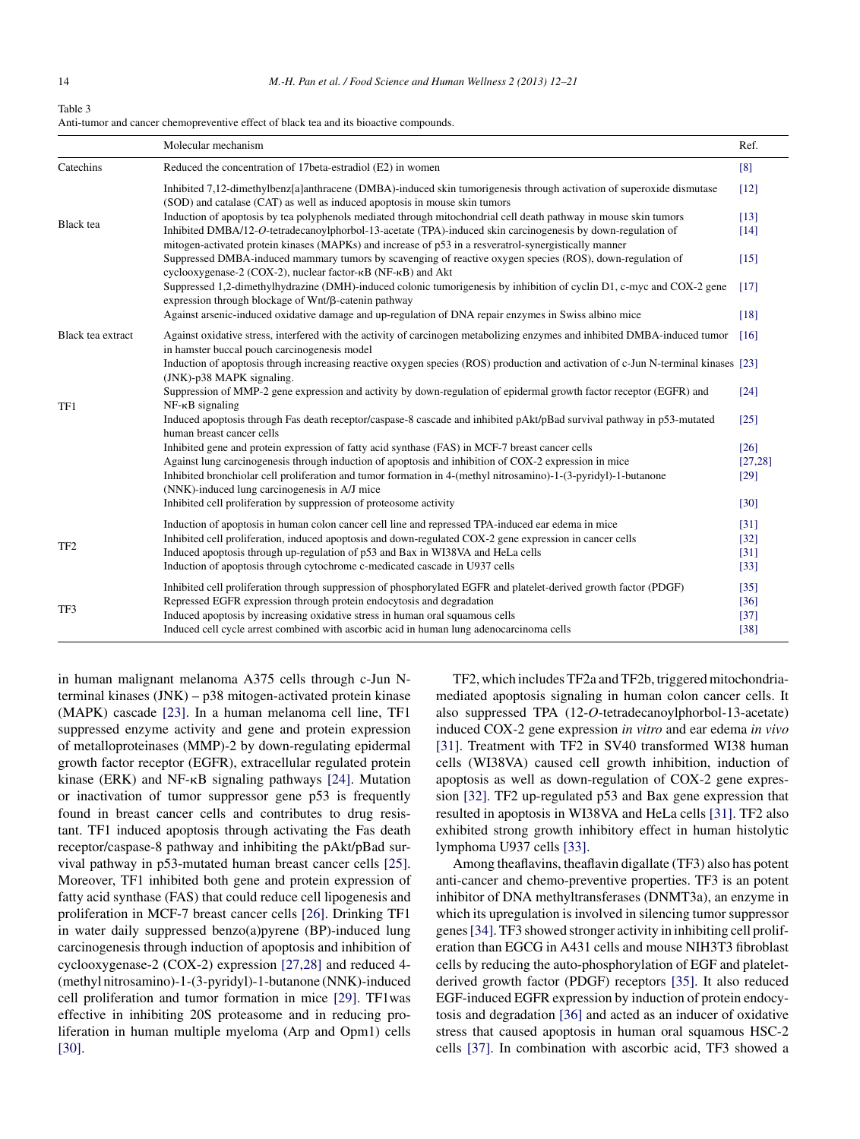#### <span id="page-2-0"></span>Table 3 Anti-tumor and cancer chemopreventive effect of black tea and its bioactive compounds.

|                   | Molecular mechanism                                                                                                                                                                                                  | Ref.               |
|-------------------|----------------------------------------------------------------------------------------------------------------------------------------------------------------------------------------------------------------------|--------------------|
| Catechins         | Reduced the concentration of 17beta-estradiol (E2) in women                                                                                                                                                          | [8]                |
|                   | Inhibited 7,12-dimethylbenz[a]anthracene (DMBA)-induced skin tumorigenesis through activation of superoxide dismutase<br>(SOD) and catalase (CAT) as well as induced apoptosis in mouse skin tumors                  | $[12]$             |
| <b>Black</b> tea  | Induction of apoptosis by tea polyphenols mediated through mitochondrial cell death pathway in mouse skin tumors                                                                                                     | $[13]$             |
|                   | Inhibited DMBA/12-O-tetradecanoylphorbol-13-acetate (TPA)-induced skin carcinogenesis by down-regulation of<br>mitogen-activated protein kinases (MAPKs) and increase of p53 in a resveratrol-synergistically manner | $[14]$             |
|                   | Suppressed DMBA-induced mammary tumors by scavenging of reactive oxygen species (ROS), down-regulation of<br>cyclooxygenase-2 (COX-2), nuclear factor-кВ (NF-кВ) and Akt                                             | $[15]$             |
|                   | Suppressed 1,2-dimethylhydrazine (DMH)-induced colonic tumorigenesis by inhibition of cyclin D1, c-myc and COX-2 gene<br>expression through blockage of Wnt/ß-catenin pathway                                        | [17]               |
|                   | Against arsenic-induced oxidative damage and up-regulation of DNA repair enzymes in Swiss albino mice                                                                                                                | [18]               |
| Black tea extract | Against oxidative stress, interfered with the activity of carcinogen metabolizing enzymes and inhibited DMBA-induced tumor<br>in hamster buccal pouch carcinogenesis model                                           | [16]               |
|                   | Induction of apoptosis through increasing reactive oxygen species (ROS) production and activation of c-Jun N-terminal kinases [23]<br>(JNK)-p38 MAPK signaling.                                                      |                    |
| TF1               | Suppression of MMP-2 gene expression and activity by down-regulation of epidermal growth factor receptor (EGFR) and<br>$NF-\kappa B$ signaling                                                                       | $\lceil 24 \rceil$ |
|                   | Induced apoptosis through Fas death receptor/caspase-8 cascade and inhibited pAkt/pBad survival pathway in p53-mutated<br>human breast cancer cells                                                                  | [25]               |
|                   | Inhibited gene and protein expression of fatty acid synthase (FAS) in MCF-7 breast cancer cells                                                                                                                      | $\lceil 26 \rceil$ |
|                   | Against lung carcinogenesis through induction of apoptosis and inhibition of COX-2 expression in mice                                                                                                                | [27, 28]           |
|                   | Inhibited bronchiolar cell proliferation and tumor formation in 4-(methyl nitrosamino)-1-(3-pyridyl)-1-butanone<br>(NNK)-induced lung carcinogenesis in A/J mice                                                     | [29]               |
|                   | Inhibited cell proliferation by suppression of proteosome activity                                                                                                                                                   | $[30]$             |
|                   | Induction of apoptosis in human colon cancer cell line and repressed TPA-induced ear edema in mice                                                                                                                   | [31]               |
|                   | Inhibited cell proliferation, induced apoptosis and down-regulated COX-2 gene expression in cancer cells                                                                                                             | $[32]$             |
| TF <sub>2</sub>   | Induced apoptosis through up-regulation of p53 and Bax in WI38VA and HeLa cells                                                                                                                                      | [31]               |
|                   | Induction of apoptosis through cytochrome c-medicated cascade in U937 cells                                                                                                                                          | $[33]$             |
|                   | Inhibited cell proliferation through suppression of phosphorylated EGFR and platelet-derived growth factor (PDGF)                                                                                                    | $[35]$             |
| TF3               | Repressed EGFR expression through protein endocytosis and degradation                                                                                                                                                | $[36]$             |
|                   | Induced apoptosis by increasing oxidative stress in human oral squamous cells                                                                                                                                        | $[37]$             |
|                   | Induced cell cycle arrest combined with ascorbic acid in human lung adenocarcinoma cells                                                                                                                             | $[38]$             |

in human malignant melanoma A375 cells through c-Jun Nterminal kinases (JNK) – p38 mitogen-activated protein kinase (MAPK) cascade [\[23\].](#page-7-0) In a human melanoma cell line, TF1 suppressed enzyme activity and gene and protein expression of metalloproteinases (MMP)-2 by down-regulating epidermal growth factor receptor (EGFR), extracellular regulated protein kinase (ERK) and  $NF-\kappa B$  signaling pathways [\[24\].](#page-7-0) Mutation or inactivation of tumor suppressor gene p53 is frequently found in breast cancer cells and contributes to drug resistant. TF1 induced apoptosis through activating the Fas death receptor/caspase-8 pathway and inhibiting the pAkt/pBad survival pathway in p53-mutated human breast cancer cells [\[25\].](#page-7-0) Moreover, TF1 inhibited both gene and protein expression of fatty acid synthase (FAS) that could reduce cell lipogenesis and proliferation in MCF-7 breast cancer cells [\[26\].](#page-7-0) Drinking TF1 in water daily suppressed benzo(a)pyrene (BP)-induced lung carcinogenesis through induction of apoptosis and inhibition of cyclooxygenase-2 (COX-2) expression [\[27,28\]](#page-7-0) and reduced 4- (methyl nitrosamino)-1-(3-pyridyl)-1-butanone (NNK)-induced cell proliferation and tumor formation in mice [\[29\].](#page-7-0) TF1was effective in inhibiting 20S proteasome and in reducing proliferation in human multiple myeloma (Arp and Opm1) cells [\[30\].](#page-7-0)

TF2, which includes TF2a and TF2b, triggered mitochondriamediated apoptosis signaling in human colon cancer cells. It also suppressed TPA (12-*O*-tetradecanoylphorbol-13-acetate) induced COX-2 gene expression *in vitro* and ear edema *in vivo* [\[31\].](#page-7-0) Treatment with TF2 in SV40 transformed WI38 human cells (WI38VA) caused cell growth inhibition, induction of apoptosis as well as down-regulation of COX-2 gene expression [\[32\].](#page-7-0) TF2 up-regulated p53 and Bax gene expression that resulted in apoptosis in WI38VA and HeLa cells [\[31\].](#page-7-0) TF2 also exhibited strong growth inhibitory effect in human histolytic lymphoma U937 cells [\[33\].](#page-7-0)

Among theaflavins, theaflavin digallate (TF3) also has potent anti-cancer and chemo-preventive properties. TF3 is an potent inhibitor of DNA methyltransferases (DNMT3a), an enzyme in which its upregulation is involved in silencing tumor suppressor genes[\[34\].](#page-7-0) TF3 showed stronger activity in inhibiting cell proliferation than EGCG in A431 cells and mouse NIH3T3 fibroblast cells by reducing the auto-phosphorylation of EGF and plateletderived growth factor (PDGF) receptors [\[35\].](#page-7-0) It also reduced EGF-induced EGFR expression by induction of protein endocytosis and degradation [\[36\]](#page-7-0) and acted as an inducer of oxidative stress that caused apoptosis in human oral squamous HSC-2 cells [\[37\].](#page-8-0) In combination with ascorbic acid, TF3 showed a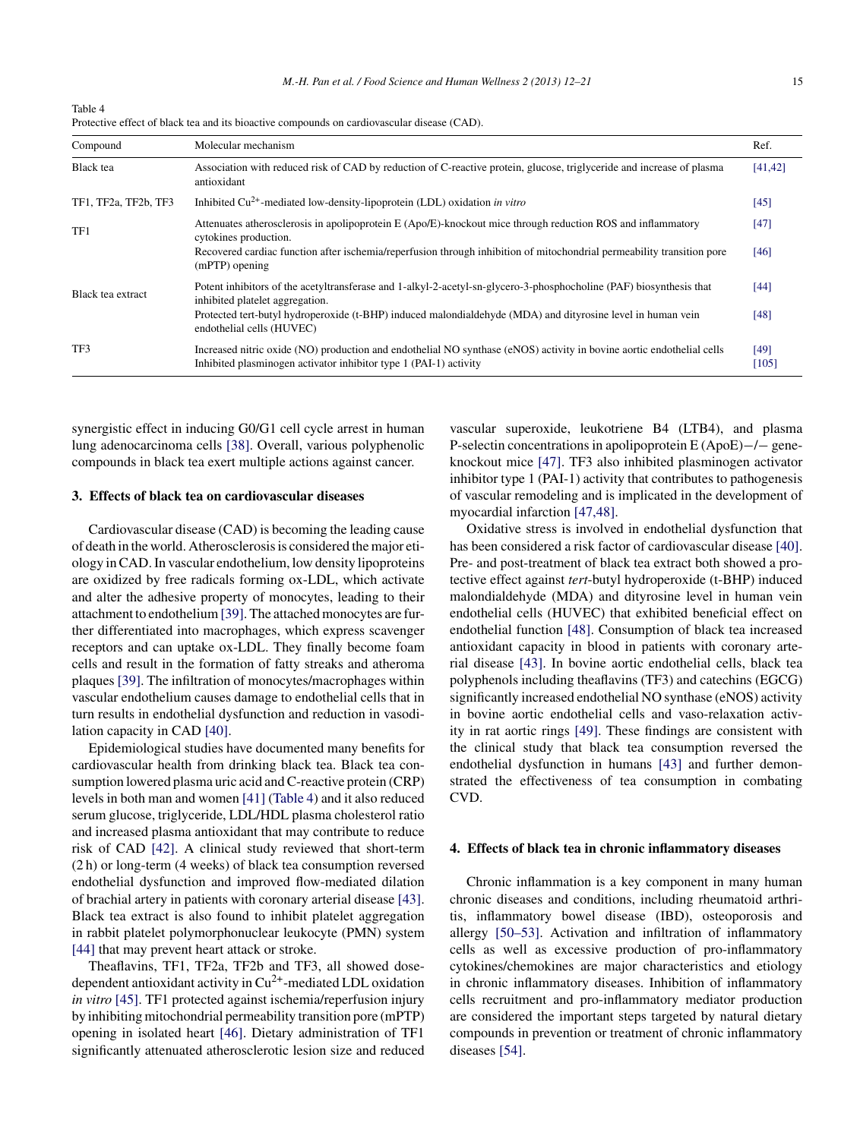Table 4 Protective effect of black tea and its bioactive compounds on cardiovascular disease (CAD).

| Compound             | Molecular mechanism                                                                                                                                                                        | Ref.          |
|----------------------|--------------------------------------------------------------------------------------------------------------------------------------------------------------------------------------------|---------------|
| <b>Black</b> tea     | Association with reduced risk of CAD by reduction of C-reactive protein, glucose, triglyceride and increase of plasma<br>antioxidant                                                       | [41, 42]      |
| TF1, TF2a, TF2b, TF3 | Inhibited $Cu^{2+}$ -mediated low-density-lipoprotein (LDL) oxidation in vitro                                                                                                             | [45]          |
| TF1                  | Attenuates atherosclerosis in apolipoprotein E (Apo/E)-knockout mice through reduction ROS and inflammatory<br>cytokines production.                                                       | $[47]$        |
|                      | Recovered cardiac function after ischemia/reperfusion through inhibition of mitochondrial permeability transition pore<br>$(mPTP)$ opening                                                 | [46]          |
| Black tea extract    | Potent inhibitors of the acetyltransferase and 1-alkyl-2-acetyl-sn-glycero-3-phosphocholine (PAF) biosynthesis that<br>inhibited platelet aggregation.                                     | [44]          |
|                      | Protected tert-butyl hydroperoxide (t-BHP) induced malondialdehyde (MDA) and dityrosine level in human vein<br>endothelial cells (HUVEC)                                                   | [48]          |
| TF3                  | Increased nitric oxide (NO) production and endothelial NO synthase (eNOS) activity in bovine aortic endothelial cells<br>Inhibited plasminogen activator inhibitor type 1 (PAI-1) activity | [49]<br>[105] |

synergistic effect in inducing G0/G1 cell cycle arrest in human lung adenocarcinoma cells [\[38\].](#page-8-0) Overall, various polyphenolic compounds in black tea exert multiple actions against cancer.

## **3. Effects of black tea on cardiovascular diseases**

Cardiovascular disease (CAD) is becoming the leading cause of death in the world. Atherosclerosisis considered themajor etiology inCAD.In vascular endothelium, low density lipoproteins are oxidized by free radicals forming ox-LDL, which activate and alter the adhesive property of monocytes, leading to their attachment to endothelium [39]. The attached monocytes are further differentiated into macrophages, which express scavenger receptors and can uptake ox-LDL. They finally become foam cells and result in the formation of fatty streaks and atheroma plaques [\[39\].](#page-8-0) The infiltration of monocytes/macrophages within vascular endothelium causes damage to endothelial cells that in turn results in endothelial dysfunction and reduction in vasodilation capacity in CAD [\[40\].](#page-8-0)

Epidemiological studies have documented many benefits for cardiovascular health from drinking black tea. Black tea consumption lowered plasma uric acid and C-reactive protein (CRP) levels in both man and women [\[41\]](#page-8-0) (Table 4) and it also reduced serum glucose, triglyceride, LDL/HDL plasma cholesterol ratio and increased plasma antioxidant that may contribute to reduce risk of CAD [\[42\].](#page-8-0) A clinical study reviewed that short-term (2 h) or long-term (4 weeks) of black tea consumption reversed endothelial dysfunction and improved flow-mediated dilation of brachial artery in patients with coronary arterial disease [\[43\].](#page-8-0) Black tea extract is also found to inhibit platelet aggregation in rabbit platelet polymorphonuclear leukocyte (PMN) system [\[44\]](#page-8-0) that may prevent heart attack or stroke.

Theaflavins, TF1, TF2a, TF2b and TF3, all showed dosedependent antioxidant activity in  $Cu^{2+}$ -mediated LDL oxidation *in vitro* [\[45\].](#page-8-0) TF1 protected against ischemia/reperfusion injury by inhibiting mitochondrial permeability transition pore (mPTP) opening in isolated heart [\[46\].](#page-8-0) Dietary administration of TF1 significantly attenuated atherosclerotic lesion size and reduced vascular superoxide, leukotriene B4 (LTB4), and plasma P-selectin concentrations in apolipoprotein E (ApoE)−/− geneknockout mice [\[47\].](#page-8-0) TF3 also inhibited plasminogen activator inhibitor type 1 (PAI-1) activity that contributes to pathogenesis of vascular remodeling and is implicated in the development of myocardial infarction [\[47,48\].](#page-8-0)

Oxidative stress is involved in endothelial dysfunction that has been considered a risk factor of cardiovascular disease [\[40\].](#page-8-0) Pre- and post-treatment of black tea extract both showed a protective effect against *tert*-butyl hydroperoxide (t-BHP) induced malondialdehyde (MDA) and dityrosine level in human vein endothelial cells (HUVEC) that exhibited beneficial effect on endothelial function [\[48\].](#page-8-0) Consumption of black tea increased antioxidant capacity in blood in patients with coronary arterial disease [\[43\].](#page-8-0) In bovine aortic endothelial cells, black tea polyphenols including theaflavins (TF3) and catechins (EGCG) significantly increased endothelial NO synthase (eNOS) activity in bovine aortic endothelial cells and vaso-relaxation activity in rat aortic rings [\[49\].](#page-8-0) These findings are consistent with the clinical study that black tea consumption reversed the endothelial dysfunction in humans [\[43\]](#page-8-0) and further demonstrated the effectiveness of tea consumption in combating CVD.

### **4. Effects of black tea in chronic inflammatory diseases**

Chronic inflammation is a key component in many human chronic diseases and conditions, including rheumatoid arthritis, inflammatory bowel disease (IBD), osteoporosis and allergy [\[50–53\].](#page-8-0) Activation and infiltration of inflammatory cells as well as excessive production of pro-inflammatory cytokines/chemokines are major characteristics and etiology in chronic inflammatory diseases. Inhibition of inflammatory cells recruitment and pro-inflammatory mediator production are considered the important steps targeted by natural dietary compounds in prevention or treatment of chronic inflammatory diseases [\[54\].](#page-8-0)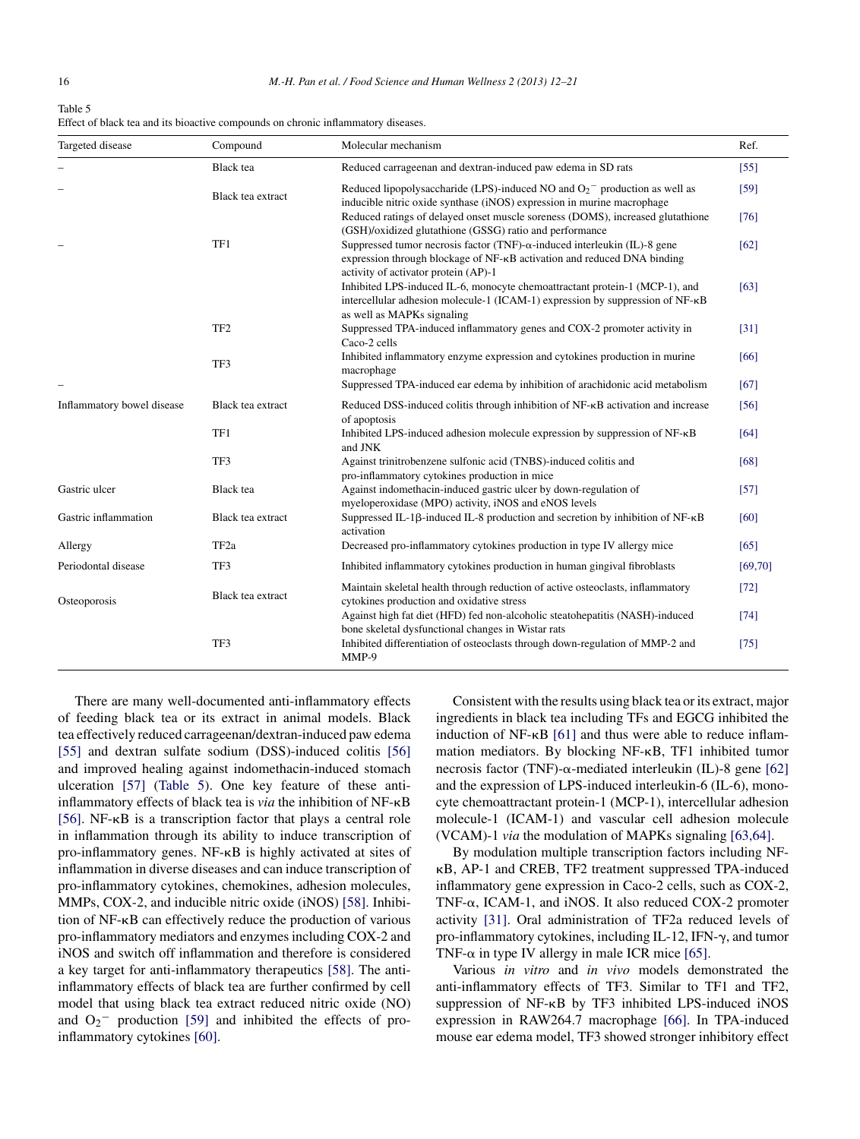| Table 5                                                                           |
|-----------------------------------------------------------------------------------|
| Effect of black tea and its bioactive compounds on chronic inflammatory diseases. |

| Targeted disease           | Compound          | Molecular mechanism                                                                                                                                                                                  | Ref.     |
|----------------------------|-------------------|------------------------------------------------------------------------------------------------------------------------------------------------------------------------------------------------------|----------|
|                            | <b>Black</b> tea  | Reduced carrageenan and dextran-induced paw edema in SD rats                                                                                                                                         | $[55]$   |
|                            | Black tea extract | Reduced lipopolysaccharide (LPS)-induced NO and $O_2$ <sup>-</sup> production as well as<br>inducible nitric oxide synthase (iNOS) expression in murine macrophage                                   | [59]     |
|                            |                   | Reduced ratings of delayed onset muscle soreness (DOMS), increased glutathione<br>(GSH)/oxidized glutathione (GSSG) ratio and performance                                                            | [76]     |
|                            | TF1               | Suppressed tumor necrosis factor (TNF)- $\alpha$ -induced interleukin (IL)-8 gene<br>expression through blockage of NF-KB activation and reduced DNA binding<br>activity of activator protein (AP)-1 | [62]     |
|                            |                   | Inhibited LPS-induced IL-6, monocyte chemoattractant protein-1 (MCP-1), and<br>intercellular adhesion molecule-1 (ICAM-1) expression by suppression of $NF-\kappa B$<br>as well as MAPKs signaling   | [63]     |
|                            | TF <sub>2</sub>   | Suppressed TPA-induced inflammatory genes and COX-2 promoter activity in<br>Caco-2 cells                                                                                                             | $[31]$   |
|                            | TF3               | Inhibited inflammatory enzyme expression and cytokines production in murine<br>macrophage                                                                                                            | [66]     |
|                            |                   | Suppressed TPA-induced ear edema by inhibition of arachidonic acid metabolism                                                                                                                        | [67]     |
| Inflammatory bowel disease | Black tea extract | Reduced DSS-induced colitis through inhibition of $NF$ - $\kappa B$ activation and increase<br>of apoptosis                                                                                          | [56]     |
|                            | TF1               | Inhibited LPS-induced adhesion molecule expression by suppression of NF-KB<br>and JNK                                                                                                                | [64]     |
|                            | TF3               | Against trinitrobenzene sulfonic acid (TNBS)-induced colitis and<br>pro-inflammatory cytokines production in mice                                                                                    | [68]     |
| Gastric ulcer              | <b>Black</b> tea  | Against indomethacin-induced gastric ulcer by down-regulation of<br>myeloperoxidase (MPO) activity, iNOS and eNOS levels                                                                             | $[57]$   |
| Gastric inflammation       | Black tea extract | Suppressed IL-1β-induced IL-8 production and secretion by inhibition of NF-κB<br>activation                                                                                                          | [60]     |
| Allergy                    | TF <sub>2a</sub>  | Decreased pro-inflammatory cytokines production in type IV allergy mice                                                                                                                              | [65]     |
| Periodontal disease        | TF3               | Inhibited inflammatory cytokines production in human gingival fibroblasts                                                                                                                            | [69, 70] |
| Osteoporosis               | Black tea extract | Maintain skeletal health through reduction of active osteoclasts, inflammatory<br>cytokines production and oxidative stress                                                                          | $[72]$   |
|                            |                   | Against high fat diet (HFD) fed non-alcoholic steatohepatitis (NASH)-induced<br>bone skeletal dysfunctional changes in Wistar rats                                                                   | [74]     |
|                            | TF3               | Inhibited differentiation of osteoclasts through down-regulation of MMP-2 and<br>MMP-9                                                                                                               | $[75]$   |

There are many well-documented anti-inflammatory effects of feeding black tea or its extract in animal models. Black tea effectively reduced carrageenan/dextran-induced paw edema [\[55\]](#page-8-0) and dextran sulfate sodium (DSS)-induced colitis [\[56\]](#page-8-0) and improved healing against indomethacin-induced stomach ulceration [\[57\]](#page-8-0) (Table 5). One key feature of these antiinflammatory effects of black tea is *via* the inhibition of NF-KB [\[56\].](#page-8-0) NF- $\kappa$ B is a transcription factor that plays a central role in inflammation through its ability to induce transcription of pro-inflammatory genes.  $NF - \kappa B$  is highly activated at sites of inflammation in diverse diseases and can induce transcription of pro-inflammatory cytokines, chemokines, adhesion molecules, MMPs, COX-2, and inducible nitric oxide (iNOS) [\[58\].](#page-8-0) Inhibition of NF-KB can effectively reduce the production of various pro-inflammatory mediators and enzymes including COX-2 and iNOS and switch off inflammation and therefore is considered a key target for anti-inflammatory therapeutics [\[58\].](#page-8-0) The antiinflammatory effects of black tea are further confirmed by cell model that using black tea extract reduced nitric oxide (NO) and  $O_2$ <sup>-</sup> production [\[59\]](#page-8-0) and inhibited the effects of proinflammatory cytokines [\[60\].](#page-8-0)

Consistent with the results using black tea or its extract, major ingredients in black tea including TFs and EGCG inhibited the induction of NF- $\kappa$ B [\[61\]](#page-8-0) and thus were able to reduce inflammation mediators. By blocking NF-KB, TF1 inhibited tumor necrosis factor (TNF)- $\alpha$ -mediated interleukin (IL)-8 gene [\[62\]](#page-8-0) and the expression of LPS-induced interleukin-6 (IL-6), monocyte chemoattractant protein-1 (MCP-1), intercellular adhesion molecule-1 (ICAM-1) and vascular cell adhesion molecule (VCAM)-1 *via* the modulation of MAPKs signaling [\[63,64\].](#page-8-0)

By modulation multiple transcription factors including NF- B, AP-1 and CREB, TF2 treatment suppressed TPA-induced inflammatory gene expression in Caco-2 cells, such as COX-2, TNF- $\alpha$ , ICAM-1, and iNOS. It also reduced COX-2 promoter activity [\[31\].](#page-7-0) Oral administration of TF2a reduced levels of pro-inflammatory cytokines, including IL-12, IFN- $\gamma$ , and tumor TNF- $\alpha$  in type IV allergy in male ICR mice [\[65\].](#page-8-0)

Various *in vitro* and *in vivo* models demonstrated the anti-inflammatory effects of TF3. Similar to TF1 and TF2, suppression of  $NF-\kappa B$  by TF3 inhibited LPS-induced iNOS expression in RAW264.7 macrophage [\[66\].](#page-8-0) In TPA-induced mouse ear edema model, TF3 showed stronger inhibitory effect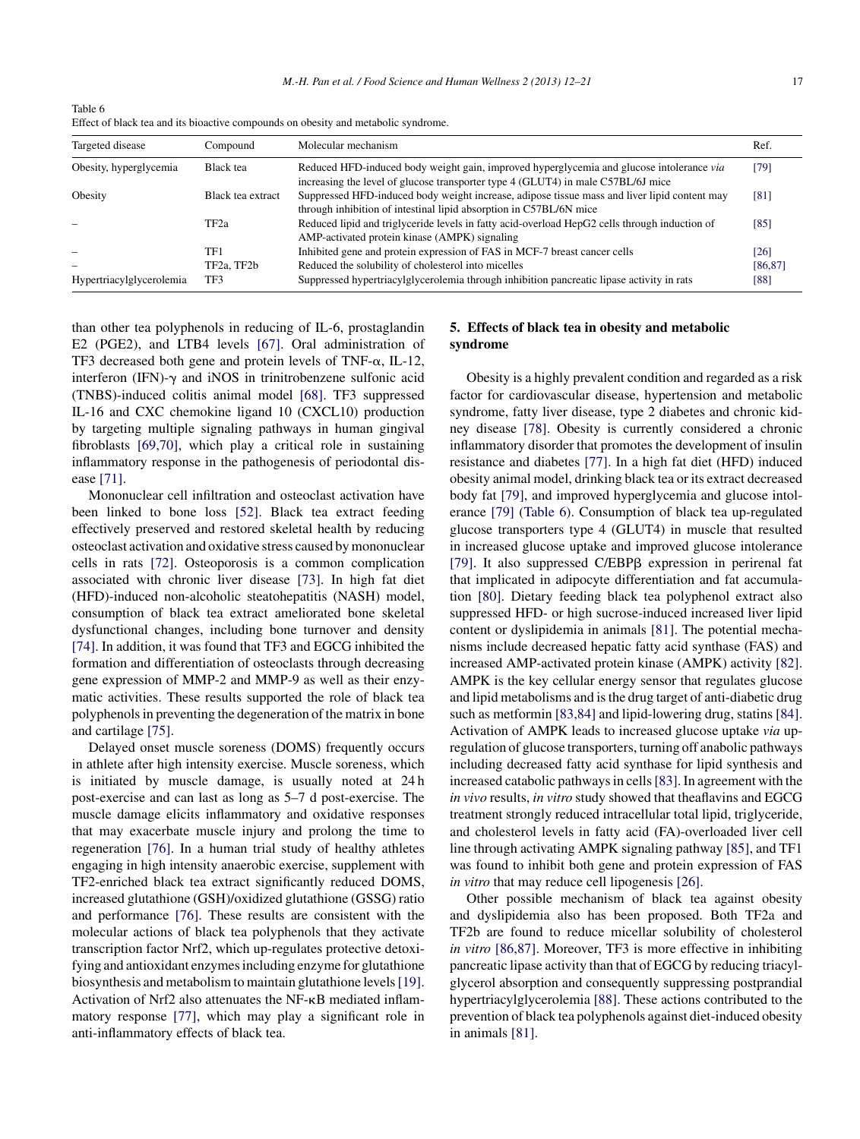Table 6 Effect of black tea and its bioactive compounds on obesity and metabolic syndrome.

| Targeted disease         | Compound          | Molecular mechanism                                                                                                                                                          | Ref.     |
|--------------------------|-------------------|------------------------------------------------------------------------------------------------------------------------------------------------------------------------------|----------|
| Obesity, hyperglycemia   | Black tea         | Reduced HFD-induced body weight gain, improved hyperglycemia and glucose intolerance via<br>increasing the level of glucose transporter type 4 (GLUT4) in male C57BL/6J mice | [79]     |
| Obesity                  | Black tea extract | Suppressed HFD-induced body weight increase, adipose tissue mass and liver lipid content may<br>through inhibition of intestinal lipid absorption in C57BL/6N mice           | [81]     |
|                          | TF <sub>2a</sub>  | Reduced lipid and triglyceride levels in fatty acid-overload HepG2 cells through induction of<br>AMP-activated protein kinase (AMPK) signaling                               | [85]     |
|                          | TF1               | Inhibited gene and protein expression of FAS in MCF-7 breast cancer cells                                                                                                    | [26]     |
|                          | TF2a, TF2b        | Reduced the solubility of cholesterol into micelles                                                                                                                          | [86, 87] |
| Hypertriacylglycerolemia | TF3               | Suppressed hypertriacylglycerolemia through inhibition pancreatic lipase activity in rats                                                                                    | [88]     |

than other tea polyphenols in reducing of IL-6, prostaglandin E2 (PGE2), and LTB4 levels [\[67\].](#page-8-0) Oral administration of TF3 decreased both gene and protein levels of TNF- $\alpha$ , IL-12, interferon (IFN)- $\gamma$  and iNOS in trinitrobenzene sulfonic acid (TNBS)-induced colitis animal model [\[68\].](#page-8-0) TF3 suppressed IL-16 and CXC chemokine ligand 10 (CXCL10) production by targeting multiple signaling pathways in human gingival fibroblasts [\[69,70\],](#page-8-0) which play a critical role in sustaining inflammatory response in the pathogenesis of periodontal disease [\[71\].](#page-8-0)

Mononuclear cell infiltration and osteoclast activation have been linked to bone loss [\[52\].](#page-8-0) Black tea extract feeding effectively preserved and restored skeletal health by reducing osteoclast activation and oxidative stress caused bymononuclear cells in rats [\[72\].](#page-8-0) Osteoporosis is a common complication associated with chronic liver disease [\[73\].](#page-8-0) In high fat diet (HFD)-induced non-alcoholic steatohepatitis (NASH) model, consumption of black tea extract ameliorated bone skeletal dysfunctional changes, including bone turnover and density [\[74\].](#page-8-0) In addition, it was found that TF3 and EGCG inhibited the formation and differentiation of osteoclasts through decreasing gene expression of MMP-2 and MMP-9 as well as their enzymatic activities. These results supported the role of black tea polyphenolsin preventing the degeneration of the matrix in bone and cartilage [\[75\].](#page-8-0)

Delayed onset muscle soreness (DOMS) frequently occurs in athlete after high intensity exercise. Muscle soreness, which is initiated by muscle damage, is usually noted at 24 h post-exercise and can last as long as 5–7 d post-exercise. The muscle damage elicits inflammatory and oxidative responses that may exacerbate muscle injury and prolong the time to regeneration [\[76\].](#page-8-0) In a human trial study of healthy athletes engaging in high intensity anaerobic exercise, supplement with TF2-enriched black tea extract significantly reduced DOMS, increased glutathione (GSH)/oxidized glutathione (GSSG) ratio and performance [\[76\].](#page-8-0) These results are consistent with the molecular actions of black tea polyphenols that they activate transcription factor Nrf2, which up-regulates protective detoxifying and antioxidant enzymesincluding enzyme for glutathione biosynthesis and metabolism to maintain glutathione levels[\[19\].](#page-7-0) Activation of Nrf2 also attenuates the NF- $\kappa$ B mediated inflammatory response [\[77\],](#page-9-0) which may play a significant role in anti-inflammatory effects of black tea.

# **5. Effects of black tea in obesity and metabolic syndrome**

Obesity is a highly prevalent condition and regarded as a risk factor for cardiovascular disease, hypertension and metabolic syndrome, fatty liver disease, type 2 diabetes and chronic kidney disease [\[78\].](#page-9-0) Obesity is currently considered a chronic inflammatory disorder that promotes the development of insulin resistance and diabetes [\[77\].](#page-9-0) In a high fat diet (HFD) induced obesity animal model, drinking black tea or its extract decreased body fat [\[79\],](#page-9-0) and improved hyperglycemia and glucose intolerance [\[79\]](#page-9-0) (Table 6). Consumption of black tea up-regulated glucose transporters type 4 (GLUT4) in muscle that resulted in increased glucose uptake and improved glucose intolerance [\[79\].](#page-9-0) It also suppressed C/EBPß expression in perirenal fat that implicated in adipocyte differentiation and fat accumulation [\[80\].](#page-9-0) Dietary feeding black tea polyphenol extract also suppressed HFD- or high sucrose-induced increased liver lipid content or dyslipidemia in animals [\[81\].](#page-9-0) The potential mechanisms include decreased hepatic fatty acid synthase (FAS) and increased AMP-activated protein kinase (AMPK) activity [\[82\].](#page-9-0) AMPK is the key cellular energy sensor that regulates glucose and lipid metabolisms and isthe drug target of anti-diabetic drug such as metformin [\[83,84\]](#page-9-0) and lipid-lowering drug, statins [\[84\].](#page-9-0) Activation of AMPK leads to increased glucose uptake *via* upregulation of glucose transporters, turning off anabolic pathways including decreased fatty acid synthase for lipid synthesis and increased catabolic pathways in cells [\[83\].](#page-9-0) In agreement with the *in vivo* results, *in vitro* study showed that theaflavins and EGCG treatment strongly reduced intracellular total lipid, triglyceride, and cholesterol levels in fatty acid (FA)-overloaded liver cell line through activating AMPK signaling pathway [\[85\],](#page-9-0) and TF1 was found to inhibit both gene and protein expression of FAS *in vitro* that may reduce cell lipogenesis [\[26\].](#page-7-0)

Other possible mechanism of black tea against obesity and dyslipidemia also has been proposed. Both TF2a and TF2b are found to reduce micellar solubility of cholesterol *in vitro* [\[86,87\].](#page-9-0) Moreover, TF3 is more effective in inhibiting pancreatic lipase activity than that of EGCG by reducing triacylglycerol absorption and consequently suppressing postprandial hypertriacylglycerolemia [\[88\].](#page-9-0) These actions contributed to the prevention of black tea polyphenols against diet-induced obesity in animals [\[81\].](#page-9-0)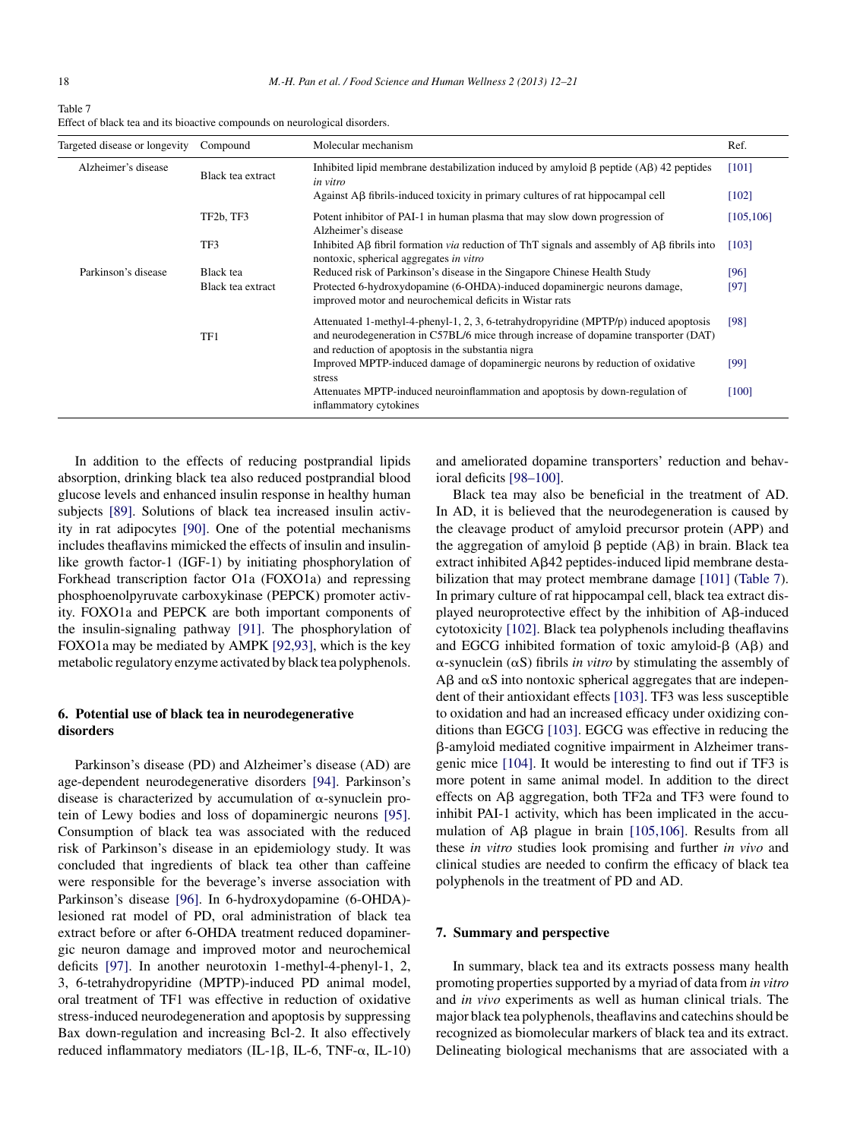| Table 7                                                                    |
|----------------------------------------------------------------------------|
| Effect of black tea and its bioactive compounds on neurological disorders. |

| Targeted disease or longevity | Compound                           | Molecular mechanism                                                                                                                                                                                                                 | Ref.       |
|-------------------------------|------------------------------------|-------------------------------------------------------------------------------------------------------------------------------------------------------------------------------------------------------------------------------------|------------|
| Alzheimer's disease           | Black tea extract                  | Inhibited lipid membrane destabilization induced by amyloid $\beta$ peptide (A $\beta$ ) 42 peptides<br>in vitro                                                                                                                    | [101]      |
|                               |                                    | Against $\overrightarrow{AB}$ fibrils-induced toxicity in primary cultures of rat hippocampal cell                                                                                                                                  | $[102]$    |
|                               | TF <sub>2</sub> b, TF <sub>3</sub> | Potent inhibitor of PAI-1 in human plasma that may slow down progression of<br>Alzheimer's disease                                                                                                                                  | [105, 106] |
|                               | TF3                                | Inhibited A $\beta$ fibril formation <i>via</i> reduction of ThT signals and assembly of A $\beta$ fibrils into<br>nontoxic, spherical aggregates in vitro                                                                          | [103]      |
| Parkinson's disease           | Black tea                          | Reduced risk of Parkinson's disease in the Singapore Chinese Health Study                                                                                                                                                           | [96]       |
|                               | Black tea extract                  | Protected 6-hydroxydopamine (6-OHDA)-induced dopaminergic neurons damage,<br>improved motor and neurochemical deficits in Wistar rats                                                                                               | [97]       |
|                               | TF1                                | Attenuated 1-methyl-4-phenyl-1, 2, 3, 6-tetrahydropyridine (MPTP/p) induced apoptosis<br>and neurodegeneration in C57BL/6 mice through increase of dopamine transporter (DAT)<br>and reduction of apoptosis in the substantia nigra | [98]       |
|                               |                                    | Improved MPTP-induced damage of dopaminergic neurons by reduction of oxidative<br>stress                                                                                                                                            | [99]       |
|                               |                                    | Attenuates MPTP-induced neuroinflammation and apoptosis by down-regulation of<br>inflammatory cytokines                                                                                                                             | [100]      |
|                               |                                    |                                                                                                                                                                                                                                     |            |

In addition to the effects of reducing postprandial lipids absorption, drinking black tea also reduced postprandial blood glucose levels and enhanced insulin response in healthy human subjects [\[89\].](#page-9-0) Solutions of black tea increased insulin activity in rat adipocytes [\[90\].](#page-9-0) One of the potential mechanisms includes theaflavins mimicked the effects of insulin and insulinlike growth factor-1 (IGF-1) by initiating phosphorylation of Forkhead transcription factor O1a (FOXO1a) and repressing phosphoenolpyruvate carboxykinase (PEPCK) promoter activity. FOXO1a and PEPCK are both important components of the insulin-signaling pathway [\[91\].](#page-9-0) The phosphorylation of FOXO1a may be mediated by AMPK [\[92,93\],](#page-9-0) which is the key metabolic regulatory enzyme activated by black tea polyphenols.

# **6. Potential use of black tea in neurodegenerative disorders**

Parkinson's disease (PD) and Alzheimer's disease (AD) are age-dependent neurodegenerative disorders [\[94\].](#page-9-0) Parkinson's disease is characterized by accumulation of  $\alpha$ -synuclein protein of Lewy bodies and loss of dopaminergic neurons [\[95\].](#page-9-0) Consumption of black tea was associated with the reduced risk of Parkinson's disease in an epidemiology study. It was concluded that ingredients of black tea other than caffeine were responsible for the beverage's inverse association with Parkinson's disease [\[96\].](#page-9-0) In 6-hydroxydopamine (6-OHDA) lesioned rat model of PD, oral administration of black tea extract before or after 6-OHDA treatment reduced dopaminergic neuron damage and improved motor and neurochemical deficits [\[97\].](#page-9-0) In another neurotoxin 1-methyl-4-phenyl-1, 2, 3, 6-tetrahydropyridine (MPTP)-induced PD animal model, oral treatment of TF1 was effective in reduction of oxidative stress-induced neurodegeneration and apoptosis by suppressing Bax down-regulation and increasing Bcl-2. It also effectively reduced inflammatory mediators (IL-1β, IL-6, TNF-α, IL-10)

and ameliorated dopamine transporters' reduction and behavioral deficits [\[98–100\].](#page-9-0)

Black tea may also be beneficial in the treatment of AD. In AD, it is believed that the neurodegeneration is caused by the cleavage product of amyloid precursor protein (APP) and the aggregation of amyloid  $\beta$  peptide  $(A\beta)$  in brain. Black tea extract inhibited Aß42 peptides-induced lipid membrane destabilization that may protect membrane damage [\[101\]](#page-9-0) (Table 7). In primary culture of rat hippocampal cell, black tea extract displayed neuroprotective effect by the inhibition of  $A\beta$ -induced cytotoxicity [\[102\].](#page-9-0) Black tea polyphenols including theaflavins and EGCG inhibited formation of toxic amyloid- $\beta$  (A $\beta$ ) and  $\alpha$ -synuclein ( $\alpha$ S) fibrils *in vitro* by stimulating the assembly of  $\text{A}\beta$  and  $\alpha S$  into nontoxic spherical aggregates that are independent of their antioxidant effects [\[103\].](#page-9-0) TF3 was less susceptible to oxidation and had an increased efficacy under oxidizing conditions than EGCG [\[103\].](#page-9-0) EGCG was effective in reducing the --amyloid mediated cognitive impairment in Alzheimer transgenic mice [\[104\].](#page-9-0) It would be interesting to find out if TF3 is more potent in same animal model. In addition to the direct effects on  $\overrightarrow{AB}$  aggregation, both TF2a and TF3 were found to inhibit PAI-1 activity, which has been implicated in the accumulation of  $\text{A}\beta$  plague in brain [\[105,106\].](#page-9-0) Results from all these *in vitro* studies look promising and further *in vivo* and clinical studies are needed to confirm the efficacy of black tea polyphenols in the treatment of PD and AD.

#### **7. Summary and perspective**

In summary, black tea and its extracts possess many health promoting propertiessupported by a myriad of data from *in vitro* and *in vivo* experiments as well as human clinical trials. The major black tea polyphenols, theaflavins and catechins should be recognized as biomolecular markers of black tea and its extract. Delineating biological mechanisms that are associated with a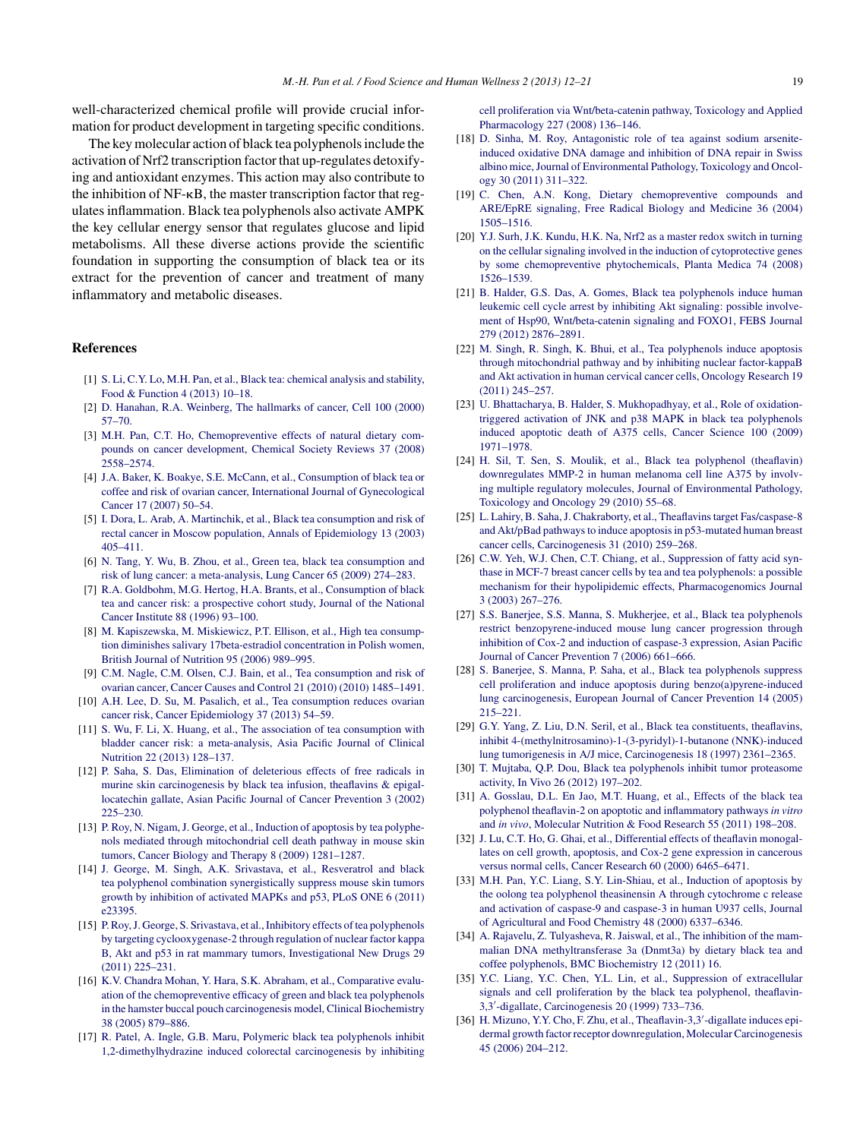<span id="page-7-0"></span>well-characterized chemical profile will provide crucial information for product development in targeting specific conditions.

The key molecular action of black tea polyphenols include the activation of Nrf2 transcription factorthat up-regulates detoxifying and antioxidant enzymes. This action may also contribute to the inhibition of  $NF$ - $\kappa$ B, the master transcription factor that regulatesinflammation. Black tea polyphenols also activate AMPK the key cellular energy sensor that regulates glucose and lipid metabolisms. All these diverse actions provide the scientific foundation in supporting the consumption of black tea or its extract for the prevention of cancer and treatment of many inflammatory and metabolic diseases.

# **References**

- [1] [S.](http://refhub.elsevier.com/S2213-4530(13)00015-3/sbref0005) [Li,](http://refhub.elsevier.com/S2213-4530(13)00015-3/sbref0005) [C.Y.](http://refhub.elsevier.com/S2213-4530(13)00015-3/sbref0005) [Lo,](http://refhub.elsevier.com/S2213-4530(13)00015-3/sbref0005) [M.H.](http://refhub.elsevier.com/S2213-4530(13)00015-3/sbref0005) [Pan,](http://refhub.elsevier.com/S2213-4530(13)00015-3/sbref0005) [et](http://refhub.elsevier.com/S2213-4530(13)00015-3/sbref0005) [al.,](http://refhub.elsevier.com/S2213-4530(13)00015-3/sbref0005) [Black](http://refhub.elsevier.com/S2213-4530(13)00015-3/sbref0005) [tea:](http://refhub.elsevier.com/S2213-4530(13)00015-3/sbref0005) [chemical](http://refhub.elsevier.com/S2213-4530(13)00015-3/sbref0005) [analysis](http://refhub.elsevier.com/S2213-4530(13)00015-3/sbref0005) [and](http://refhub.elsevier.com/S2213-4530(13)00015-3/sbref0005) [stability,](http://refhub.elsevier.com/S2213-4530(13)00015-3/sbref0005) [Food](http://refhub.elsevier.com/S2213-4530(13)00015-3/sbref0005) [&](http://refhub.elsevier.com/S2213-4530(13)00015-3/sbref0005) [Function](http://refhub.elsevier.com/S2213-4530(13)00015-3/sbref0005) [4](http://refhub.elsevier.com/S2213-4530(13)00015-3/sbref0005) [\(2013\)](http://refhub.elsevier.com/S2213-4530(13)00015-3/sbref0005) [10–18.](http://refhub.elsevier.com/S2213-4530(13)00015-3/sbref0005)
- [2] [D.](http://refhub.elsevier.com/S2213-4530(13)00015-3/sbref0010) [Hanahan,](http://refhub.elsevier.com/S2213-4530(13)00015-3/sbref0010) [R.A.](http://refhub.elsevier.com/S2213-4530(13)00015-3/sbref0010) [Weinberg,](http://refhub.elsevier.com/S2213-4530(13)00015-3/sbref0010) [The](http://refhub.elsevier.com/S2213-4530(13)00015-3/sbref0010) [hallmarks](http://refhub.elsevier.com/S2213-4530(13)00015-3/sbref0010) [of](http://refhub.elsevier.com/S2213-4530(13)00015-3/sbref0010) [cancer,](http://refhub.elsevier.com/S2213-4530(13)00015-3/sbref0010) [Cell](http://refhub.elsevier.com/S2213-4530(13)00015-3/sbref0010) [100](http://refhub.elsevier.com/S2213-4530(13)00015-3/sbref0010) [\(2000\)](http://refhub.elsevier.com/S2213-4530(13)00015-3/sbref0010) [57–70.](http://refhub.elsevier.com/S2213-4530(13)00015-3/sbref0010)
- [3] [M.H.](http://refhub.elsevier.com/S2213-4530(13)00015-3/sbref0015) [Pan,](http://refhub.elsevier.com/S2213-4530(13)00015-3/sbref0015) [C.T.](http://refhub.elsevier.com/S2213-4530(13)00015-3/sbref0015) [Ho,](http://refhub.elsevier.com/S2213-4530(13)00015-3/sbref0015) [Chemopreventive](http://refhub.elsevier.com/S2213-4530(13)00015-3/sbref0015) [effects](http://refhub.elsevier.com/S2213-4530(13)00015-3/sbref0015) [of](http://refhub.elsevier.com/S2213-4530(13)00015-3/sbref0015) [natural](http://refhub.elsevier.com/S2213-4530(13)00015-3/sbref0015) [dietary](http://refhub.elsevier.com/S2213-4530(13)00015-3/sbref0015) [com](http://refhub.elsevier.com/S2213-4530(13)00015-3/sbref0015)[pounds](http://refhub.elsevier.com/S2213-4530(13)00015-3/sbref0015) [on](http://refhub.elsevier.com/S2213-4530(13)00015-3/sbref0015) [cancer](http://refhub.elsevier.com/S2213-4530(13)00015-3/sbref0015) [development,](http://refhub.elsevier.com/S2213-4530(13)00015-3/sbref0015) [Chemical](http://refhub.elsevier.com/S2213-4530(13)00015-3/sbref0015) [Society](http://refhub.elsevier.com/S2213-4530(13)00015-3/sbref0015) [Reviews](http://refhub.elsevier.com/S2213-4530(13)00015-3/sbref0015) [37](http://refhub.elsevier.com/S2213-4530(13)00015-3/sbref0015) [\(2008\)](http://refhub.elsevier.com/S2213-4530(13)00015-3/sbref0015) [2558–2574.](http://refhub.elsevier.com/S2213-4530(13)00015-3/sbref0015)
- [4] [J.A.](http://refhub.elsevier.com/S2213-4530(13)00015-3/sbref0020) [Baker,](http://refhub.elsevier.com/S2213-4530(13)00015-3/sbref0020) [K.](http://refhub.elsevier.com/S2213-4530(13)00015-3/sbref0020) [Boakye,](http://refhub.elsevier.com/S2213-4530(13)00015-3/sbref0020) [S.E.](http://refhub.elsevier.com/S2213-4530(13)00015-3/sbref0020) [McCann,](http://refhub.elsevier.com/S2213-4530(13)00015-3/sbref0020) [et](http://refhub.elsevier.com/S2213-4530(13)00015-3/sbref0020) [al.,](http://refhub.elsevier.com/S2213-4530(13)00015-3/sbref0020) [Consumption](http://refhub.elsevier.com/S2213-4530(13)00015-3/sbref0020) [of](http://refhub.elsevier.com/S2213-4530(13)00015-3/sbref0020) [black](http://refhub.elsevier.com/S2213-4530(13)00015-3/sbref0020) [tea](http://refhub.elsevier.com/S2213-4530(13)00015-3/sbref0020) [or](http://refhub.elsevier.com/S2213-4530(13)00015-3/sbref0020) [coffee](http://refhub.elsevier.com/S2213-4530(13)00015-3/sbref0020) [and](http://refhub.elsevier.com/S2213-4530(13)00015-3/sbref0020) [risk](http://refhub.elsevier.com/S2213-4530(13)00015-3/sbref0020) [of](http://refhub.elsevier.com/S2213-4530(13)00015-3/sbref0020) [ovarian](http://refhub.elsevier.com/S2213-4530(13)00015-3/sbref0020) [cancer,](http://refhub.elsevier.com/S2213-4530(13)00015-3/sbref0020) [International](http://refhub.elsevier.com/S2213-4530(13)00015-3/sbref0020) [Journal](http://refhub.elsevier.com/S2213-4530(13)00015-3/sbref0020) [of](http://refhub.elsevier.com/S2213-4530(13)00015-3/sbref0020) [Gynecological](http://refhub.elsevier.com/S2213-4530(13)00015-3/sbref0020) [Cancer](http://refhub.elsevier.com/S2213-4530(13)00015-3/sbref0020) [17](http://refhub.elsevier.com/S2213-4530(13)00015-3/sbref0020) [\(2007\)](http://refhub.elsevier.com/S2213-4530(13)00015-3/sbref0020) [50](http://refhub.elsevier.com/S2213-4530(13)00015-3/sbref0020)–[54.](http://refhub.elsevier.com/S2213-4530(13)00015-3/sbref0020)
- [5] [I.](http://refhub.elsevier.com/S2213-4530(13)00015-3/sbref0025) [Dora,](http://refhub.elsevier.com/S2213-4530(13)00015-3/sbref0025) [L.](http://refhub.elsevier.com/S2213-4530(13)00015-3/sbref0025) [Arab,](http://refhub.elsevier.com/S2213-4530(13)00015-3/sbref0025) [A.](http://refhub.elsevier.com/S2213-4530(13)00015-3/sbref0025) [Martinchik,](http://refhub.elsevier.com/S2213-4530(13)00015-3/sbref0025) [et](http://refhub.elsevier.com/S2213-4530(13)00015-3/sbref0025) [al.,](http://refhub.elsevier.com/S2213-4530(13)00015-3/sbref0025) [Black](http://refhub.elsevier.com/S2213-4530(13)00015-3/sbref0025) [tea](http://refhub.elsevier.com/S2213-4530(13)00015-3/sbref0025) [consumption](http://refhub.elsevier.com/S2213-4530(13)00015-3/sbref0025) [and](http://refhub.elsevier.com/S2213-4530(13)00015-3/sbref0025) [risk](http://refhub.elsevier.com/S2213-4530(13)00015-3/sbref0025) [of](http://refhub.elsevier.com/S2213-4530(13)00015-3/sbref0025) [rectal](http://refhub.elsevier.com/S2213-4530(13)00015-3/sbref0025) [cancer](http://refhub.elsevier.com/S2213-4530(13)00015-3/sbref0025) [in](http://refhub.elsevier.com/S2213-4530(13)00015-3/sbref0025) [Moscow](http://refhub.elsevier.com/S2213-4530(13)00015-3/sbref0025) [population,](http://refhub.elsevier.com/S2213-4530(13)00015-3/sbref0025) [Annals](http://refhub.elsevier.com/S2213-4530(13)00015-3/sbref0025) [of](http://refhub.elsevier.com/S2213-4530(13)00015-3/sbref0025) [Epidemiology](http://refhub.elsevier.com/S2213-4530(13)00015-3/sbref0025) [13](http://refhub.elsevier.com/S2213-4530(13)00015-3/sbref0025) [\(2003\)](http://refhub.elsevier.com/S2213-4530(13)00015-3/sbref0025) [405](http://refhub.elsevier.com/S2213-4530(13)00015-3/sbref0025)–[411.](http://refhub.elsevier.com/S2213-4530(13)00015-3/sbref0025)
- [6] [N.](http://refhub.elsevier.com/S2213-4530(13)00015-3/sbref0030) [Tang,](http://refhub.elsevier.com/S2213-4530(13)00015-3/sbref0030) [Y.](http://refhub.elsevier.com/S2213-4530(13)00015-3/sbref0030) [Wu,](http://refhub.elsevier.com/S2213-4530(13)00015-3/sbref0030) [B.](http://refhub.elsevier.com/S2213-4530(13)00015-3/sbref0030) [Zhou,](http://refhub.elsevier.com/S2213-4530(13)00015-3/sbref0030) [et](http://refhub.elsevier.com/S2213-4530(13)00015-3/sbref0030) [al.,](http://refhub.elsevier.com/S2213-4530(13)00015-3/sbref0030) [Green](http://refhub.elsevier.com/S2213-4530(13)00015-3/sbref0030) [tea,](http://refhub.elsevier.com/S2213-4530(13)00015-3/sbref0030) [black](http://refhub.elsevier.com/S2213-4530(13)00015-3/sbref0030) [tea](http://refhub.elsevier.com/S2213-4530(13)00015-3/sbref0030) [consumption](http://refhub.elsevier.com/S2213-4530(13)00015-3/sbref0030) [and](http://refhub.elsevier.com/S2213-4530(13)00015-3/sbref0030) [risk](http://refhub.elsevier.com/S2213-4530(13)00015-3/sbref0030) [of](http://refhub.elsevier.com/S2213-4530(13)00015-3/sbref0030) [lung](http://refhub.elsevier.com/S2213-4530(13)00015-3/sbref0030) [cancer:](http://refhub.elsevier.com/S2213-4530(13)00015-3/sbref0030) [a](http://refhub.elsevier.com/S2213-4530(13)00015-3/sbref0030) [meta-analysis,](http://refhub.elsevier.com/S2213-4530(13)00015-3/sbref0030) [Lung](http://refhub.elsevier.com/S2213-4530(13)00015-3/sbref0030) [Cancer](http://refhub.elsevier.com/S2213-4530(13)00015-3/sbref0030) [65](http://refhub.elsevier.com/S2213-4530(13)00015-3/sbref0030) [\(2009\)](http://refhub.elsevier.com/S2213-4530(13)00015-3/sbref0030) [274](http://refhub.elsevier.com/S2213-4530(13)00015-3/sbref0030)–[283.](http://refhub.elsevier.com/S2213-4530(13)00015-3/sbref0030)
- [7] [R.A.](http://refhub.elsevier.com/S2213-4530(13)00015-3/sbref0035) [Goldbohm,](http://refhub.elsevier.com/S2213-4530(13)00015-3/sbref0035) [M.G.](http://refhub.elsevier.com/S2213-4530(13)00015-3/sbref0035) [Hertog,](http://refhub.elsevier.com/S2213-4530(13)00015-3/sbref0035) [H.A.](http://refhub.elsevier.com/S2213-4530(13)00015-3/sbref0035) [Brants,](http://refhub.elsevier.com/S2213-4530(13)00015-3/sbref0035) [et](http://refhub.elsevier.com/S2213-4530(13)00015-3/sbref0035) [al.,](http://refhub.elsevier.com/S2213-4530(13)00015-3/sbref0035) [Consumption](http://refhub.elsevier.com/S2213-4530(13)00015-3/sbref0035) [of](http://refhub.elsevier.com/S2213-4530(13)00015-3/sbref0035) [black](http://refhub.elsevier.com/S2213-4530(13)00015-3/sbref0035) [tea](http://refhub.elsevier.com/S2213-4530(13)00015-3/sbref0035) [and](http://refhub.elsevier.com/S2213-4530(13)00015-3/sbref0035) [cancer](http://refhub.elsevier.com/S2213-4530(13)00015-3/sbref0035) [risk:](http://refhub.elsevier.com/S2213-4530(13)00015-3/sbref0035) [a](http://refhub.elsevier.com/S2213-4530(13)00015-3/sbref0035) [prospective](http://refhub.elsevier.com/S2213-4530(13)00015-3/sbref0035) [cohort](http://refhub.elsevier.com/S2213-4530(13)00015-3/sbref0035) [study,](http://refhub.elsevier.com/S2213-4530(13)00015-3/sbref0035) [Journal](http://refhub.elsevier.com/S2213-4530(13)00015-3/sbref0035) [of](http://refhub.elsevier.com/S2213-4530(13)00015-3/sbref0035) [the](http://refhub.elsevier.com/S2213-4530(13)00015-3/sbref0035) [National](http://refhub.elsevier.com/S2213-4530(13)00015-3/sbref0035) [Cancer](http://refhub.elsevier.com/S2213-4530(13)00015-3/sbref0035) [Institute](http://refhub.elsevier.com/S2213-4530(13)00015-3/sbref0035) [88](http://refhub.elsevier.com/S2213-4530(13)00015-3/sbref0035) [\(1996\)](http://refhub.elsevier.com/S2213-4530(13)00015-3/sbref0035) [93](http://refhub.elsevier.com/S2213-4530(13)00015-3/sbref0035)–[100.](http://refhub.elsevier.com/S2213-4530(13)00015-3/sbref0035)
- [8] [M.](http://refhub.elsevier.com/S2213-4530(13)00015-3/sbref0040) [Kapiszewska,](http://refhub.elsevier.com/S2213-4530(13)00015-3/sbref0040) [M.](http://refhub.elsevier.com/S2213-4530(13)00015-3/sbref0040) [Miskiewicz,](http://refhub.elsevier.com/S2213-4530(13)00015-3/sbref0040) [P.T.](http://refhub.elsevier.com/S2213-4530(13)00015-3/sbref0040) [Ellison,](http://refhub.elsevier.com/S2213-4530(13)00015-3/sbref0040) [et](http://refhub.elsevier.com/S2213-4530(13)00015-3/sbref0040) [al.,](http://refhub.elsevier.com/S2213-4530(13)00015-3/sbref0040) [High](http://refhub.elsevier.com/S2213-4530(13)00015-3/sbref0040) [tea](http://refhub.elsevier.com/S2213-4530(13)00015-3/sbref0040) [consump](http://refhub.elsevier.com/S2213-4530(13)00015-3/sbref0040)[tion](http://refhub.elsevier.com/S2213-4530(13)00015-3/sbref0040) [diminishes](http://refhub.elsevier.com/S2213-4530(13)00015-3/sbref0040) [salivary](http://refhub.elsevier.com/S2213-4530(13)00015-3/sbref0040) [17beta-estradiol](http://refhub.elsevier.com/S2213-4530(13)00015-3/sbref0040) [concentration](http://refhub.elsevier.com/S2213-4530(13)00015-3/sbref0040) [in](http://refhub.elsevier.com/S2213-4530(13)00015-3/sbref0040) [Polish](http://refhub.elsevier.com/S2213-4530(13)00015-3/sbref0040) [women,](http://refhub.elsevier.com/S2213-4530(13)00015-3/sbref0040) [British](http://refhub.elsevier.com/S2213-4530(13)00015-3/sbref0040) [Journal](http://refhub.elsevier.com/S2213-4530(13)00015-3/sbref0040) [of](http://refhub.elsevier.com/S2213-4530(13)00015-3/sbref0040) [Nutrition](http://refhub.elsevier.com/S2213-4530(13)00015-3/sbref0040) [95](http://refhub.elsevier.com/S2213-4530(13)00015-3/sbref0040) [\(2006\)](http://refhub.elsevier.com/S2213-4530(13)00015-3/sbref0040) [989–995.](http://refhub.elsevier.com/S2213-4530(13)00015-3/sbref0040)
- [9] [C.M.](http://refhub.elsevier.com/S2213-4530(13)00015-3/sbref0045) [Nagle,](http://refhub.elsevier.com/S2213-4530(13)00015-3/sbref0045) C.M. [Olsen,](http://refhub.elsevier.com/S2213-4530(13)00015-3/sbref0045) [C.J.](http://refhub.elsevier.com/S2213-4530(13)00015-3/sbref0045) [Bain,](http://refhub.elsevier.com/S2213-4530(13)00015-3/sbref0045) [et](http://refhub.elsevier.com/S2213-4530(13)00015-3/sbref0045) [al.,](http://refhub.elsevier.com/S2213-4530(13)00015-3/sbref0045) [Tea](http://refhub.elsevier.com/S2213-4530(13)00015-3/sbref0045) [consumption](http://refhub.elsevier.com/S2213-4530(13)00015-3/sbref0045) [and](http://refhub.elsevier.com/S2213-4530(13)00015-3/sbref0045) [risk](http://refhub.elsevier.com/S2213-4530(13)00015-3/sbref0045) [of](http://refhub.elsevier.com/S2213-4530(13)00015-3/sbref0045) [ovarian](http://refhub.elsevier.com/S2213-4530(13)00015-3/sbref0045) [cancer,](http://refhub.elsevier.com/S2213-4530(13)00015-3/sbref0045) [Cancer](http://refhub.elsevier.com/S2213-4530(13)00015-3/sbref0045) [Causes](http://refhub.elsevier.com/S2213-4530(13)00015-3/sbref0045) [and](http://refhub.elsevier.com/S2213-4530(13)00015-3/sbref0045) [Control](http://refhub.elsevier.com/S2213-4530(13)00015-3/sbref0045) [21](http://refhub.elsevier.com/S2213-4530(13)00015-3/sbref0045) [\(2010\)](http://refhub.elsevier.com/S2213-4530(13)00015-3/sbref0045) [\(2010\)](http://refhub.elsevier.com/S2213-4530(13)00015-3/sbref0045) [1485](http://refhub.elsevier.com/S2213-4530(13)00015-3/sbref0045)–[1491.](http://refhub.elsevier.com/S2213-4530(13)00015-3/sbref0045)
- [10] [A.H.](http://refhub.elsevier.com/S2213-4530(13)00015-3/sbref0050) [Lee,](http://refhub.elsevier.com/S2213-4530(13)00015-3/sbref0050) [D.](http://refhub.elsevier.com/S2213-4530(13)00015-3/sbref0050) [Su,](http://refhub.elsevier.com/S2213-4530(13)00015-3/sbref0050) [M.](http://refhub.elsevier.com/S2213-4530(13)00015-3/sbref0050) [Pasalich,](http://refhub.elsevier.com/S2213-4530(13)00015-3/sbref0050) [et](http://refhub.elsevier.com/S2213-4530(13)00015-3/sbref0050) [al.,](http://refhub.elsevier.com/S2213-4530(13)00015-3/sbref0050) [Tea](http://refhub.elsevier.com/S2213-4530(13)00015-3/sbref0050) [consumption](http://refhub.elsevier.com/S2213-4530(13)00015-3/sbref0050) [reduces](http://refhub.elsevier.com/S2213-4530(13)00015-3/sbref0050) [ovarian](http://refhub.elsevier.com/S2213-4530(13)00015-3/sbref0050) [cancer](http://refhub.elsevier.com/S2213-4530(13)00015-3/sbref0050) [risk,](http://refhub.elsevier.com/S2213-4530(13)00015-3/sbref0050) [Cancer](http://refhub.elsevier.com/S2213-4530(13)00015-3/sbref0050) [Epidemiology](http://refhub.elsevier.com/S2213-4530(13)00015-3/sbref0050) [37](http://refhub.elsevier.com/S2213-4530(13)00015-3/sbref0050) [\(2013\)](http://refhub.elsevier.com/S2213-4530(13)00015-3/sbref0050) [54–59.](http://refhub.elsevier.com/S2213-4530(13)00015-3/sbref0050)
- [11] [S.](http://refhub.elsevier.com/S2213-4530(13)00015-3/sbref0055) [Wu,](http://refhub.elsevier.com/S2213-4530(13)00015-3/sbref0055) [F.](http://refhub.elsevier.com/S2213-4530(13)00015-3/sbref0055) [Li,](http://refhub.elsevier.com/S2213-4530(13)00015-3/sbref0055) [X.](http://refhub.elsevier.com/S2213-4530(13)00015-3/sbref0055) [Huang,](http://refhub.elsevier.com/S2213-4530(13)00015-3/sbref0055) [et](http://refhub.elsevier.com/S2213-4530(13)00015-3/sbref0055) [al.,](http://refhub.elsevier.com/S2213-4530(13)00015-3/sbref0055) [The](http://refhub.elsevier.com/S2213-4530(13)00015-3/sbref0055) [association](http://refhub.elsevier.com/S2213-4530(13)00015-3/sbref0055) [of](http://refhub.elsevier.com/S2213-4530(13)00015-3/sbref0055) [tea](http://refhub.elsevier.com/S2213-4530(13)00015-3/sbref0055) [consumption](http://refhub.elsevier.com/S2213-4530(13)00015-3/sbref0055) [with](http://refhub.elsevier.com/S2213-4530(13)00015-3/sbref0055) [bladder](http://refhub.elsevier.com/S2213-4530(13)00015-3/sbref0055) [cancer](http://refhub.elsevier.com/S2213-4530(13)00015-3/sbref0055) [risk:](http://refhub.elsevier.com/S2213-4530(13)00015-3/sbref0055) [a](http://refhub.elsevier.com/S2213-4530(13)00015-3/sbref0055) [meta-analysis,](http://refhub.elsevier.com/S2213-4530(13)00015-3/sbref0055) [Asia](http://refhub.elsevier.com/S2213-4530(13)00015-3/sbref0055) [Pacific](http://refhub.elsevier.com/S2213-4530(13)00015-3/sbref0055) [Journal](http://refhub.elsevier.com/S2213-4530(13)00015-3/sbref0055) [of](http://refhub.elsevier.com/S2213-4530(13)00015-3/sbref0055) [Clinical](http://refhub.elsevier.com/S2213-4530(13)00015-3/sbref0055) [Nutrition](http://refhub.elsevier.com/S2213-4530(13)00015-3/sbref0055) [22](http://refhub.elsevier.com/S2213-4530(13)00015-3/sbref0055) [\(2013\)](http://refhub.elsevier.com/S2213-4530(13)00015-3/sbref0055) [128–137.](http://refhub.elsevier.com/S2213-4530(13)00015-3/sbref0055)
- [12] [P.](http://refhub.elsevier.com/S2213-4530(13)00015-3/sbref0060) [Saha,](http://refhub.elsevier.com/S2213-4530(13)00015-3/sbref0060) [S.](http://refhub.elsevier.com/S2213-4530(13)00015-3/sbref0060) [Das,](http://refhub.elsevier.com/S2213-4530(13)00015-3/sbref0060) [Elimination](http://refhub.elsevier.com/S2213-4530(13)00015-3/sbref0060) [of](http://refhub.elsevier.com/S2213-4530(13)00015-3/sbref0060) [deleterious](http://refhub.elsevier.com/S2213-4530(13)00015-3/sbref0060) [effects](http://refhub.elsevier.com/S2213-4530(13)00015-3/sbref0060) [of](http://refhub.elsevier.com/S2213-4530(13)00015-3/sbref0060) [free](http://refhub.elsevier.com/S2213-4530(13)00015-3/sbref0060) [radicals](http://refhub.elsevier.com/S2213-4530(13)00015-3/sbref0060) [in](http://refhub.elsevier.com/S2213-4530(13)00015-3/sbref0060) [murine](http://refhub.elsevier.com/S2213-4530(13)00015-3/sbref0060) [skin](http://refhub.elsevier.com/S2213-4530(13)00015-3/sbref0060) [carcinogenesis](http://refhub.elsevier.com/S2213-4530(13)00015-3/sbref0060) [by](http://refhub.elsevier.com/S2213-4530(13)00015-3/sbref0060) [black](http://refhub.elsevier.com/S2213-4530(13)00015-3/sbref0060) [tea](http://refhub.elsevier.com/S2213-4530(13)00015-3/sbref0060) [infusion,](http://refhub.elsevier.com/S2213-4530(13)00015-3/sbref0060) [theaflavins](http://refhub.elsevier.com/S2213-4530(13)00015-3/sbref0060) [&](http://refhub.elsevier.com/S2213-4530(13)00015-3/sbref0060) [epigal](http://refhub.elsevier.com/S2213-4530(13)00015-3/sbref0060)[locatechin](http://refhub.elsevier.com/S2213-4530(13)00015-3/sbref0060) [gallate,](http://refhub.elsevier.com/S2213-4530(13)00015-3/sbref0060) [Asian](http://refhub.elsevier.com/S2213-4530(13)00015-3/sbref0060) [Pacific](http://refhub.elsevier.com/S2213-4530(13)00015-3/sbref0060) [Journal](http://refhub.elsevier.com/S2213-4530(13)00015-3/sbref0060) [of](http://refhub.elsevier.com/S2213-4530(13)00015-3/sbref0060) [Cancer](http://refhub.elsevier.com/S2213-4530(13)00015-3/sbref0060) [Prevention](http://refhub.elsevier.com/S2213-4530(13)00015-3/sbref0060) [3](http://refhub.elsevier.com/S2213-4530(13)00015-3/sbref0060) [\(2002\)](http://refhub.elsevier.com/S2213-4530(13)00015-3/sbref0060) [225–230.](http://refhub.elsevier.com/S2213-4530(13)00015-3/sbref0060)
- [13] [P.](http://refhub.elsevier.com/S2213-4530(13)00015-3/sbref0065) [Roy,](http://refhub.elsevier.com/S2213-4530(13)00015-3/sbref0065) [N.](http://refhub.elsevier.com/S2213-4530(13)00015-3/sbref0065) Nigam, J. [George,](http://refhub.elsevier.com/S2213-4530(13)00015-3/sbref0065) [et](http://refhub.elsevier.com/S2213-4530(13)00015-3/sbref0065) [al.,](http://refhub.elsevier.com/S2213-4530(13)00015-3/sbref0065) [Induction](http://refhub.elsevier.com/S2213-4530(13)00015-3/sbref0065) [of](http://refhub.elsevier.com/S2213-4530(13)00015-3/sbref0065) [apoptosis](http://refhub.elsevier.com/S2213-4530(13)00015-3/sbref0065) [by](http://refhub.elsevier.com/S2213-4530(13)00015-3/sbref0065) [tea](http://refhub.elsevier.com/S2213-4530(13)00015-3/sbref0065) [polyphe](http://refhub.elsevier.com/S2213-4530(13)00015-3/sbref0065)[nols](http://refhub.elsevier.com/S2213-4530(13)00015-3/sbref0065) [mediated](http://refhub.elsevier.com/S2213-4530(13)00015-3/sbref0065) [through](http://refhub.elsevier.com/S2213-4530(13)00015-3/sbref0065) [mitochondrial](http://refhub.elsevier.com/S2213-4530(13)00015-3/sbref0065) [cell](http://refhub.elsevier.com/S2213-4530(13)00015-3/sbref0065) [death](http://refhub.elsevier.com/S2213-4530(13)00015-3/sbref0065) [pathway](http://refhub.elsevier.com/S2213-4530(13)00015-3/sbref0065) [in](http://refhub.elsevier.com/S2213-4530(13)00015-3/sbref0065) [mouse](http://refhub.elsevier.com/S2213-4530(13)00015-3/sbref0065) [skin](http://refhub.elsevier.com/S2213-4530(13)00015-3/sbref0065) [tumors,](http://refhub.elsevier.com/S2213-4530(13)00015-3/sbref0065) [Cancer](http://refhub.elsevier.com/S2213-4530(13)00015-3/sbref0065) [Biology](http://refhub.elsevier.com/S2213-4530(13)00015-3/sbref0065) [and](http://refhub.elsevier.com/S2213-4530(13)00015-3/sbref0065) [Therapy](http://refhub.elsevier.com/S2213-4530(13)00015-3/sbref0065) [8](http://refhub.elsevier.com/S2213-4530(13)00015-3/sbref0065) [\(2009\)](http://refhub.elsevier.com/S2213-4530(13)00015-3/sbref0065) [1281](http://refhub.elsevier.com/S2213-4530(13)00015-3/sbref0065)–[1287.](http://refhub.elsevier.com/S2213-4530(13)00015-3/sbref0065)
- [14] [J.](http://refhub.elsevier.com/S2213-4530(13)00015-3/sbref0070) [George,](http://refhub.elsevier.com/S2213-4530(13)00015-3/sbref0070) [M.](http://refhub.elsevier.com/S2213-4530(13)00015-3/sbref0070) [Singh,](http://refhub.elsevier.com/S2213-4530(13)00015-3/sbref0070) [A.K.](http://refhub.elsevier.com/S2213-4530(13)00015-3/sbref0070) [Srivastava,](http://refhub.elsevier.com/S2213-4530(13)00015-3/sbref0070) [et](http://refhub.elsevier.com/S2213-4530(13)00015-3/sbref0070) [al.,](http://refhub.elsevier.com/S2213-4530(13)00015-3/sbref0070) [Resveratrol](http://refhub.elsevier.com/S2213-4530(13)00015-3/sbref0070) [and](http://refhub.elsevier.com/S2213-4530(13)00015-3/sbref0070) [black](http://refhub.elsevier.com/S2213-4530(13)00015-3/sbref0070) [tea](http://refhub.elsevier.com/S2213-4530(13)00015-3/sbref0070) [polyphenol](http://refhub.elsevier.com/S2213-4530(13)00015-3/sbref0070) [combination](http://refhub.elsevier.com/S2213-4530(13)00015-3/sbref0070) [synergistically](http://refhub.elsevier.com/S2213-4530(13)00015-3/sbref0070) [suppress](http://refhub.elsevier.com/S2213-4530(13)00015-3/sbref0070) [mouse](http://refhub.elsevier.com/S2213-4530(13)00015-3/sbref0070) [skin](http://refhub.elsevier.com/S2213-4530(13)00015-3/sbref0070) [tumors](http://refhub.elsevier.com/S2213-4530(13)00015-3/sbref0070) [growth](http://refhub.elsevier.com/S2213-4530(13)00015-3/sbref0070) [by](http://refhub.elsevier.com/S2213-4530(13)00015-3/sbref0070) [inhibition](http://refhub.elsevier.com/S2213-4530(13)00015-3/sbref0070) [of](http://refhub.elsevier.com/S2213-4530(13)00015-3/sbref0070) [activated](http://refhub.elsevier.com/S2213-4530(13)00015-3/sbref0070) [MAPKs](http://refhub.elsevier.com/S2213-4530(13)00015-3/sbref0070) [and](http://refhub.elsevier.com/S2213-4530(13)00015-3/sbref0070) [p53,](http://refhub.elsevier.com/S2213-4530(13)00015-3/sbref0070) [PLoS](http://refhub.elsevier.com/S2213-4530(13)00015-3/sbref0070) [ONE](http://refhub.elsevier.com/S2213-4530(13)00015-3/sbref0070) [6](http://refhub.elsevier.com/S2213-4530(13)00015-3/sbref0070) [\(2011\)](http://refhub.elsevier.com/S2213-4530(13)00015-3/sbref0070) [e23395.](http://refhub.elsevier.com/S2213-4530(13)00015-3/sbref0070)
- [15] P. Roy, J. [George,](http://refhub.elsevier.com/S2213-4530(13)00015-3/sbref0075) [S.](http://refhub.elsevier.com/S2213-4530(13)00015-3/sbref0075) [Srivastava,](http://refhub.elsevier.com/S2213-4530(13)00015-3/sbref0075) [et](http://refhub.elsevier.com/S2213-4530(13)00015-3/sbref0075) al., Inhibitory [effects](http://refhub.elsevier.com/S2213-4530(13)00015-3/sbref0075) of tea [polyphenols](http://refhub.elsevier.com/S2213-4530(13)00015-3/sbref0075) [by](http://refhub.elsevier.com/S2213-4530(13)00015-3/sbref0075) [targeting](http://refhub.elsevier.com/S2213-4530(13)00015-3/sbref0075) [cyclooxygenase-2](http://refhub.elsevier.com/S2213-4530(13)00015-3/sbref0075) [through](http://refhub.elsevier.com/S2213-4530(13)00015-3/sbref0075) [regulation](http://refhub.elsevier.com/S2213-4530(13)00015-3/sbref0075) [of](http://refhub.elsevier.com/S2213-4530(13)00015-3/sbref0075) [nuclear](http://refhub.elsevier.com/S2213-4530(13)00015-3/sbref0075) [factor](http://refhub.elsevier.com/S2213-4530(13)00015-3/sbref0075) [kappa](http://refhub.elsevier.com/S2213-4530(13)00015-3/sbref0075) [B,](http://refhub.elsevier.com/S2213-4530(13)00015-3/sbref0075) [Akt](http://refhub.elsevier.com/S2213-4530(13)00015-3/sbref0075) [and](http://refhub.elsevier.com/S2213-4530(13)00015-3/sbref0075) [p53](http://refhub.elsevier.com/S2213-4530(13)00015-3/sbref0075) [in](http://refhub.elsevier.com/S2213-4530(13)00015-3/sbref0075) [rat](http://refhub.elsevier.com/S2213-4530(13)00015-3/sbref0075) [mammary](http://refhub.elsevier.com/S2213-4530(13)00015-3/sbref0075) [tumors,](http://refhub.elsevier.com/S2213-4530(13)00015-3/sbref0075) [Investigational](http://refhub.elsevier.com/S2213-4530(13)00015-3/sbref0075) [New](http://refhub.elsevier.com/S2213-4530(13)00015-3/sbref0075) [Drugs](http://refhub.elsevier.com/S2213-4530(13)00015-3/sbref0075) [29](http://refhub.elsevier.com/S2213-4530(13)00015-3/sbref0075) [\(2011\)](http://refhub.elsevier.com/S2213-4530(13)00015-3/sbref0075) [225](http://refhub.elsevier.com/S2213-4530(13)00015-3/sbref0075)–[231.](http://refhub.elsevier.com/S2213-4530(13)00015-3/sbref0075)
- [16] [K.V.](http://refhub.elsevier.com/S2213-4530(13)00015-3/sbref0080) [Chandra](http://refhub.elsevier.com/S2213-4530(13)00015-3/sbref0080) [Mohan,](http://refhub.elsevier.com/S2213-4530(13)00015-3/sbref0080) [Y.](http://refhub.elsevier.com/S2213-4530(13)00015-3/sbref0080) [Hara,](http://refhub.elsevier.com/S2213-4530(13)00015-3/sbref0080) [S.K.](http://refhub.elsevier.com/S2213-4530(13)00015-3/sbref0080) [Abraham,](http://refhub.elsevier.com/S2213-4530(13)00015-3/sbref0080) [et](http://refhub.elsevier.com/S2213-4530(13)00015-3/sbref0080) [al.,](http://refhub.elsevier.com/S2213-4530(13)00015-3/sbref0080) [Comparative](http://refhub.elsevier.com/S2213-4530(13)00015-3/sbref0080) [evalu](http://refhub.elsevier.com/S2213-4530(13)00015-3/sbref0080)[ation](http://refhub.elsevier.com/S2213-4530(13)00015-3/sbref0080) [of](http://refhub.elsevier.com/S2213-4530(13)00015-3/sbref0080) [the](http://refhub.elsevier.com/S2213-4530(13)00015-3/sbref0080) [chemopreventive](http://refhub.elsevier.com/S2213-4530(13)00015-3/sbref0080) [efficacy](http://refhub.elsevier.com/S2213-4530(13)00015-3/sbref0080) [of](http://refhub.elsevier.com/S2213-4530(13)00015-3/sbref0080) [green](http://refhub.elsevier.com/S2213-4530(13)00015-3/sbref0080) [and](http://refhub.elsevier.com/S2213-4530(13)00015-3/sbref0080) [black](http://refhub.elsevier.com/S2213-4530(13)00015-3/sbref0080) [tea](http://refhub.elsevier.com/S2213-4530(13)00015-3/sbref0080) [polyphenols](http://refhub.elsevier.com/S2213-4530(13)00015-3/sbref0080) [in](http://refhub.elsevier.com/S2213-4530(13)00015-3/sbref0080) [the](http://refhub.elsevier.com/S2213-4530(13)00015-3/sbref0080) [hamster](http://refhub.elsevier.com/S2213-4530(13)00015-3/sbref0080) [buccal](http://refhub.elsevier.com/S2213-4530(13)00015-3/sbref0080) [pouch](http://refhub.elsevier.com/S2213-4530(13)00015-3/sbref0080) [carcinogenesis](http://refhub.elsevier.com/S2213-4530(13)00015-3/sbref0080) [model,](http://refhub.elsevier.com/S2213-4530(13)00015-3/sbref0080) [Clinical](http://refhub.elsevier.com/S2213-4530(13)00015-3/sbref0080) [Biochemistry](http://refhub.elsevier.com/S2213-4530(13)00015-3/sbref0080) [38](http://refhub.elsevier.com/S2213-4530(13)00015-3/sbref0080) [\(2005\)](http://refhub.elsevier.com/S2213-4530(13)00015-3/sbref0080) [879–886.](http://refhub.elsevier.com/S2213-4530(13)00015-3/sbref0080)
- [17] [R.](http://refhub.elsevier.com/S2213-4530(13)00015-3/sbref0085) [Patel,](http://refhub.elsevier.com/S2213-4530(13)00015-3/sbref0085) [A.](http://refhub.elsevier.com/S2213-4530(13)00015-3/sbref0085) [Ingle,](http://refhub.elsevier.com/S2213-4530(13)00015-3/sbref0085) [G.B.](http://refhub.elsevier.com/S2213-4530(13)00015-3/sbref0085) [Maru,](http://refhub.elsevier.com/S2213-4530(13)00015-3/sbref0085) [Polymeric](http://refhub.elsevier.com/S2213-4530(13)00015-3/sbref0085) [black](http://refhub.elsevier.com/S2213-4530(13)00015-3/sbref0085) [tea](http://refhub.elsevier.com/S2213-4530(13)00015-3/sbref0085) [polyphenols](http://refhub.elsevier.com/S2213-4530(13)00015-3/sbref0085) [inhibit](http://refhub.elsevier.com/S2213-4530(13)00015-3/sbref0085) [1,2-dimethylhydrazine](http://refhub.elsevier.com/S2213-4530(13)00015-3/sbref0085) [induced](http://refhub.elsevier.com/S2213-4530(13)00015-3/sbref0085) [colorectal](http://refhub.elsevier.com/S2213-4530(13)00015-3/sbref0085) [carcinogenesis](http://refhub.elsevier.com/S2213-4530(13)00015-3/sbref0085) [by](http://refhub.elsevier.com/S2213-4530(13)00015-3/sbref0085) [inhibiting](http://refhub.elsevier.com/S2213-4530(13)00015-3/sbref0085)

[cell](http://refhub.elsevier.com/S2213-4530(13)00015-3/sbref0085) [proliferation](http://refhub.elsevier.com/S2213-4530(13)00015-3/sbref0085) [via](http://refhub.elsevier.com/S2213-4530(13)00015-3/sbref0085) [Wnt/beta-catenin](http://refhub.elsevier.com/S2213-4530(13)00015-3/sbref0085) [pathway,](http://refhub.elsevier.com/S2213-4530(13)00015-3/sbref0085) [Toxicology](http://refhub.elsevier.com/S2213-4530(13)00015-3/sbref0085) [and](http://refhub.elsevier.com/S2213-4530(13)00015-3/sbref0085) [Applied](http://refhub.elsevier.com/S2213-4530(13)00015-3/sbref0085) [Pharmacology](http://refhub.elsevier.com/S2213-4530(13)00015-3/sbref0085) [227](http://refhub.elsevier.com/S2213-4530(13)00015-3/sbref0085) [\(2008\)](http://refhub.elsevier.com/S2213-4530(13)00015-3/sbref0085) [136–146.](http://refhub.elsevier.com/S2213-4530(13)00015-3/sbref0085)

- [18] [D.](http://refhub.elsevier.com/S2213-4530(13)00015-3/sbref0090) [Sinha,](http://refhub.elsevier.com/S2213-4530(13)00015-3/sbref0090) [M.](http://refhub.elsevier.com/S2213-4530(13)00015-3/sbref0090) [Roy,](http://refhub.elsevier.com/S2213-4530(13)00015-3/sbref0090) [Antagonistic](http://refhub.elsevier.com/S2213-4530(13)00015-3/sbref0090) [role](http://refhub.elsevier.com/S2213-4530(13)00015-3/sbref0090) [of](http://refhub.elsevier.com/S2213-4530(13)00015-3/sbref0090) [tea](http://refhub.elsevier.com/S2213-4530(13)00015-3/sbref0090) [against](http://refhub.elsevier.com/S2213-4530(13)00015-3/sbref0090) [sodium](http://refhub.elsevier.com/S2213-4530(13)00015-3/sbref0090) [arsenite](http://refhub.elsevier.com/S2213-4530(13)00015-3/sbref0090)[induced](http://refhub.elsevier.com/S2213-4530(13)00015-3/sbref0090) [oxidative](http://refhub.elsevier.com/S2213-4530(13)00015-3/sbref0090) [DNA](http://refhub.elsevier.com/S2213-4530(13)00015-3/sbref0090) [damage](http://refhub.elsevier.com/S2213-4530(13)00015-3/sbref0090) [and](http://refhub.elsevier.com/S2213-4530(13)00015-3/sbref0090) [inhibition](http://refhub.elsevier.com/S2213-4530(13)00015-3/sbref0090) [of](http://refhub.elsevier.com/S2213-4530(13)00015-3/sbref0090) [DNA](http://refhub.elsevier.com/S2213-4530(13)00015-3/sbref0090) [repair](http://refhub.elsevier.com/S2213-4530(13)00015-3/sbref0090) [in](http://refhub.elsevier.com/S2213-4530(13)00015-3/sbref0090) [Swiss](http://refhub.elsevier.com/S2213-4530(13)00015-3/sbref0090) [albino](http://refhub.elsevier.com/S2213-4530(13)00015-3/sbref0090) mice, Journal [of](http://refhub.elsevier.com/S2213-4530(13)00015-3/sbref0090) [Environmental](http://refhub.elsevier.com/S2213-4530(13)00015-3/sbref0090) [Pathology,](http://refhub.elsevier.com/S2213-4530(13)00015-3/sbref0090) [Toxicology](http://refhub.elsevier.com/S2213-4530(13)00015-3/sbref0090) [and](http://refhub.elsevier.com/S2213-4530(13)00015-3/sbref0090) [Oncol](http://refhub.elsevier.com/S2213-4530(13)00015-3/sbref0090)[ogy](http://refhub.elsevier.com/S2213-4530(13)00015-3/sbref0090) [30](http://refhub.elsevier.com/S2213-4530(13)00015-3/sbref0090) [\(2011\)](http://refhub.elsevier.com/S2213-4530(13)00015-3/sbref0090) [311](http://refhub.elsevier.com/S2213-4530(13)00015-3/sbref0090)–[322.](http://refhub.elsevier.com/S2213-4530(13)00015-3/sbref0090)
- [19] [C.](http://refhub.elsevier.com/S2213-4530(13)00015-3/sbref0095) [Chen,](http://refhub.elsevier.com/S2213-4530(13)00015-3/sbref0095) [A.N.](http://refhub.elsevier.com/S2213-4530(13)00015-3/sbref0095) [Kong,](http://refhub.elsevier.com/S2213-4530(13)00015-3/sbref0095) [Dietary](http://refhub.elsevier.com/S2213-4530(13)00015-3/sbref0095) [chemopreventive](http://refhub.elsevier.com/S2213-4530(13)00015-3/sbref0095) [compounds](http://refhub.elsevier.com/S2213-4530(13)00015-3/sbref0095) [and](http://refhub.elsevier.com/S2213-4530(13)00015-3/sbref0095) [ARE/EpRE](http://refhub.elsevier.com/S2213-4530(13)00015-3/sbref0095) [signaling,](http://refhub.elsevier.com/S2213-4530(13)00015-3/sbref0095) [Free](http://refhub.elsevier.com/S2213-4530(13)00015-3/sbref0095) [Radical](http://refhub.elsevier.com/S2213-4530(13)00015-3/sbref0095) [Biology](http://refhub.elsevier.com/S2213-4530(13)00015-3/sbref0095) [and](http://refhub.elsevier.com/S2213-4530(13)00015-3/sbref0095) [Medicine](http://refhub.elsevier.com/S2213-4530(13)00015-3/sbref0095) [36](http://refhub.elsevier.com/S2213-4530(13)00015-3/sbref0095) [\(2004\)](http://refhub.elsevier.com/S2213-4530(13)00015-3/sbref0095) [1505](http://refhub.elsevier.com/S2213-4530(13)00015-3/sbref0095)–[1516.](http://refhub.elsevier.com/S2213-4530(13)00015-3/sbref0095)
- [20] [Y.J.](http://refhub.elsevier.com/S2213-4530(13)00015-3/sbref0100) [Surh,](http://refhub.elsevier.com/S2213-4530(13)00015-3/sbref0100) [J.K.](http://refhub.elsevier.com/S2213-4530(13)00015-3/sbref0100) [Kundu,](http://refhub.elsevier.com/S2213-4530(13)00015-3/sbref0100) [H.K.](http://refhub.elsevier.com/S2213-4530(13)00015-3/sbref0100) [Na,](http://refhub.elsevier.com/S2213-4530(13)00015-3/sbref0100) [Nrf2](http://refhub.elsevier.com/S2213-4530(13)00015-3/sbref0100) [as](http://refhub.elsevier.com/S2213-4530(13)00015-3/sbref0100) [a](http://refhub.elsevier.com/S2213-4530(13)00015-3/sbref0100) [master](http://refhub.elsevier.com/S2213-4530(13)00015-3/sbref0100) [redox](http://refhub.elsevier.com/S2213-4530(13)00015-3/sbref0100) [switch](http://refhub.elsevier.com/S2213-4530(13)00015-3/sbref0100) [in](http://refhub.elsevier.com/S2213-4530(13)00015-3/sbref0100) [turning](http://refhub.elsevier.com/S2213-4530(13)00015-3/sbref0100) [on](http://refhub.elsevier.com/S2213-4530(13)00015-3/sbref0100) [the](http://refhub.elsevier.com/S2213-4530(13)00015-3/sbref0100) [cellular](http://refhub.elsevier.com/S2213-4530(13)00015-3/sbref0100) [signaling](http://refhub.elsevier.com/S2213-4530(13)00015-3/sbref0100) [involved](http://refhub.elsevier.com/S2213-4530(13)00015-3/sbref0100) [in](http://refhub.elsevier.com/S2213-4530(13)00015-3/sbref0100) [the](http://refhub.elsevier.com/S2213-4530(13)00015-3/sbref0100) [induction](http://refhub.elsevier.com/S2213-4530(13)00015-3/sbref0100) [of](http://refhub.elsevier.com/S2213-4530(13)00015-3/sbref0100) [cytoprotective](http://refhub.elsevier.com/S2213-4530(13)00015-3/sbref0100) [genes](http://refhub.elsevier.com/S2213-4530(13)00015-3/sbref0100) [by](http://refhub.elsevier.com/S2213-4530(13)00015-3/sbref0100) [some](http://refhub.elsevier.com/S2213-4530(13)00015-3/sbref0100) [chemopreventive](http://refhub.elsevier.com/S2213-4530(13)00015-3/sbref0100) [phytochemicals,](http://refhub.elsevier.com/S2213-4530(13)00015-3/sbref0100) [Planta](http://refhub.elsevier.com/S2213-4530(13)00015-3/sbref0100) [Medica](http://refhub.elsevier.com/S2213-4530(13)00015-3/sbref0100) [74](http://refhub.elsevier.com/S2213-4530(13)00015-3/sbref0100) [\(2008\)](http://refhub.elsevier.com/S2213-4530(13)00015-3/sbref0100) [1526](http://refhub.elsevier.com/S2213-4530(13)00015-3/sbref0100)–[1539.](http://refhub.elsevier.com/S2213-4530(13)00015-3/sbref0100)
- [21] [B.](http://refhub.elsevier.com/S2213-4530(13)00015-3/sbref0105) [Halder,](http://refhub.elsevier.com/S2213-4530(13)00015-3/sbref0105) [G.S.](http://refhub.elsevier.com/S2213-4530(13)00015-3/sbref0105) [Das,](http://refhub.elsevier.com/S2213-4530(13)00015-3/sbref0105) [A.](http://refhub.elsevier.com/S2213-4530(13)00015-3/sbref0105) [Gomes,](http://refhub.elsevier.com/S2213-4530(13)00015-3/sbref0105) [Black](http://refhub.elsevier.com/S2213-4530(13)00015-3/sbref0105) [tea](http://refhub.elsevier.com/S2213-4530(13)00015-3/sbref0105) [polyphenols](http://refhub.elsevier.com/S2213-4530(13)00015-3/sbref0105) [induce](http://refhub.elsevier.com/S2213-4530(13)00015-3/sbref0105) [human](http://refhub.elsevier.com/S2213-4530(13)00015-3/sbref0105) [leukemic](http://refhub.elsevier.com/S2213-4530(13)00015-3/sbref0105) [cell](http://refhub.elsevier.com/S2213-4530(13)00015-3/sbref0105) [cycle](http://refhub.elsevier.com/S2213-4530(13)00015-3/sbref0105) [arrest](http://refhub.elsevier.com/S2213-4530(13)00015-3/sbref0105) [by](http://refhub.elsevier.com/S2213-4530(13)00015-3/sbref0105) [inhibiting](http://refhub.elsevier.com/S2213-4530(13)00015-3/sbref0105) [Akt](http://refhub.elsevier.com/S2213-4530(13)00015-3/sbref0105) [signaling:](http://refhub.elsevier.com/S2213-4530(13)00015-3/sbref0105) [possible](http://refhub.elsevier.com/S2213-4530(13)00015-3/sbref0105) [involve](http://refhub.elsevier.com/S2213-4530(13)00015-3/sbref0105)[ment](http://refhub.elsevier.com/S2213-4530(13)00015-3/sbref0105) [of](http://refhub.elsevier.com/S2213-4530(13)00015-3/sbref0105) [Hsp90,](http://refhub.elsevier.com/S2213-4530(13)00015-3/sbref0105) [Wnt/beta-catenin](http://refhub.elsevier.com/S2213-4530(13)00015-3/sbref0105) [signaling](http://refhub.elsevier.com/S2213-4530(13)00015-3/sbref0105) [and](http://refhub.elsevier.com/S2213-4530(13)00015-3/sbref0105) [FOXO1,](http://refhub.elsevier.com/S2213-4530(13)00015-3/sbref0105) [FEBS](http://refhub.elsevier.com/S2213-4530(13)00015-3/sbref0105) [Journal](http://refhub.elsevier.com/S2213-4530(13)00015-3/sbref0105) [279](http://refhub.elsevier.com/S2213-4530(13)00015-3/sbref0105) [\(2012\)](http://refhub.elsevier.com/S2213-4530(13)00015-3/sbref0105) [2876–2891.](http://refhub.elsevier.com/S2213-4530(13)00015-3/sbref0105)
- [22] [M.](http://refhub.elsevier.com/S2213-4530(13)00015-3/sbref0110) [Singh,](http://refhub.elsevier.com/S2213-4530(13)00015-3/sbref0110) [R.](http://refhub.elsevier.com/S2213-4530(13)00015-3/sbref0110) [Singh,](http://refhub.elsevier.com/S2213-4530(13)00015-3/sbref0110) [K.](http://refhub.elsevier.com/S2213-4530(13)00015-3/sbref0110) [Bhui,](http://refhub.elsevier.com/S2213-4530(13)00015-3/sbref0110) [et](http://refhub.elsevier.com/S2213-4530(13)00015-3/sbref0110) [al.,](http://refhub.elsevier.com/S2213-4530(13)00015-3/sbref0110) [Tea](http://refhub.elsevier.com/S2213-4530(13)00015-3/sbref0110) [polyphenols](http://refhub.elsevier.com/S2213-4530(13)00015-3/sbref0110) [induce](http://refhub.elsevier.com/S2213-4530(13)00015-3/sbref0110) [apoptosis](http://refhub.elsevier.com/S2213-4530(13)00015-3/sbref0110) [through](http://refhub.elsevier.com/S2213-4530(13)00015-3/sbref0110) [mitochondrial](http://refhub.elsevier.com/S2213-4530(13)00015-3/sbref0110) [pathway](http://refhub.elsevier.com/S2213-4530(13)00015-3/sbref0110) [and](http://refhub.elsevier.com/S2213-4530(13)00015-3/sbref0110) [by](http://refhub.elsevier.com/S2213-4530(13)00015-3/sbref0110) [inhibiting](http://refhub.elsevier.com/S2213-4530(13)00015-3/sbref0110) [nuclear](http://refhub.elsevier.com/S2213-4530(13)00015-3/sbref0110) [factor-kappaB](http://refhub.elsevier.com/S2213-4530(13)00015-3/sbref0110) [and](http://refhub.elsevier.com/S2213-4530(13)00015-3/sbref0110) [Akt](http://refhub.elsevier.com/S2213-4530(13)00015-3/sbref0110) [activation](http://refhub.elsevier.com/S2213-4530(13)00015-3/sbref0110) [in](http://refhub.elsevier.com/S2213-4530(13)00015-3/sbref0110) [human](http://refhub.elsevier.com/S2213-4530(13)00015-3/sbref0110) [cervical](http://refhub.elsevier.com/S2213-4530(13)00015-3/sbref0110) [cancer](http://refhub.elsevier.com/S2213-4530(13)00015-3/sbref0110) [cells,](http://refhub.elsevier.com/S2213-4530(13)00015-3/sbref0110) [Oncology](http://refhub.elsevier.com/S2213-4530(13)00015-3/sbref0110) [Research](http://refhub.elsevier.com/S2213-4530(13)00015-3/sbref0110) [19](http://refhub.elsevier.com/S2213-4530(13)00015-3/sbref0110) [\(2011\)](http://refhub.elsevier.com/S2213-4530(13)00015-3/sbref0110) [245–257.](http://refhub.elsevier.com/S2213-4530(13)00015-3/sbref0110)
- [23] [U.](http://refhub.elsevier.com/S2213-4530(13)00015-3/sbref0115) [Bhattacharya,](http://refhub.elsevier.com/S2213-4530(13)00015-3/sbref0115) [B.](http://refhub.elsevier.com/S2213-4530(13)00015-3/sbref0115) [Halder,](http://refhub.elsevier.com/S2213-4530(13)00015-3/sbref0115) [S.](http://refhub.elsevier.com/S2213-4530(13)00015-3/sbref0115) [Mukhopadhyay,](http://refhub.elsevier.com/S2213-4530(13)00015-3/sbref0115) [et](http://refhub.elsevier.com/S2213-4530(13)00015-3/sbref0115) [al.,](http://refhub.elsevier.com/S2213-4530(13)00015-3/sbref0115) [Role](http://refhub.elsevier.com/S2213-4530(13)00015-3/sbref0115) [of](http://refhub.elsevier.com/S2213-4530(13)00015-3/sbref0115) [oxidation](http://refhub.elsevier.com/S2213-4530(13)00015-3/sbref0115)[triggered](http://refhub.elsevier.com/S2213-4530(13)00015-3/sbref0115) [activation](http://refhub.elsevier.com/S2213-4530(13)00015-3/sbref0115) [of](http://refhub.elsevier.com/S2213-4530(13)00015-3/sbref0115) [JNK](http://refhub.elsevier.com/S2213-4530(13)00015-3/sbref0115) [and](http://refhub.elsevier.com/S2213-4530(13)00015-3/sbref0115) [p38](http://refhub.elsevier.com/S2213-4530(13)00015-3/sbref0115) [MAPK](http://refhub.elsevier.com/S2213-4530(13)00015-3/sbref0115) [in](http://refhub.elsevier.com/S2213-4530(13)00015-3/sbref0115) [black](http://refhub.elsevier.com/S2213-4530(13)00015-3/sbref0115) [tea](http://refhub.elsevier.com/S2213-4530(13)00015-3/sbref0115) [polyphenols](http://refhub.elsevier.com/S2213-4530(13)00015-3/sbref0115) [induced](http://refhub.elsevier.com/S2213-4530(13)00015-3/sbref0115) [apoptotic](http://refhub.elsevier.com/S2213-4530(13)00015-3/sbref0115) [death](http://refhub.elsevier.com/S2213-4530(13)00015-3/sbref0115) [of](http://refhub.elsevier.com/S2213-4530(13)00015-3/sbref0115) [A375](http://refhub.elsevier.com/S2213-4530(13)00015-3/sbref0115) [cells,](http://refhub.elsevier.com/S2213-4530(13)00015-3/sbref0115) [Cancer](http://refhub.elsevier.com/S2213-4530(13)00015-3/sbref0115) [Science](http://refhub.elsevier.com/S2213-4530(13)00015-3/sbref0115) [100](http://refhub.elsevier.com/S2213-4530(13)00015-3/sbref0115) [\(2009\)](http://refhub.elsevier.com/S2213-4530(13)00015-3/sbref0115) [1971–1978.](http://refhub.elsevier.com/S2213-4530(13)00015-3/sbref0115)
- [24] [H.](http://refhub.elsevier.com/S2213-4530(13)00015-3/sbref0120) [Sil,](http://refhub.elsevier.com/S2213-4530(13)00015-3/sbref0120) [T.](http://refhub.elsevier.com/S2213-4530(13)00015-3/sbref0120) [Sen,](http://refhub.elsevier.com/S2213-4530(13)00015-3/sbref0120) [S.](http://refhub.elsevier.com/S2213-4530(13)00015-3/sbref0120) [Moulik,](http://refhub.elsevier.com/S2213-4530(13)00015-3/sbref0120) [et](http://refhub.elsevier.com/S2213-4530(13)00015-3/sbref0120) [al.,](http://refhub.elsevier.com/S2213-4530(13)00015-3/sbref0120) [Black](http://refhub.elsevier.com/S2213-4530(13)00015-3/sbref0120) [tea](http://refhub.elsevier.com/S2213-4530(13)00015-3/sbref0120) [polyphenol](http://refhub.elsevier.com/S2213-4530(13)00015-3/sbref0120) [\(theaflavin\)](http://refhub.elsevier.com/S2213-4530(13)00015-3/sbref0120) [downregulates](http://refhub.elsevier.com/S2213-4530(13)00015-3/sbref0120) [MMP-2](http://refhub.elsevier.com/S2213-4530(13)00015-3/sbref0120) [in](http://refhub.elsevier.com/S2213-4530(13)00015-3/sbref0120) [human](http://refhub.elsevier.com/S2213-4530(13)00015-3/sbref0120) [melanoma](http://refhub.elsevier.com/S2213-4530(13)00015-3/sbref0120) [cell](http://refhub.elsevier.com/S2213-4530(13)00015-3/sbref0120) [line](http://refhub.elsevier.com/S2213-4530(13)00015-3/sbref0120) [A375](http://refhub.elsevier.com/S2213-4530(13)00015-3/sbref0120) [by](http://refhub.elsevier.com/S2213-4530(13)00015-3/sbref0120) [involv](http://refhub.elsevier.com/S2213-4530(13)00015-3/sbref0120)[ing](http://refhub.elsevier.com/S2213-4530(13)00015-3/sbref0120) [multiple](http://refhub.elsevier.com/S2213-4530(13)00015-3/sbref0120) [regulatory](http://refhub.elsevier.com/S2213-4530(13)00015-3/sbref0120) [molecules,](http://refhub.elsevier.com/S2213-4530(13)00015-3/sbref0120) [Journal](http://refhub.elsevier.com/S2213-4530(13)00015-3/sbref0120) [of](http://refhub.elsevier.com/S2213-4530(13)00015-3/sbref0120) [Environmental](http://refhub.elsevier.com/S2213-4530(13)00015-3/sbref0120) [Pathology,](http://refhub.elsevier.com/S2213-4530(13)00015-3/sbref0120) [Toxicology](http://refhub.elsevier.com/S2213-4530(13)00015-3/sbref0120) [and](http://refhub.elsevier.com/S2213-4530(13)00015-3/sbref0120) [Oncology](http://refhub.elsevier.com/S2213-4530(13)00015-3/sbref0120) [29](http://refhub.elsevier.com/S2213-4530(13)00015-3/sbref0120) [\(2010\)](http://refhub.elsevier.com/S2213-4530(13)00015-3/sbref0120) [55](http://refhub.elsevier.com/S2213-4530(13)00015-3/sbref0120)–[68.](http://refhub.elsevier.com/S2213-4530(13)00015-3/sbref0120)
- [25] [L.](http://refhub.elsevier.com/S2213-4530(13)00015-3/sbref0125) [Lahiry,](http://refhub.elsevier.com/S2213-4530(13)00015-3/sbref0125) [B.](http://refhub.elsevier.com/S2213-4530(13)00015-3/sbref0125) Saha, J. [Chakraborty,](http://refhub.elsevier.com/S2213-4530(13)00015-3/sbref0125) [et](http://refhub.elsevier.com/S2213-4530(13)00015-3/sbref0125) [al.,](http://refhub.elsevier.com/S2213-4530(13)00015-3/sbref0125) Theaflavins target [Fas/caspase-8](http://refhub.elsevier.com/S2213-4530(13)00015-3/sbref0125) [and](http://refhub.elsevier.com/S2213-4530(13)00015-3/sbref0125) [Akt/pBad](http://refhub.elsevier.com/S2213-4530(13)00015-3/sbref0125) pathways to [induce](http://refhub.elsevier.com/S2213-4530(13)00015-3/sbref0125) apoptosis in [p53-mutated](http://refhub.elsevier.com/S2213-4530(13)00015-3/sbref0125) [human](http://refhub.elsevier.com/S2213-4530(13)00015-3/sbref0125) [breast](http://refhub.elsevier.com/S2213-4530(13)00015-3/sbref0125) [cancer](http://refhub.elsevier.com/S2213-4530(13)00015-3/sbref0125) [cells,](http://refhub.elsevier.com/S2213-4530(13)00015-3/sbref0125) [Carcinogenesis](http://refhub.elsevier.com/S2213-4530(13)00015-3/sbref0125) [31](http://refhub.elsevier.com/S2213-4530(13)00015-3/sbref0125) [\(2010\)](http://refhub.elsevier.com/S2213-4530(13)00015-3/sbref0125) [259–268.](http://refhub.elsevier.com/S2213-4530(13)00015-3/sbref0125)
- [26] [C.W.](http://refhub.elsevier.com/S2213-4530(13)00015-3/sbref0130) [Yeh,](http://refhub.elsevier.com/S2213-4530(13)00015-3/sbref0130) [W.J.](http://refhub.elsevier.com/S2213-4530(13)00015-3/sbref0130) [Chen,](http://refhub.elsevier.com/S2213-4530(13)00015-3/sbref0130) [C.T.](http://refhub.elsevier.com/S2213-4530(13)00015-3/sbref0130) [Chiang,](http://refhub.elsevier.com/S2213-4530(13)00015-3/sbref0130) [et](http://refhub.elsevier.com/S2213-4530(13)00015-3/sbref0130) [al.,](http://refhub.elsevier.com/S2213-4530(13)00015-3/sbref0130) [Suppression](http://refhub.elsevier.com/S2213-4530(13)00015-3/sbref0130) [of](http://refhub.elsevier.com/S2213-4530(13)00015-3/sbref0130) [fatty](http://refhub.elsevier.com/S2213-4530(13)00015-3/sbref0130) [acid](http://refhub.elsevier.com/S2213-4530(13)00015-3/sbref0130) [syn](http://refhub.elsevier.com/S2213-4530(13)00015-3/sbref0130)[thase](http://refhub.elsevier.com/S2213-4530(13)00015-3/sbref0130) [in](http://refhub.elsevier.com/S2213-4530(13)00015-3/sbref0130) [MCF-7](http://refhub.elsevier.com/S2213-4530(13)00015-3/sbref0130) [breast](http://refhub.elsevier.com/S2213-4530(13)00015-3/sbref0130) [cancer](http://refhub.elsevier.com/S2213-4530(13)00015-3/sbref0130) [cells](http://refhub.elsevier.com/S2213-4530(13)00015-3/sbref0130) [by](http://refhub.elsevier.com/S2213-4530(13)00015-3/sbref0130) [tea](http://refhub.elsevier.com/S2213-4530(13)00015-3/sbref0130) [and](http://refhub.elsevier.com/S2213-4530(13)00015-3/sbref0130) [tea](http://refhub.elsevier.com/S2213-4530(13)00015-3/sbref0130) [polyphenols:](http://refhub.elsevier.com/S2213-4530(13)00015-3/sbref0130) [a](http://refhub.elsevier.com/S2213-4530(13)00015-3/sbref0130) [possible](http://refhub.elsevier.com/S2213-4530(13)00015-3/sbref0130) [mechanism](http://refhub.elsevier.com/S2213-4530(13)00015-3/sbref0130) [for](http://refhub.elsevier.com/S2213-4530(13)00015-3/sbref0130) [their](http://refhub.elsevier.com/S2213-4530(13)00015-3/sbref0130) [hypolipidemic](http://refhub.elsevier.com/S2213-4530(13)00015-3/sbref0130) [effects,](http://refhub.elsevier.com/S2213-4530(13)00015-3/sbref0130) [Pharmacogenomics](http://refhub.elsevier.com/S2213-4530(13)00015-3/sbref0130) [Journal](http://refhub.elsevier.com/S2213-4530(13)00015-3/sbref0130) [3](http://refhub.elsevier.com/S2213-4530(13)00015-3/sbref0130) [\(2003\)](http://refhub.elsevier.com/S2213-4530(13)00015-3/sbref0130) [267](http://refhub.elsevier.com/S2213-4530(13)00015-3/sbref0130)–[276.](http://refhub.elsevier.com/S2213-4530(13)00015-3/sbref0130)
- [27] [S.S.](http://refhub.elsevier.com/S2213-4530(13)00015-3/sbref0135) [Banerjee,](http://refhub.elsevier.com/S2213-4530(13)00015-3/sbref0135) [S.S.](http://refhub.elsevier.com/S2213-4530(13)00015-3/sbref0135) [Manna,](http://refhub.elsevier.com/S2213-4530(13)00015-3/sbref0135) [S.](http://refhub.elsevier.com/S2213-4530(13)00015-3/sbref0135) [Mukherjee,](http://refhub.elsevier.com/S2213-4530(13)00015-3/sbref0135) [et](http://refhub.elsevier.com/S2213-4530(13)00015-3/sbref0135) [al.,](http://refhub.elsevier.com/S2213-4530(13)00015-3/sbref0135) [Black](http://refhub.elsevier.com/S2213-4530(13)00015-3/sbref0135) [tea](http://refhub.elsevier.com/S2213-4530(13)00015-3/sbref0135) [polyphenols](http://refhub.elsevier.com/S2213-4530(13)00015-3/sbref0135) [restrict](http://refhub.elsevier.com/S2213-4530(13)00015-3/sbref0135) [benzopyrene-induced](http://refhub.elsevier.com/S2213-4530(13)00015-3/sbref0135) [mouse](http://refhub.elsevier.com/S2213-4530(13)00015-3/sbref0135) [lung](http://refhub.elsevier.com/S2213-4530(13)00015-3/sbref0135) [cancer](http://refhub.elsevier.com/S2213-4530(13)00015-3/sbref0135) [progression](http://refhub.elsevier.com/S2213-4530(13)00015-3/sbref0135) [through](http://refhub.elsevier.com/S2213-4530(13)00015-3/sbref0135) [inhibition](http://refhub.elsevier.com/S2213-4530(13)00015-3/sbref0135) [of](http://refhub.elsevier.com/S2213-4530(13)00015-3/sbref0135) [Cox-2](http://refhub.elsevier.com/S2213-4530(13)00015-3/sbref0135) [and](http://refhub.elsevier.com/S2213-4530(13)00015-3/sbref0135) [induction](http://refhub.elsevier.com/S2213-4530(13)00015-3/sbref0135) [of](http://refhub.elsevier.com/S2213-4530(13)00015-3/sbref0135) [caspase-3](http://refhub.elsevier.com/S2213-4530(13)00015-3/sbref0135) [expression,](http://refhub.elsevier.com/S2213-4530(13)00015-3/sbref0135) [Asian](http://refhub.elsevier.com/S2213-4530(13)00015-3/sbref0135) [Pacific](http://refhub.elsevier.com/S2213-4530(13)00015-3/sbref0135) [Journal](http://refhub.elsevier.com/S2213-4530(13)00015-3/sbref0135) [of](http://refhub.elsevier.com/S2213-4530(13)00015-3/sbref0135) [Cancer](http://refhub.elsevier.com/S2213-4530(13)00015-3/sbref0135) [Prevention](http://refhub.elsevier.com/S2213-4530(13)00015-3/sbref0135) [7](http://refhub.elsevier.com/S2213-4530(13)00015-3/sbref0135) [\(2006\)](http://refhub.elsevier.com/S2213-4530(13)00015-3/sbref0135) [661](http://refhub.elsevier.com/S2213-4530(13)00015-3/sbref0135)–[666.](http://refhub.elsevier.com/S2213-4530(13)00015-3/sbref0135)
- [28] [S.](http://refhub.elsevier.com/S2213-4530(13)00015-3/sbref0140) [Banerjee,](http://refhub.elsevier.com/S2213-4530(13)00015-3/sbref0140) [S.](http://refhub.elsevier.com/S2213-4530(13)00015-3/sbref0140) [Manna,](http://refhub.elsevier.com/S2213-4530(13)00015-3/sbref0140) [P.](http://refhub.elsevier.com/S2213-4530(13)00015-3/sbref0140) [Saha,](http://refhub.elsevier.com/S2213-4530(13)00015-3/sbref0140) [et](http://refhub.elsevier.com/S2213-4530(13)00015-3/sbref0140) [al.,](http://refhub.elsevier.com/S2213-4530(13)00015-3/sbref0140) [Black](http://refhub.elsevier.com/S2213-4530(13)00015-3/sbref0140) [tea](http://refhub.elsevier.com/S2213-4530(13)00015-3/sbref0140) [polyphenols](http://refhub.elsevier.com/S2213-4530(13)00015-3/sbref0140) [suppress](http://refhub.elsevier.com/S2213-4530(13)00015-3/sbref0140) [cell](http://refhub.elsevier.com/S2213-4530(13)00015-3/sbref0140) [proliferation](http://refhub.elsevier.com/S2213-4530(13)00015-3/sbref0140) [and](http://refhub.elsevier.com/S2213-4530(13)00015-3/sbref0140) [induce](http://refhub.elsevier.com/S2213-4530(13)00015-3/sbref0140) [apoptosis](http://refhub.elsevier.com/S2213-4530(13)00015-3/sbref0140) [during](http://refhub.elsevier.com/S2213-4530(13)00015-3/sbref0140) [benzo\(a\)pyrene-induced](http://refhub.elsevier.com/S2213-4530(13)00015-3/sbref0140) [lung](http://refhub.elsevier.com/S2213-4530(13)00015-3/sbref0140) [carcinogenesis,](http://refhub.elsevier.com/S2213-4530(13)00015-3/sbref0140) [European](http://refhub.elsevier.com/S2213-4530(13)00015-3/sbref0140) [Journal](http://refhub.elsevier.com/S2213-4530(13)00015-3/sbref0140) [of](http://refhub.elsevier.com/S2213-4530(13)00015-3/sbref0140) [Cancer](http://refhub.elsevier.com/S2213-4530(13)00015-3/sbref0140) [Prevention](http://refhub.elsevier.com/S2213-4530(13)00015-3/sbref0140) [14](http://refhub.elsevier.com/S2213-4530(13)00015-3/sbref0140) [\(2005\)](http://refhub.elsevier.com/S2213-4530(13)00015-3/sbref0140) [215–221.](http://refhub.elsevier.com/S2213-4530(13)00015-3/sbref0140)
- [29] [G.Y.](http://refhub.elsevier.com/S2213-4530(13)00015-3/sbref0145) [Yang,](http://refhub.elsevier.com/S2213-4530(13)00015-3/sbref0145) [Z.](http://refhub.elsevier.com/S2213-4530(13)00015-3/sbref0145) [Liu,](http://refhub.elsevier.com/S2213-4530(13)00015-3/sbref0145) [D.N.](http://refhub.elsevier.com/S2213-4530(13)00015-3/sbref0145) [Seril,](http://refhub.elsevier.com/S2213-4530(13)00015-3/sbref0145) [et](http://refhub.elsevier.com/S2213-4530(13)00015-3/sbref0145) [al.,](http://refhub.elsevier.com/S2213-4530(13)00015-3/sbref0145) [Black](http://refhub.elsevier.com/S2213-4530(13)00015-3/sbref0145) [tea](http://refhub.elsevier.com/S2213-4530(13)00015-3/sbref0145) [constituents,](http://refhub.elsevier.com/S2213-4530(13)00015-3/sbref0145) [theaflavins,](http://refhub.elsevier.com/S2213-4530(13)00015-3/sbref0145) [inhibit](http://refhub.elsevier.com/S2213-4530(13)00015-3/sbref0145) [4-\(methylnitrosamino\)-1-\(3-pyridyl\)-1-butanone](http://refhub.elsevier.com/S2213-4530(13)00015-3/sbref0145) [\(NNK\)-induced](http://refhub.elsevier.com/S2213-4530(13)00015-3/sbref0145) [lung](http://refhub.elsevier.com/S2213-4530(13)00015-3/sbref0145) [tumorigenesis](http://refhub.elsevier.com/S2213-4530(13)00015-3/sbref0145) [in](http://refhub.elsevier.com/S2213-4530(13)00015-3/sbref0145) [A/J](http://refhub.elsevier.com/S2213-4530(13)00015-3/sbref0145) [mice,](http://refhub.elsevier.com/S2213-4530(13)00015-3/sbref0145) [Carcinogenesis](http://refhub.elsevier.com/S2213-4530(13)00015-3/sbref0145) [18](http://refhub.elsevier.com/S2213-4530(13)00015-3/sbref0145) [\(1997\)](http://refhub.elsevier.com/S2213-4530(13)00015-3/sbref0145) [2361–2365.](http://refhub.elsevier.com/S2213-4530(13)00015-3/sbref0145)
- [30] [T.](http://refhub.elsevier.com/S2213-4530(13)00015-3/sbref0150) [Mujtaba,](http://refhub.elsevier.com/S2213-4530(13)00015-3/sbref0150) [Q.P.](http://refhub.elsevier.com/S2213-4530(13)00015-3/sbref0150) [Dou,](http://refhub.elsevier.com/S2213-4530(13)00015-3/sbref0150) [Black](http://refhub.elsevier.com/S2213-4530(13)00015-3/sbref0150) [tea](http://refhub.elsevier.com/S2213-4530(13)00015-3/sbref0150) [polyphenols](http://refhub.elsevier.com/S2213-4530(13)00015-3/sbref0150) [inhibit](http://refhub.elsevier.com/S2213-4530(13)00015-3/sbref0150) [tumor](http://refhub.elsevier.com/S2213-4530(13)00015-3/sbref0150) [proteasome](http://refhub.elsevier.com/S2213-4530(13)00015-3/sbref0150) [activity,](http://refhub.elsevier.com/S2213-4530(13)00015-3/sbref0150) [In](http://refhub.elsevier.com/S2213-4530(13)00015-3/sbref0150) [Vivo](http://refhub.elsevier.com/S2213-4530(13)00015-3/sbref0150) [26](http://refhub.elsevier.com/S2213-4530(13)00015-3/sbref0150) [\(2012\)](http://refhub.elsevier.com/S2213-4530(13)00015-3/sbref0150) [197–202.](http://refhub.elsevier.com/S2213-4530(13)00015-3/sbref0150)
- [31] [A.](http://refhub.elsevier.com/S2213-4530(13)00015-3/sbref0155) [Gosslau,](http://refhub.elsevier.com/S2213-4530(13)00015-3/sbref0155) [D.L.](http://refhub.elsevier.com/S2213-4530(13)00015-3/sbref0155) [En](http://refhub.elsevier.com/S2213-4530(13)00015-3/sbref0155) [Jao,](http://refhub.elsevier.com/S2213-4530(13)00015-3/sbref0155) [M.T.](http://refhub.elsevier.com/S2213-4530(13)00015-3/sbref0155) [Huang,](http://refhub.elsevier.com/S2213-4530(13)00015-3/sbref0155) [et](http://refhub.elsevier.com/S2213-4530(13)00015-3/sbref0155) [al.,](http://refhub.elsevier.com/S2213-4530(13)00015-3/sbref0155) [Effects](http://refhub.elsevier.com/S2213-4530(13)00015-3/sbref0155) [of](http://refhub.elsevier.com/S2213-4530(13)00015-3/sbref0155) [the](http://refhub.elsevier.com/S2213-4530(13)00015-3/sbref0155) [black](http://refhub.elsevier.com/S2213-4530(13)00015-3/sbref0155) [tea](http://refhub.elsevier.com/S2213-4530(13)00015-3/sbref0155) [polyphenol](http://refhub.elsevier.com/S2213-4530(13)00015-3/sbref0155) [theaflavin-2](http://refhub.elsevier.com/S2213-4530(13)00015-3/sbref0155) [on](http://refhub.elsevier.com/S2213-4530(13)00015-3/sbref0155) [apoptotic](http://refhub.elsevier.com/S2213-4530(13)00015-3/sbref0155) [and](http://refhub.elsevier.com/S2213-4530(13)00015-3/sbref0155) [inflammatory](http://refhub.elsevier.com/S2213-4530(13)00015-3/sbref0155) [pathways](http://refhub.elsevier.com/S2213-4530(13)00015-3/sbref0155) *[in](http://refhub.elsevier.com/S2213-4530(13)00015-3/sbref0155) [vitro](http://refhub.elsevier.com/S2213-4530(13)00015-3/sbref0155)* [and](http://refhub.elsevier.com/S2213-4530(13)00015-3/sbref0155) *[in](http://refhub.elsevier.com/S2213-4530(13)00015-3/sbref0155) [vivo](http://refhub.elsevier.com/S2213-4530(13)00015-3/sbref0155)*[,](http://refhub.elsevier.com/S2213-4530(13)00015-3/sbref0155) [Molecular](http://refhub.elsevier.com/S2213-4530(13)00015-3/sbref0155) [Nutrition](http://refhub.elsevier.com/S2213-4530(13)00015-3/sbref0155) [&](http://refhub.elsevier.com/S2213-4530(13)00015-3/sbref0155) [Food](http://refhub.elsevier.com/S2213-4530(13)00015-3/sbref0155) [Research](http://refhub.elsevier.com/S2213-4530(13)00015-3/sbref0155) [55](http://refhub.elsevier.com/S2213-4530(13)00015-3/sbref0155) [\(2011\)](http://refhub.elsevier.com/S2213-4530(13)00015-3/sbref0155) [198–208.](http://refhub.elsevier.com/S2213-4530(13)00015-3/sbref0155)
- [32] [J.](http://refhub.elsevier.com/S2213-4530(13)00015-3/sbref0160) [Lu,](http://refhub.elsevier.com/S2213-4530(13)00015-3/sbref0160) [C.T.](http://refhub.elsevier.com/S2213-4530(13)00015-3/sbref0160) [Ho,](http://refhub.elsevier.com/S2213-4530(13)00015-3/sbref0160) [G.](http://refhub.elsevier.com/S2213-4530(13)00015-3/sbref0160) [Ghai,](http://refhub.elsevier.com/S2213-4530(13)00015-3/sbref0160) [et](http://refhub.elsevier.com/S2213-4530(13)00015-3/sbref0160) [al.,](http://refhub.elsevier.com/S2213-4530(13)00015-3/sbref0160) [Differential](http://refhub.elsevier.com/S2213-4530(13)00015-3/sbref0160) [effects](http://refhub.elsevier.com/S2213-4530(13)00015-3/sbref0160) [of](http://refhub.elsevier.com/S2213-4530(13)00015-3/sbref0160) [theaflavin](http://refhub.elsevier.com/S2213-4530(13)00015-3/sbref0160) [monogal](http://refhub.elsevier.com/S2213-4530(13)00015-3/sbref0160)[lates](http://refhub.elsevier.com/S2213-4530(13)00015-3/sbref0160) [on](http://refhub.elsevier.com/S2213-4530(13)00015-3/sbref0160) [cell](http://refhub.elsevier.com/S2213-4530(13)00015-3/sbref0160) [growth,](http://refhub.elsevier.com/S2213-4530(13)00015-3/sbref0160) [apoptosis,](http://refhub.elsevier.com/S2213-4530(13)00015-3/sbref0160) [and](http://refhub.elsevier.com/S2213-4530(13)00015-3/sbref0160) [Cox-2](http://refhub.elsevier.com/S2213-4530(13)00015-3/sbref0160) [gene](http://refhub.elsevier.com/S2213-4530(13)00015-3/sbref0160) [expression](http://refhub.elsevier.com/S2213-4530(13)00015-3/sbref0160) [in](http://refhub.elsevier.com/S2213-4530(13)00015-3/sbref0160) [cancerous](http://refhub.elsevier.com/S2213-4530(13)00015-3/sbref0160) [versus](http://refhub.elsevier.com/S2213-4530(13)00015-3/sbref0160) [normal](http://refhub.elsevier.com/S2213-4530(13)00015-3/sbref0160) [cells,](http://refhub.elsevier.com/S2213-4530(13)00015-3/sbref0160) [Cancer](http://refhub.elsevier.com/S2213-4530(13)00015-3/sbref0160) [Research](http://refhub.elsevier.com/S2213-4530(13)00015-3/sbref0160) [60](http://refhub.elsevier.com/S2213-4530(13)00015-3/sbref0160) [\(2000\)](http://refhub.elsevier.com/S2213-4530(13)00015-3/sbref0160) [6465](http://refhub.elsevier.com/S2213-4530(13)00015-3/sbref0160)–[6471.](http://refhub.elsevier.com/S2213-4530(13)00015-3/sbref0160)
- [33] [M.H.](http://refhub.elsevier.com/S2213-4530(13)00015-3/sbref0165) [Pan,](http://refhub.elsevier.com/S2213-4530(13)00015-3/sbref0165) [Y.C.](http://refhub.elsevier.com/S2213-4530(13)00015-3/sbref0165) [Liang,](http://refhub.elsevier.com/S2213-4530(13)00015-3/sbref0165) [S.Y.](http://refhub.elsevier.com/S2213-4530(13)00015-3/sbref0165) [Lin-Shiau,](http://refhub.elsevier.com/S2213-4530(13)00015-3/sbref0165) [et](http://refhub.elsevier.com/S2213-4530(13)00015-3/sbref0165) [al.,](http://refhub.elsevier.com/S2213-4530(13)00015-3/sbref0165) [Induction](http://refhub.elsevier.com/S2213-4530(13)00015-3/sbref0165) [of](http://refhub.elsevier.com/S2213-4530(13)00015-3/sbref0165) [apoptosis](http://refhub.elsevier.com/S2213-4530(13)00015-3/sbref0165) [by](http://refhub.elsevier.com/S2213-4530(13)00015-3/sbref0165) [the](http://refhub.elsevier.com/S2213-4530(13)00015-3/sbref0165) [oolong](http://refhub.elsevier.com/S2213-4530(13)00015-3/sbref0165) [tea](http://refhub.elsevier.com/S2213-4530(13)00015-3/sbref0165) [polyphenol](http://refhub.elsevier.com/S2213-4530(13)00015-3/sbref0165) [theasinensin](http://refhub.elsevier.com/S2213-4530(13)00015-3/sbref0165) [A](http://refhub.elsevier.com/S2213-4530(13)00015-3/sbref0165) [through](http://refhub.elsevier.com/S2213-4530(13)00015-3/sbref0165) [cytochrome](http://refhub.elsevier.com/S2213-4530(13)00015-3/sbref0165) [c](http://refhub.elsevier.com/S2213-4530(13)00015-3/sbref0165) [release](http://refhub.elsevier.com/S2213-4530(13)00015-3/sbref0165) [and](http://refhub.elsevier.com/S2213-4530(13)00015-3/sbref0165) [activation](http://refhub.elsevier.com/S2213-4530(13)00015-3/sbref0165) [of](http://refhub.elsevier.com/S2213-4530(13)00015-3/sbref0165) [caspase-9](http://refhub.elsevier.com/S2213-4530(13)00015-3/sbref0165) [and](http://refhub.elsevier.com/S2213-4530(13)00015-3/sbref0165) [caspase-3](http://refhub.elsevier.com/S2213-4530(13)00015-3/sbref0165) [in](http://refhub.elsevier.com/S2213-4530(13)00015-3/sbref0165) [human](http://refhub.elsevier.com/S2213-4530(13)00015-3/sbref0165) [U937](http://refhub.elsevier.com/S2213-4530(13)00015-3/sbref0165) [cells,](http://refhub.elsevier.com/S2213-4530(13)00015-3/sbref0165) [Journal](http://refhub.elsevier.com/S2213-4530(13)00015-3/sbref0165) [of](http://refhub.elsevier.com/S2213-4530(13)00015-3/sbref0165) [Agricultural](http://refhub.elsevier.com/S2213-4530(13)00015-3/sbref0165) [and](http://refhub.elsevier.com/S2213-4530(13)00015-3/sbref0165) [Food](http://refhub.elsevier.com/S2213-4530(13)00015-3/sbref0165) [Chemistry](http://refhub.elsevier.com/S2213-4530(13)00015-3/sbref0165) [48](http://refhub.elsevier.com/S2213-4530(13)00015-3/sbref0165) [\(2000\)](http://refhub.elsevier.com/S2213-4530(13)00015-3/sbref0165) [6337](http://refhub.elsevier.com/S2213-4530(13)00015-3/sbref0165)–[6346.](http://refhub.elsevier.com/S2213-4530(13)00015-3/sbref0165)
- [34] [A.](http://refhub.elsevier.com/S2213-4530(13)00015-3/sbref0170) [Rajavelu,](http://refhub.elsevier.com/S2213-4530(13)00015-3/sbref0170) [Z.](http://refhub.elsevier.com/S2213-4530(13)00015-3/sbref0170) [Tulyasheva,](http://refhub.elsevier.com/S2213-4530(13)00015-3/sbref0170) [R.](http://refhub.elsevier.com/S2213-4530(13)00015-3/sbref0170) [Jaiswal,](http://refhub.elsevier.com/S2213-4530(13)00015-3/sbref0170) [et](http://refhub.elsevier.com/S2213-4530(13)00015-3/sbref0170) [al.,](http://refhub.elsevier.com/S2213-4530(13)00015-3/sbref0170) [The](http://refhub.elsevier.com/S2213-4530(13)00015-3/sbref0170) [inhibition](http://refhub.elsevier.com/S2213-4530(13)00015-3/sbref0170) [of](http://refhub.elsevier.com/S2213-4530(13)00015-3/sbref0170) [the](http://refhub.elsevier.com/S2213-4530(13)00015-3/sbref0170) [mam](http://refhub.elsevier.com/S2213-4530(13)00015-3/sbref0170)[malian](http://refhub.elsevier.com/S2213-4530(13)00015-3/sbref0170) [DNA](http://refhub.elsevier.com/S2213-4530(13)00015-3/sbref0170) [methyltransferase](http://refhub.elsevier.com/S2213-4530(13)00015-3/sbref0170) [3a](http://refhub.elsevier.com/S2213-4530(13)00015-3/sbref0170) [\(Dnmt3a\)](http://refhub.elsevier.com/S2213-4530(13)00015-3/sbref0170) [by](http://refhub.elsevier.com/S2213-4530(13)00015-3/sbref0170) [dietary](http://refhub.elsevier.com/S2213-4530(13)00015-3/sbref0170) [black](http://refhub.elsevier.com/S2213-4530(13)00015-3/sbref0170) [tea](http://refhub.elsevier.com/S2213-4530(13)00015-3/sbref0170) [and](http://refhub.elsevier.com/S2213-4530(13)00015-3/sbref0170) [coffee](http://refhub.elsevier.com/S2213-4530(13)00015-3/sbref0170) [polyphenols,](http://refhub.elsevier.com/S2213-4530(13)00015-3/sbref0170) [BMC](http://refhub.elsevier.com/S2213-4530(13)00015-3/sbref0170) [Biochemistry](http://refhub.elsevier.com/S2213-4530(13)00015-3/sbref0170) [12](http://refhub.elsevier.com/S2213-4530(13)00015-3/sbref0170) [\(2011\)](http://refhub.elsevier.com/S2213-4530(13)00015-3/sbref0170) [16.](http://refhub.elsevier.com/S2213-4530(13)00015-3/sbref0170)
- [35] [Y.C.](http://refhub.elsevier.com/S2213-4530(13)00015-3/sbref0175) [Liang,](http://refhub.elsevier.com/S2213-4530(13)00015-3/sbref0175) Y.C. [Chen,](http://refhub.elsevier.com/S2213-4530(13)00015-3/sbref0175) [Y.L.](http://refhub.elsevier.com/S2213-4530(13)00015-3/sbref0175) [Lin,](http://refhub.elsevier.com/S2213-4530(13)00015-3/sbref0175) [et](http://refhub.elsevier.com/S2213-4530(13)00015-3/sbref0175) [al.,](http://refhub.elsevier.com/S2213-4530(13)00015-3/sbref0175) [Suppression](http://refhub.elsevier.com/S2213-4530(13)00015-3/sbref0175) [of](http://refhub.elsevier.com/S2213-4530(13)00015-3/sbref0175) [extracellular](http://refhub.elsevier.com/S2213-4530(13)00015-3/sbref0175) [signals](http://refhub.elsevier.com/S2213-4530(13)00015-3/sbref0175) [and](http://refhub.elsevier.com/S2213-4530(13)00015-3/sbref0175) [cell](http://refhub.elsevier.com/S2213-4530(13)00015-3/sbref0175) [proliferation](http://refhub.elsevier.com/S2213-4530(13)00015-3/sbref0175) [by](http://refhub.elsevier.com/S2213-4530(13)00015-3/sbref0175) [the](http://refhub.elsevier.com/S2213-4530(13)00015-3/sbref0175) [black](http://refhub.elsevier.com/S2213-4530(13)00015-3/sbref0175) [tea](http://refhub.elsevier.com/S2213-4530(13)00015-3/sbref0175) [polyphenol,](http://refhub.elsevier.com/S2213-4530(13)00015-3/sbref0175) [theaflavin-](http://refhub.elsevier.com/S2213-4530(13)00015-3/sbref0175)[3,3](http://refhub.elsevier.com/S2213-4530(13)00015-3/sbref0175) [-digallate,](http://refhub.elsevier.com/S2213-4530(13)00015-3/sbref0175) [Carcinogenesis](http://refhub.elsevier.com/S2213-4530(13)00015-3/sbref0175) [20](http://refhub.elsevier.com/S2213-4530(13)00015-3/sbref0175) [\(1999\)](http://refhub.elsevier.com/S2213-4530(13)00015-3/sbref0175) [733](http://refhub.elsevier.com/S2213-4530(13)00015-3/sbref0175)–[736.](http://refhub.elsevier.com/S2213-4530(13)00015-3/sbref0175)
- [36] [H.](http://refhub.elsevier.com/S2213-4530(13)00015-3/sbref0180) [Mizuno,](http://refhub.elsevier.com/S2213-4530(13)00015-3/sbref0180) [Y.Y.](http://refhub.elsevier.com/S2213-4530(13)00015-3/sbref0180) [Cho,](http://refhub.elsevier.com/S2213-4530(13)00015-3/sbref0180) [F.](http://refhub.elsevier.com/S2213-4530(13)00015-3/sbref0180) [Zhu,](http://refhub.elsevier.com/S2213-4530(13)00015-3/sbref0180) [et](http://refhub.elsevier.com/S2213-4530(13)00015-3/sbref0180) [al.,](http://refhub.elsevier.com/S2213-4530(13)00015-3/sbref0180) [Theaflavin-3,3](http://refhub.elsevier.com/S2213-4530(13)00015-3/sbref0180)'[-digallate](http://refhub.elsevier.com/S2213-4530(13)00015-3/sbref0180) [induces](http://refhub.elsevier.com/S2213-4530(13)00015-3/sbref0180) [epi](http://refhub.elsevier.com/S2213-4530(13)00015-3/sbref0180)[dermal](http://refhub.elsevier.com/S2213-4530(13)00015-3/sbref0180) [growth](http://refhub.elsevier.com/S2213-4530(13)00015-3/sbref0180) factor receptor [downregulation,](http://refhub.elsevier.com/S2213-4530(13)00015-3/sbref0180) Molecular Carcinogenesis [45](http://refhub.elsevier.com/S2213-4530(13)00015-3/sbref0180) [\(2006\)](http://refhub.elsevier.com/S2213-4530(13)00015-3/sbref0180) [204–212.](http://refhub.elsevier.com/S2213-4530(13)00015-3/sbref0180)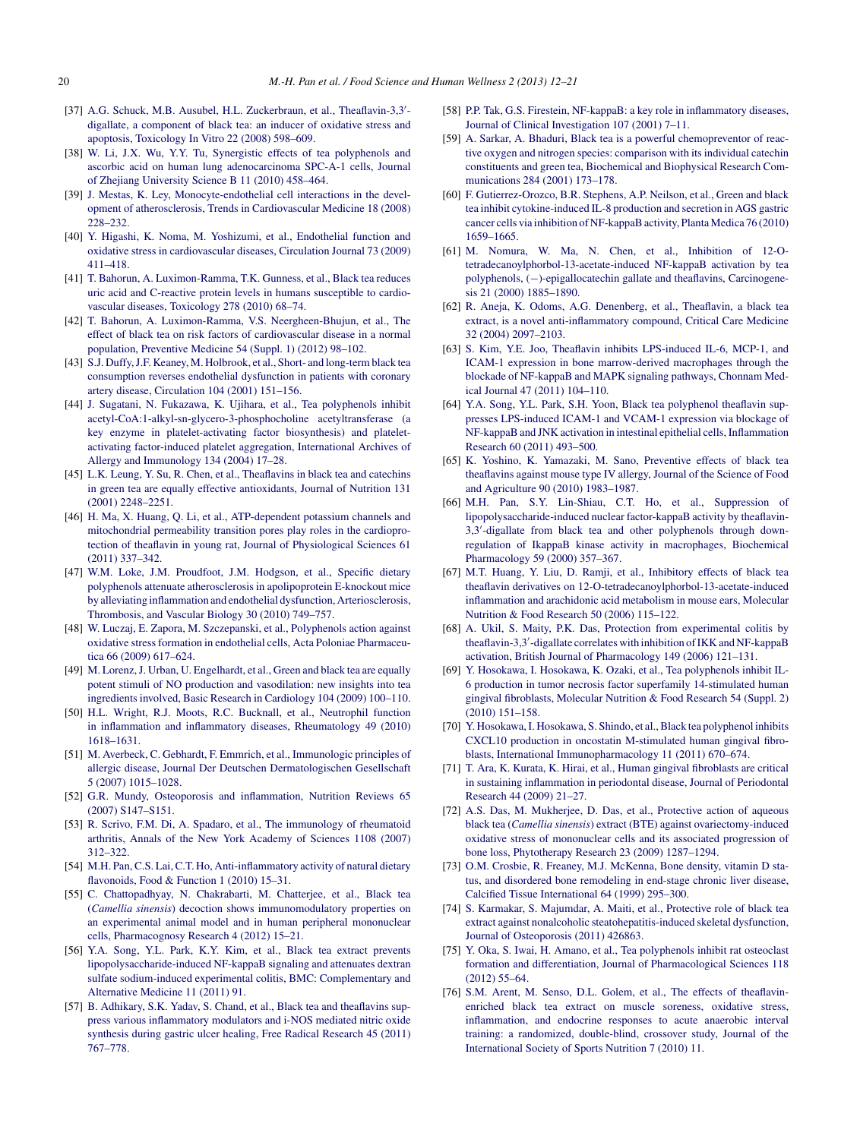- <span id="page-8-0"></span>[37] [A.G.](http://refhub.elsevier.com/S2213-4530(13)00015-3/sbref0185) [Schuck,](http://refhub.elsevier.com/S2213-4530(13)00015-3/sbref0185) [M.B.](http://refhub.elsevier.com/S2213-4530(13)00015-3/sbref0185) [Ausubel,](http://refhub.elsevier.com/S2213-4530(13)00015-3/sbref0185) [H.L.](http://refhub.elsevier.com/S2213-4530(13)00015-3/sbref0185) [Zuckerbraun,](http://refhub.elsevier.com/S2213-4530(13)00015-3/sbref0185) [et](http://refhub.elsevier.com/S2213-4530(13)00015-3/sbref0185) [al.,](http://refhub.elsevier.com/S2213-4530(13)00015-3/sbref0185) [Theaflavin-3,3](http://refhub.elsevier.com/S2213-4530(13)00015-3/sbref0185)' [digallate,](http://refhub.elsevier.com/S2213-4530(13)00015-3/sbref0185) [a](http://refhub.elsevier.com/S2213-4530(13)00015-3/sbref0185) [component](http://refhub.elsevier.com/S2213-4530(13)00015-3/sbref0185) [of](http://refhub.elsevier.com/S2213-4530(13)00015-3/sbref0185) [black](http://refhub.elsevier.com/S2213-4530(13)00015-3/sbref0185) [tea:](http://refhub.elsevier.com/S2213-4530(13)00015-3/sbref0185) [an](http://refhub.elsevier.com/S2213-4530(13)00015-3/sbref0185) [inducer](http://refhub.elsevier.com/S2213-4530(13)00015-3/sbref0185) [of](http://refhub.elsevier.com/S2213-4530(13)00015-3/sbref0185) [oxidative](http://refhub.elsevier.com/S2213-4530(13)00015-3/sbref0185) [stress](http://refhub.elsevier.com/S2213-4530(13)00015-3/sbref0185) [and](http://refhub.elsevier.com/S2213-4530(13)00015-3/sbref0185) [apoptosis,](http://refhub.elsevier.com/S2213-4530(13)00015-3/sbref0185) [Toxicology](http://refhub.elsevier.com/S2213-4530(13)00015-3/sbref0185) [In](http://refhub.elsevier.com/S2213-4530(13)00015-3/sbref0185) [Vitro](http://refhub.elsevier.com/S2213-4530(13)00015-3/sbref0185) [22](http://refhub.elsevier.com/S2213-4530(13)00015-3/sbref0185) [\(2008\)](http://refhub.elsevier.com/S2213-4530(13)00015-3/sbref0185) [598](http://refhub.elsevier.com/S2213-4530(13)00015-3/sbref0185)–[609.](http://refhub.elsevier.com/S2213-4530(13)00015-3/sbref0185)
- [38] [W.](http://refhub.elsevier.com/S2213-4530(13)00015-3/sbref0190) [Li,](http://refhub.elsevier.com/S2213-4530(13)00015-3/sbref0190) [J.X.](http://refhub.elsevier.com/S2213-4530(13)00015-3/sbref0190) [Wu,](http://refhub.elsevier.com/S2213-4530(13)00015-3/sbref0190) [Y.Y.](http://refhub.elsevier.com/S2213-4530(13)00015-3/sbref0190) [Tu,](http://refhub.elsevier.com/S2213-4530(13)00015-3/sbref0190) [Synergistic](http://refhub.elsevier.com/S2213-4530(13)00015-3/sbref0190) [effects](http://refhub.elsevier.com/S2213-4530(13)00015-3/sbref0190) [of](http://refhub.elsevier.com/S2213-4530(13)00015-3/sbref0190) [tea](http://refhub.elsevier.com/S2213-4530(13)00015-3/sbref0190) [polyphenols](http://refhub.elsevier.com/S2213-4530(13)00015-3/sbref0190) [and](http://refhub.elsevier.com/S2213-4530(13)00015-3/sbref0190) [ascorbic](http://refhub.elsevier.com/S2213-4530(13)00015-3/sbref0190) [acid](http://refhub.elsevier.com/S2213-4530(13)00015-3/sbref0190) [on](http://refhub.elsevier.com/S2213-4530(13)00015-3/sbref0190) [human](http://refhub.elsevier.com/S2213-4530(13)00015-3/sbref0190) [lung](http://refhub.elsevier.com/S2213-4530(13)00015-3/sbref0190) [adenocarcinoma](http://refhub.elsevier.com/S2213-4530(13)00015-3/sbref0190) [SPC-A-1](http://refhub.elsevier.com/S2213-4530(13)00015-3/sbref0190) [cells,](http://refhub.elsevier.com/S2213-4530(13)00015-3/sbref0190) [Journal](http://refhub.elsevier.com/S2213-4530(13)00015-3/sbref0190) [of](http://refhub.elsevier.com/S2213-4530(13)00015-3/sbref0190) [Zhejiang](http://refhub.elsevier.com/S2213-4530(13)00015-3/sbref0190) [University](http://refhub.elsevier.com/S2213-4530(13)00015-3/sbref0190) [Science](http://refhub.elsevier.com/S2213-4530(13)00015-3/sbref0190) [B](http://refhub.elsevier.com/S2213-4530(13)00015-3/sbref0190) [11](http://refhub.elsevier.com/S2213-4530(13)00015-3/sbref0190) [\(2010\)](http://refhub.elsevier.com/S2213-4530(13)00015-3/sbref0190) [458](http://refhub.elsevier.com/S2213-4530(13)00015-3/sbref0190)–[464.](http://refhub.elsevier.com/S2213-4530(13)00015-3/sbref0190)
- [39] [J.](http://refhub.elsevier.com/S2213-4530(13)00015-3/sbref0195) [Mestas,](http://refhub.elsevier.com/S2213-4530(13)00015-3/sbref0195) [K.](http://refhub.elsevier.com/S2213-4530(13)00015-3/sbref0195) [Ley,](http://refhub.elsevier.com/S2213-4530(13)00015-3/sbref0195) [Monocyte-endothelial](http://refhub.elsevier.com/S2213-4530(13)00015-3/sbref0195) [cell](http://refhub.elsevier.com/S2213-4530(13)00015-3/sbref0195) [interactions](http://refhub.elsevier.com/S2213-4530(13)00015-3/sbref0195) [in](http://refhub.elsevier.com/S2213-4530(13)00015-3/sbref0195) [the](http://refhub.elsevier.com/S2213-4530(13)00015-3/sbref0195) [devel](http://refhub.elsevier.com/S2213-4530(13)00015-3/sbref0195)[opment](http://refhub.elsevier.com/S2213-4530(13)00015-3/sbref0195) [of](http://refhub.elsevier.com/S2213-4530(13)00015-3/sbref0195) [atherosclerosis,](http://refhub.elsevier.com/S2213-4530(13)00015-3/sbref0195) [Trends](http://refhub.elsevier.com/S2213-4530(13)00015-3/sbref0195) [in](http://refhub.elsevier.com/S2213-4530(13)00015-3/sbref0195) [Cardiovascular](http://refhub.elsevier.com/S2213-4530(13)00015-3/sbref0195) [Medicine](http://refhub.elsevier.com/S2213-4530(13)00015-3/sbref0195) [18](http://refhub.elsevier.com/S2213-4530(13)00015-3/sbref0195) [\(2008\)](http://refhub.elsevier.com/S2213-4530(13)00015-3/sbref0195) [228](http://refhub.elsevier.com/S2213-4530(13)00015-3/sbref0195)–[232.](http://refhub.elsevier.com/S2213-4530(13)00015-3/sbref0195)
- [40] [Y.](http://refhub.elsevier.com/S2213-4530(13)00015-3/sbref0200) [Higashi,](http://refhub.elsevier.com/S2213-4530(13)00015-3/sbref0200) [K.](http://refhub.elsevier.com/S2213-4530(13)00015-3/sbref0200) [Noma,](http://refhub.elsevier.com/S2213-4530(13)00015-3/sbref0200) [M.](http://refhub.elsevier.com/S2213-4530(13)00015-3/sbref0200) [Yoshizumi,](http://refhub.elsevier.com/S2213-4530(13)00015-3/sbref0200) [et](http://refhub.elsevier.com/S2213-4530(13)00015-3/sbref0200) [al.,](http://refhub.elsevier.com/S2213-4530(13)00015-3/sbref0200) [Endothelial](http://refhub.elsevier.com/S2213-4530(13)00015-3/sbref0200) [function](http://refhub.elsevier.com/S2213-4530(13)00015-3/sbref0200) [and](http://refhub.elsevier.com/S2213-4530(13)00015-3/sbref0200) [oxidative](http://refhub.elsevier.com/S2213-4530(13)00015-3/sbref0200) [stress](http://refhub.elsevier.com/S2213-4530(13)00015-3/sbref0200) [in](http://refhub.elsevier.com/S2213-4530(13)00015-3/sbref0200) [cardiovascular](http://refhub.elsevier.com/S2213-4530(13)00015-3/sbref0200) [diseases,](http://refhub.elsevier.com/S2213-4530(13)00015-3/sbref0200) [Circulation](http://refhub.elsevier.com/S2213-4530(13)00015-3/sbref0200) [Journal](http://refhub.elsevier.com/S2213-4530(13)00015-3/sbref0200) [73](http://refhub.elsevier.com/S2213-4530(13)00015-3/sbref0200) [\(2009\)](http://refhub.elsevier.com/S2213-4530(13)00015-3/sbref0200) [411](http://refhub.elsevier.com/S2213-4530(13)00015-3/sbref0200)–[418.](http://refhub.elsevier.com/S2213-4530(13)00015-3/sbref0200)
- [41] [T.](http://refhub.elsevier.com/S2213-4530(13)00015-3/sbref0205) [Bahorun,](http://refhub.elsevier.com/S2213-4530(13)00015-3/sbref0205) [A.](http://refhub.elsevier.com/S2213-4530(13)00015-3/sbref0205) [Luximon-Ramma,](http://refhub.elsevier.com/S2213-4530(13)00015-3/sbref0205) [T.K.](http://refhub.elsevier.com/S2213-4530(13)00015-3/sbref0205) [Gunness,](http://refhub.elsevier.com/S2213-4530(13)00015-3/sbref0205) [et](http://refhub.elsevier.com/S2213-4530(13)00015-3/sbref0205) [al.,](http://refhub.elsevier.com/S2213-4530(13)00015-3/sbref0205) [Black](http://refhub.elsevier.com/S2213-4530(13)00015-3/sbref0205) [tea](http://refhub.elsevier.com/S2213-4530(13)00015-3/sbref0205) [reduces](http://refhub.elsevier.com/S2213-4530(13)00015-3/sbref0205) [uric](http://refhub.elsevier.com/S2213-4530(13)00015-3/sbref0205) [acid](http://refhub.elsevier.com/S2213-4530(13)00015-3/sbref0205) [and](http://refhub.elsevier.com/S2213-4530(13)00015-3/sbref0205) [C-reactive](http://refhub.elsevier.com/S2213-4530(13)00015-3/sbref0205) [protein](http://refhub.elsevier.com/S2213-4530(13)00015-3/sbref0205) [levels](http://refhub.elsevier.com/S2213-4530(13)00015-3/sbref0205) [in](http://refhub.elsevier.com/S2213-4530(13)00015-3/sbref0205) [humans](http://refhub.elsevier.com/S2213-4530(13)00015-3/sbref0205) [susceptible](http://refhub.elsevier.com/S2213-4530(13)00015-3/sbref0205) [to](http://refhub.elsevier.com/S2213-4530(13)00015-3/sbref0205) [cardio](http://refhub.elsevier.com/S2213-4530(13)00015-3/sbref0205)[vascular](http://refhub.elsevier.com/S2213-4530(13)00015-3/sbref0205) [diseases,](http://refhub.elsevier.com/S2213-4530(13)00015-3/sbref0205) [Toxicology](http://refhub.elsevier.com/S2213-4530(13)00015-3/sbref0205) [278](http://refhub.elsevier.com/S2213-4530(13)00015-3/sbref0205) [\(2010\)](http://refhub.elsevier.com/S2213-4530(13)00015-3/sbref0205) [68](http://refhub.elsevier.com/S2213-4530(13)00015-3/sbref0205)–[74.](http://refhub.elsevier.com/S2213-4530(13)00015-3/sbref0205)
- [42] [T.](http://refhub.elsevier.com/S2213-4530(13)00015-3/sbref0210) [Bahorun,](http://refhub.elsevier.com/S2213-4530(13)00015-3/sbref0210) [A.](http://refhub.elsevier.com/S2213-4530(13)00015-3/sbref0210) [Luximon-Ramma,](http://refhub.elsevier.com/S2213-4530(13)00015-3/sbref0210) [V.S.](http://refhub.elsevier.com/S2213-4530(13)00015-3/sbref0210) [Neergheen-Bhujun,](http://refhub.elsevier.com/S2213-4530(13)00015-3/sbref0210) [et](http://refhub.elsevier.com/S2213-4530(13)00015-3/sbref0210) [al.,](http://refhub.elsevier.com/S2213-4530(13)00015-3/sbref0210) [The](http://refhub.elsevier.com/S2213-4530(13)00015-3/sbref0210) [effect](http://refhub.elsevier.com/S2213-4530(13)00015-3/sbref0210) [of](http://refhub.elsevier.com/S2213-4530(13)00015-3/sbref0210) [black](http://refhub.elsevier.com/S2213-4530(13)00015-3/sbref0210) [tea](http://refhub.elsevier.com/S2213-4530(13)00015-3/sbref0210) [on](http://refhub.elsevier.com/S2213-4530(13)00015-3/sbref0210) [risk](http://refhub.elsevier.com/S2213-4530(13)00015-3/sbref0210) [factors](http://refhub.elsevier.com/S2213-4530(13)00015-3/sbref0210) [of](http://refhub.elsevier.com/S2213-4530(13)00015-3/sbref0210) [cardiovascular](http://refhub.elsevier.com/S2213-4530(13)00015-3/sbref0210) [disease](http://refhub.elsevier.com/S2213-4530(13)00015-3/sbref0210) [in](http://refhub.elsevier.com/S2213-4530(13)00015-3/sbref0210) [a](http://refhub.elsevier.com/S2213-4530(13)00015-3/sbref0210) [normal](http://refhub.elsevier.com/S2213-4530(13)00015-3/sbref0210) [population,](http://refhub.elsevier.com/S2213-4530(13)00015-3/sbref0210) [Preventive](http://refhub.elsevier.com/S2213-4530(13)00015-3/sbref0210) [Medicine](http://refhub.elsevier.com/S2213-4530(13)00015-3/sbref0210) [54](http://refhub.elsevier.com/S2213-4530(13)00015-3/sbref0210) [\(Suppl.](http://refhub.elsevier.com/S2213-4530(13)00015-3/sbref0210) [1\)](http://refhub.elsevier.com/S2213-4530(13)00015-3/sbref0210) [\(2012\)](http://refhub.elsevier.com/S2213-4530(13)00015-3/sbref0210) [98–102.](http://refhub.elsevier.com/S2213-4530(13)00015-3/sbref0210)
- [43] [S.J.](http://refhub.elsevier.com/S2213-4530(13)00015-3/sbref0215) [Duffy,J.F.](http://refhub.elsevier.com/S2213-4530(13)00015-3/sbref0215) [Keaney,](http://refhub.elsevier.com/S2213-4530(13)00015-3/sbref0215) [M.](http://refhub.elsevier.com/S2213-4530(13)00015-3/sbref0215) [Holbrook,](http://refhub.elsevier.com/S2213-4530(13)00015-3/sbref0215) [et](http://refhub.elsevier.com/S2213-4530(13)00015-3/sbref0215) [al.,](http://refhub.elsevier.com/S2213-4530(13)00015-3/sbref0215) [Short-](http://refhub.elsevier.com/S2213-4530(13)00015-3/sbref0215) [and](http://refhub.elsevier.com/S2213-4530(13)00015-3/sbref0215) [long-term](http://refhub.elsevier.com/S2213-4530(13)00015-3/sbref0215) [black](http://refhub.elsevier.com/S2213-4530(13)00015-3/sbref0215) [tea](http://refhub.elsevier.com/S2213-4530(13)00015-3/sbref0215) [consumption](http://refhub.elsevier.com/S2213-4530(13)00015-3/sbref0215) [reverses](http://refhub.elsevier.com/S2213-4530(13)00015-3/sbref0215) [endothelial](http://refhub.elsevier.com/S2213-4530(13)00015-3/sbref0215) [dysfunction](http://refhub.elsevier.com/S2213-4530(13)00015-3/sbref0215) [in](http://refhub.elsevier.com/S2213-4530(13)00015-3/sbref0215) [patients](http://refhub.elsevier.com/S2213-4530(13)00015-3/sbref0215) [with](http://refhub.elsevier.com/S2213-4530(13)00015-3/sbref0215) [coronary](http://refhub.elsevier.com/S2213-4530(13)00015-3/sbref0215) [artery](http://refhub.elsevier.com/S2213-4530(13)00015-3/sbref0215) [disease,](http://refhub.elsevier.com/S2213-4530(13)00015-3/sbref0215) [Circulation](http://refhub.elsevier.com/S2213-4530(13)00015-3/sbref0215) [104](http://refhub.elsevier.com/S2213-4530(13)00015-3/sbref0215) [\(2001\)](http://refhub.elsevier.com/S2213-4530(13)00015-3/sbref0215) [151–156.](http://refhub.elsevier.com/S2213-4530(13)00015-3/sbref0215)
- [44] [J.](http://refhub.elsevier.com/S2213-4530(13)00015-3/sbref0220) [Sugatani,](http://refhub.elsevier.com/S2213-4530(13)00015-3/sbref0220) [N.](http://refhub.elsevier.com/S2213-4530(13)00015-3/sbref0220) [Fukazawa,](http://refhub.elsevier.com/S2213-4530(13)00015-3/sbref0220) [K.](http://refhub.elsevier.com/S2213-4530(13)00015-3/sbref0220) [Ujihara,](http://refhub.elsevier.com/S2213-4530(13)00015-3/sbref0220) [et](http://refhub.elsevier.com/S2213-4530(13)00015-3/sbref0220) [al.,](http://refhub.elsevier.com/S2213-4530(13)00015-3/sbref0220) [Tea](http://refhub.elsevier.com/S2213-4530(13)00015-3/sbref0220) [polyphenols](http://refhub.elsevier.com/S2213-4530(13)00015-3/sbref0220) [inhibit](http://refhub.elsevier.com/S2213-4530(13)00015-3/sbref0220) [acetyl-CoA:1-alkyl-sn-glycero-3-phosphocholine](http://refhub.elsevier.com/S2213-4530(13)00015-3/sbref0220) [acetyltransferase](http://refhub.elsevier.com/S2213-4530(13)00015-3/sbref0220) [\(a](http://refhub.elsevier.com/S2213-4530(13)00015-3/sbref0220) [key](http://refhub.elsevier.com/S2213-4530(13)00015-3/sbref0220) [enzyme](http://refhub.elsevier.com/S2213-4530(13)00015-3/sbref0220) [in](http://refhub.elsevier.com/S2213-4530(13)00015-3/sbref0220) [platelet-activating](http://refhub.elsevier.com/S2213-4530(13)00015-3/sbref0220) [factor](http://refhub.elsevier.com/S2213-4530(13)00015-3/sbref0220) [biosynthesis\)](http://refhub.elsevier.com/S2213-4530(13)00015-3/sbref0220) [and](http://refhub.elsevier.com/S2213-4530(13)00015-3/sbref0220) [platelet](http://refhub.elsevier.com/S2213-4530(13)00015-3/sbref0220)[activating](http://refhub.elsevier.com/S2213-4530(13)00015-3/sbref0220) [factor-induced](http://refhub.elsevier.com/S2213-4530(13)00015-3/sbref0220) [platelet](http://refhub.elsevier.com/S2213-4530(13)00015-3/sbref0220) [aggregation,](http://refhub.elsevier.com/S2213-4530(13)00015-3/sbref0220) [International](http://refhub.elsevier.com/S2213-4530(13)00015-3/sbref0220) [Archives](http://refhub.elsevier.com/S2213-4530(13)00015-3/sbref0220) [of](http://refhub.elsevier.com/S2213-4530(13)00015-3/sbref0220) [Allergy](http://refhub.elsevier.com/S2213-4530(13)00015-3/sbref0220) [and](http://refhub.elsevier.com/S2213-4530(13)00015-3/sbref0220) [Immunology](http://refhub.elsevier.com/S2213-4530(13)00015-3/sbref0220) [134](http://refhub.elsevier.com/S2213-4530(13)00015-3/sbref0220) [\(2004\)](http://refhub.elsevier.com/S2213-4530(13)00015-3/sbref0220) [17–28.](http://refhub.elsevier.com/S2213-4530(13)00015-3/sbref0220)
- [45] [L.K.](http://refhub.elsevier.com/S2213-4530(13)00015-3/sbref0225) [Leung,](http://refhub.elsevier.com/S2213-4530(13)00015-3/sbref0225) [Y.](http://refhub.elsevier.com/S2213-4530(13)00015-3/sbref0225) [Su,](http://refhub.elsevier.com/S2213-4530(13)00015-3/sbref0225) [R.](http://refhub.elsevier.com/S2213-4530(13)00015-3/sbref0225) [Chen,](http://refhub.elsevier.com/S2213-4530(13)00015-3/sbref0225) [et](http://refhub.elsevier.com/S2213-4530(13)00015-3/sbref0225) [al.,](http://refhub.elsevier.com/S2213-4530(13)00015-3/sbref0225) [Theaflavins](http://refhub.elsevier.com/S2213-4530(13)00015-3/sbref0225) [in](http://refhub.elsevier.com/S2213-4530(13)00015-3/sbref0225) [black](http://refhub.elsevier.com/S2213-4530(13)00015-3/sbref0225) [tea](http://refhub.elsevier.com/S2213-4530(13)00015-3/sbref0225) [and](http://refhub.elsevier.com/S2213-4530(13)00015-3/sbref0225) [catechins](http://refhub.elsevier.com/S2213-4530(13)00015-3/sbref0225) [in](http://refhub.elsevier.com/S2213-4530(13)00015-3/sbref0225) [green](http://refhub.elsevier.com/S2213-4530(13)00015-3/sbref0225) [tea](http://refhub.elsevier.com/S2213-4530(13)00015-3/sbref0225) [are](http://refhub.elsevier.com/S2213-4530(13)00015-3/sbref0225) [equally](http://refhub.elsevier.com/S2213-4530(13)00015-3/sbref0225) [effective](http://refhub.elsevier.com/S2213-4530(13)00015-3/sbref0225) [antioxidants,](http://refhub.elsevier.com/S2213-4530(13)00015-3/sbref0225) [Journal](http://refhub.elsevier.com/S2213-4530(13)00015-3/sbref0225) [of](http://refhub.elsevier.com/S2213-4530(13)00015-3/sbref0225) [Nutrition](http://refhub.elsevier.com/S2213-4530(13)00015-3/sbref0225) [131](http://refhub.elsevier.com/S2213-4530(13)00015-3/sbref0225) [\(2001\)](http://refhub.elsevier.com/S2213-4530(13)00015-3/sbref0225) [2248–2251.](http://refhub.elsevier.com/S2213-4530(13)00015-3/sbref0225)
- [46] [H.](http://refhub.elsevier.com/S2213-4530(13)00015-3/sbref0230) [Ma,](http://refhub.elsevier.com/S2213-4530(13)00015-3/sbref0230) [X.](http://refhub.elsevier.com/S2213-4530(13)00015-3/sbref0230) [Huang,](http://refhub.elsevier.com/S2213-4530(13)00015-3/sbref0230) [Q.](http://refhub.elsevier.com/S2213-4530(13)00015-3/sbref0230) [Li,](http://refhub.elsevier.com/S2213-4530(13)00015-3/sbref0230) [et](http://refhub.elsevier.com/S2213-4530(13)00015-3/sbref0230) [al.,](http://refhub.elsevier.com/S2213-4530(13)00015-3/sbref0230) [ATP-dependent](http://refhub.elsevier.com/S2213-4530(13)00015-3/sbref0230) [potassium](http://refhub.elsevier.com/S2213-4530(13)00015-3/sbref0230) [channels](http://refhub.elsevier.com/S2213-4530(13)00015-3/sbref0230) [and](http://refhub.elsevier.com/S2213-4530(13)00015-3/sbref0230) [mitochondrial](http://refhub.elsevier.com/S2213-4530(13)00015-3/sbref0230) [permeability](http://refhub.elsevier.com/S2213-4530(13)00015-3/sbref0230) [transition](http://refhub.elsevier.com/S2213-4530(13)00015-3/sbref0230) [pores](http://refhub.elsevier.com/S2213-4530(13)00015-3/sbref0230) [play](http://refhub.elsevier.com/S2213-4530(13)00015-3/sbref0230) [roles](http://refhub.elsevier.com/S2213-4530(13)00015-3/sbref0230) [in](http://refhub.elsevier.com/S2213-4530(13)00015-3/sbref0230) [the](http://refhub.elsevier.com/S2213-4530(13)00015-3/sbref0230) [cardiopro](http://refhub.elsevier.com/S2213-4530(13)00015-3/sbref0230)[tection](http://refhub.elsevier.com/S2213-4530(13)00015-3/sbref0230) [of](http://refhub.elsevier.com/S2213-4530(13)00015-3/sbref0230) [theaflavin](http://refhub.elsevier.com/S2213-4530(13)00015-3/sbref0230) [in](http://refhub.elsevier.com/S2213-4530(13)00015-3/sbref0230) [young](http://refhub.elsevier.com/S2213-4530(13)00015-3/sbref0230) [rat,](http://refhub.elsevier.com/S2213-4530(13)00015-3/sbref0230) [Journal](http://refhub.elsevier.com/S2213-4530(13)00015-3/sbref0230) [of](http://refhub.elsevier.com/S2213-4530(13)00015-3/sbref0230) [Physiological](http://refhub.elsevier.com/S2213-4530(13)00015-3/sbref0230) [Sciences](http://refhub.elsevier.com/S2213-4530(13)00015-3/sbref0230) [61](http://refhub.elsevier.com/S2213-4530(13)00015-3/sbref0230) [\(2011\)](http://refhub.elsevier.com/S2213-4530(13)00015-3/sbref0230) [337–342.](http://refhub.elsevier.com/S2213-4530(13)00015-3/sbref0230)
- [47] [W.M.](http://refhub.elsevier.com/S2213-4530(13)00015-3/sbref0235) [Loke,](http://refhub.elsevier.com/S2213-4530(13)00015-3/sbref0235) [J.M.](http://refhub.elsevier.com/S2213-4530(13)00015-3/sbref0235) [Proudfoot,](http://refhub.elsevier.com/S2213-4530(13)00015-3/sbref0235) J.M. [Hodgson,](http://refhub.elsevier.com/S2213-4530(13)00015-3/sbref0235) [et](http://refhub.elsevier.com/S2213-4530(13)00015-3/sbref0235) [al.,](http://refhub.elsevier.com/S2213-4530(13)00015-3/sbref0235) [Specific](http://refhub.elsevier.com/S2213-4530(13)00015-3/sbref0235) [dietary](http://refhub.elsevier.com/S2213-4530(13)00015-3/sbref0235) [polyphenols](http://refhub.elsevier.com/S2213-4530(13)00015-3/sbref0235) [attenuate](http://refhub.elsevier.com/S2213-4530(13)00015-3/sbref0235) [atherosclerosis](http://refhub.elsevier.com/S2213-4530(13)00015-3/sbref0235) [in](http://refhub.elsevier.com/S2213-4530(13)00015-3/sbref0235) [apolipoprotein](http://refhub.elsevier.com/S2213-4530(13)00015-3/sbref0235) [E-knockout](http://refhub.elsevier.com/S2213-4530(13)00015-3/sbref0235) [mice](http://refhub.elsevier.com/S2213-4530(13)00015-3/sbref0235) [by](http://refhub.elsevier.com/S2213-4530(13)00015-3/sbref0235) [alleviating](http://refhub.elsevier.com/S2213-4530(13)00015-3/sbref0235) [inflammation](http://refhub.elsevier.com/S2213-4530(13)00015-3/sbref0235) [and](http://refhub.elsevier.com/S2213-4530(13)00015-3/sbref0235) [endothelial](http://refhub.elsevier.com/S2213-4530(13)00015-3/sbref0235) [dysfunction,](http://refhub.elsevier.com/S2213-4530(13)00015-3/sbref0235) [Arteriosclerosis,](http://refhub.elsevier.com/S2213-4530(13)00015-3/sbref0235) [Thrombosis,](http://refhub.elsevier.com/S2213-4530(13)00015-3/sbref0235) [and](http://refhub.elsevier.com/S2213-4530(13)00015-3/sbref0235) [Vascular](http://refhub.elsevier.com/S2213-4530(13)00015-3/sbref0235) [Biology](http://refhub.elsevier.com/S2213-4530(13)00015-3/sbref0235) [30](http://refhub.elsevier.com/S2213-4530(13)00015-3/sbref0235) [\(2010\)](http://refhub.elsevier.com/S2213-4530(13)00015-3/sbref0235) [749](http://refhub.elsevier.com/S2213-4530(13)00015-3/sbref0235)–[757.](http://refhub.elsevier.com/S2213-4530(13)00015-3/sbref0235)
- [48] [W.](http://refhub.elsevier.com/S2213-4530(13)00015-3/sbref0240) [Luczaj,](http://refhub.elsevier.com/S2213-4530(13)00015-3/sbref0240) [E.](http://refhub.elsevier.com/S2213-4530(13)00015-3/sbref0240) [Zapora,](http://refhub.elsevier.com/S2213-4530(13)00015-3/sbref0240) [M.](http://refhub.elsevier.com/S2213-4530(13)00015-3/sbref0240) [Szczepanski,](http://refhub.elsevier.com/S2213-4530(13)00015-3/sbref0240) [et](http://refhub.elsevier.com/S2213-4530(13)00015-3/sbref0240) [al.,](http://refhub.elsevier.com/S2213-4530(13)00015-3/sbref0240) [Polyphenols](http://refhub.elsevier.com/S2213-4530(13)00015-3/sbref0240) [action](http://refhub.elsevier.com/S2213-4530(13)00015-3/sbref0240) [against](http://refhub.elsevier.com/S2213-4530(13)00015-3/sbref0240) [oxidative](http://refhub.elsevier.com/S2213-4530(13)00015-3/sbref0240) [stressformation](http://refhub.elsevier.com/S2213-4530(13)00015-3/sbref0240) [in](http://refhub.elsevier.com/S2213-4530(13)00015-3/sbref0240) [endothelial](http://refhub.elsevier.com/S2213-4530(13)00015-3/sbref0240) [cells,](http://refhub.elsevier.com/S2213-4530(13)00015-3/sbref0240) [Acta](http://refhub.elsevier.com/S2213-4530(13)00015-3/sbref0240) [Poloniae](http://refhub.elsevier.com/S2213-4530(13)00015-3/sbref0240) [Pharmaceu](http://refhub.elsevier.com/S2213-4530(13)00015-3/sbref0240)[tica](http://refhub.elsevier.com/S2213-4530(13)00015-3/sbref0240) [66](http://refhub.elsevier.com/S2213-4530(13)00015-3/sbref0240) [\(2009\)](http://refhub.elsevier.com/S2213-4530(13)00015-3/sbref0240) [617](http://refhub.elsevier.com/S2213-4530(13)00015-3/sbref0240)–[624.](http://refhub.elsevier.com/S2213-4530(13)00015-3/sbref0240)
- [49] [M.](http://refhub.elsevier.com/S2213-4530(13)00015-3/sbref0245) Lorenz, J. [Urban,](http://refhub.elsevier.com/S2213-4530(13)00015-3/sbref0245) [U.](http://refhub.elsevier.com/S2213-4530(13)00015-3/sbref0245) [Engelhardt,](http://refhub.elsevier.com/S2213-4530(13)00015-3/sbref0245) [et](http://refhub.elsevier.com/S2213-4530(13)00015-3/sbref0245) [al.,](http://refhub.elsevier.com/S2213-4530(13)00015-3/sbref0245) [Green](http://refhub.elsevier.com/S2213-4530(13)00015-3/sbref0245) [and](http://refhub.elsevier.com/S2213-4530(13)00015-3/sbref0245) [black](http://refhub.elsevier.com/S2213-4530(13)00015-3/sbref0245) [tea](http://refhub.elsevier.com/S2213-4530(13)00015-3/sbref0245) [are](http://refhub.elsevier.com/S2213-4530(13)00015-3/sbref0245) [equally](http://refhub.elsevier.com/S2213-4530(13)00015-3/sbref0245) [potent](http://refhub.elsevier.com/S2213-4530(13)00015-3/sbref0245) [stimuli](http://refhub.elsevier.com/S2213-4530(13)00015-3/sbref0245) [of](http://refhub.elsevier.com/S2213-4530(13)00015-3/sbref0245) [NO](http://refhub.elsevier.com/S2213-4530(13)00015-3/sbref0245) [production](http://refhub.elsevier.com/S2213-4530(13)00015-3/sbref0245) [and](http://refhub.elsevier.com/S2213-4530(13)00015-3/sbref0245) [vasodilation:](http://refhub.elsevier.com/S2213-4530(13)00015-3/sbref0245) [new](http://refhub.elsevier.com/S2213-4530(13)00015-3/sbref0245) [insights](http://refhub.elsevier.com/S2213-4530(13)00015-3/sbref0245) [into](http://refhub.elsevier.com/S2213-4530(13)00015-3/sbref0245) [tea](http://refhub.elsevier.com/S2213-4530(13)00015-3/sbref0245) [ingredients](http://refhub.elsevier.com/S2213-4530(13)00015-3/sbref0245) [involved,](http://refhub.elsevier.com/S2213-4530(13)00015-3/sbref0245) [Basic](http://refhub.elsevier.com/S2213-4530(13)00015-3/sbref0245) [Research](http://refhub.elsevier.com/S2213-4530(13)00015-3/sbref0245) [in](http://refhub.elsevier.com/S2213-4530(13)00015-3/sbref0245) [Cardiology](http://refhub.elsevier.com/S2213-4530(13)00015-3/sbref0245) [104](http://refhub.elsevier.com/S2213-4530(13)00015-3/sbref0245) [\(2009\)](http://refhub.elsevier.com/S2213-4530(13)00015-3/sbref0245) [100–110.](http://refhub.elsevier.com/S2213-4530(13)00015-3/sbref0245)
- [50] [H.L.](http://refhub.elsevier.com/S2213-4530(13)00015-3/sbref0250) [Wright,](http://refhub.elsevier.com/S2213-4530(13)00015-3/sbref0250) [R.J.](http://refhub.elsevier.com/S2213-4530(13)00015-3/sbref0250) [Moots,](http://refhub.elsevier.com/S2213-4530(13)00015-3/sbref0250) [R.C.](http://refhub.elsevier.com/S2213-4530(13)00015-3/sbref0250) [Bucknall,](http://refhub.elsevier.com/S2213-4530(13)00015-3/sbref0250) [et](http://refhub.elsevier.com/S2213-4530(13)00015-3/sbref0250) [al.,](http://refhub.elsevier.com/S2213-4530(13)00015-3/sbref0250) [Neutrophil](http://refhub.elsevier.com/S2213-4530(13)00015-3/sbref0250) [function](http://refhub.elsevier.com/S2213-4530(13)00015-3/sbref0250) [in](http://refhub.elsevier.com/S2213-4530(13)00015-3/sbref0250) [inflammation](http://refhub.elsevier.com/S2213-4530(13)00015-3/sbref0250) [and](http://refhub.elsevier.com/S2213-4530(13)00015-3/sbref0250) [inflammatory](http://refhub.elsevier.com/S2213-4530(13)00015-3/sbref0250) [diseases,](http://refhub.elsevier.com/S2213-4530(13)00015-3/sbref0250) [Rheumatology](http://refhub.elsevier.com/S2213-4530(13)00015-3/sbref0250) [49](http://refhub.elsevier.com/S2213-4530(13)00015-3/sbref0250) [\(2010\)](http://refhub.elsevier.com/S2213-4530(13)00015-3/sbref0250) [1618–1631.](http://refhub.elsevier.com/S2213-4530(13)00015-3/sbref0250)
- [51] [M.](http://refhub.elsevier.com/S2213-4530(13)00015-3/sbref0255) [Averbeck,](http://refhub.elsevier.com/S2213-4530(13)00015-3/sbref0255) [C.](http://refhub.elsevier.com/S2213-4530(13)00015-3/sbref0255) [Gebhardt,](http://refhub.elsevier.com/S2213-4530(13)00015-3/sbref0255) [F.](http://refhub.elsevier.com/S2213-4530(13)00015-3/sbref0255) [Emmrich,](http://refhub.elsevier.com/S2213-4530(13)00015-3/sbref0255) [et](http://refhub.elsevier.com/S2213-4530(13)00015-3/sbref0255) [al.,](http://refhub.elsevier.com/S2213-4530(13)00015-3/sbref0255) [Immunologic](http://refhub.elsevier.com/S2213-4530(13)00015-3/sbref0255) [principles](http://refhub.elsevier.com/S2213-4530(13)00015-3/sbref0255) [of](http://refhub.elsevier.com/S2213-4530(13)00015-3/sbref0255) [allergic](http://refhub.elsevier.com/S2213-4530(13)00015-3/sbref0255) [disease,](http://refhub.elsevier.com/S2213-4530(13)00015-3/sbref0255) [Journal](http://refhub.elsevier.com/S2213-4530(13)00015-3/sbref0255) [Der](http://refhub.elsevier.com/S2213-4530(13)00015-3/sbref0255) [Deutschen](http://refhub.elsevier.com/S2213-4530(13)00015-3/sbref0255) [Dermatologischen](http://refhub.elsevier.com/S2213-4530(13)00015-3/sbref0255) [Gesellschaft](http://refhub.elsevier.com/S2213-4530(13)00015-3/sbref0255) [5](http://refhub.elsevier.com/S2213-4530(13)00015-3/sbref0255) [\(2007\)](http://refhub.elsevier.com/S2213-4530(13)00015-3/sbref0255) [1015–1028.](http://refhub.elsevier.com/S2213-4530(13)00015-3/sbref0255)
- [52] [G.R.](http://refhub.elsevier.com/S2213-4530(13)00015-3/sbref0260) [Mundy,](http://refhub.elsevier.com/S2213-4530(13)00015-3/sbref0260) [Osteoporosis](http://refhub.elsevier.com/S2213-4530(13)00015-3/sbref0260) [and](http://refhub.elsevier.com/S2213-4530(13)00015-3/sbref0260) [inflammation,](http://refhub.elsevier.com/S2213-4530(13)00015-3/sbref0260) [Nutrition](http://refhub.elsevier.com/S2213-4530(13)00015-3/sbref0260) [Reviews](http://refhub.elsevier.com/S2213-4530(13)00015-3/sbref0260) [65](http://refhub.elsevier.com/S2213-4530(13)00015-3/sbref0260) [\(2007\)](http://refhub.elsevier.com/S2213-4530(13)00015-3/sbref0260) [S147–S151.](http://refhub.elsevier.com/S2213-4530(13)00015-3/sbref0260)
- [53] [R.](http://refhub.elsevier.com/S2213-4530(13)00015-3/sbref0265) [Scrivo,](http://refhub.elsevier.com/S2213-4530(13)00015-3/sbref0265) [F.M.](http://refhub.elsevier.com/S2213-4530(13)00015-3/sbref0265) [Di,](http://refhub.elsevier.com/S2213-4530(13)00015-3/sbref0265) [A.](http://refhub.elsevier.com/S2213-4530(13)00015-3/sbref0265) [Spadaro,](http://refhub.elsevier.com/S2213-4530(13)00015-3/sbref0265) [et](http://refhub.elsevier.com/S2213-4530(13)00015-3/sbref0265) [al.,](http://refhub.elsevier.com/S2213-4530(13)00015-3/sbref0265) [The](http://refhub.elsevier.com/S2213-4530(13)00015-3/sbref0265) [immunology](http://refhub.elsevier.com/S2213-4530(13)00015-3/sbref0265) [of](http://refhub.elsevier.com/S2213-4530(13)00015-3/sbref0265) [rheumatoid](http://refhub.elsevier.com/S2213-4530(13)00015-3/sbref0265) [arthritis,](http://refhub.elsevier.com/S2213-4530(13)00015-3/sbref0265) [Annals](http://refhub.elsevier.com/S2213-4530(13)00015-3/sbref0265) [of](http://refhub.elsevier.com/S2213-4530(13)00015-3/sbref0265) [the](http://refhub.elsevier.com/S2213-4530(13)00015-3/sbref0265) [New](http://refhub.elsevier.com/S2213-4530(13)00015-3/sbref0265) [York](http://refhub.elsevier.com/S2213-4530(13)00015-3/sbref0265) [Academy](http://refhub.elsevier.com/S2213-4530(13)00015-3/sbref0265) [of](http://refhub.elsevier.com/S2213-4530(13)00015-3/sbref0265) [Sciences](http://refhub.elsevier.com/S2213-4530(13)00015-3/sbref0265) [1108](http://refhub.elsevier.com/S2213-4530(13)00015-3/sbref0265) [\(2007\)](http://refhub.elsevier.com/S2213-4530(13)00015-3/sbref0265) [312–322.](http://refhub.elsevier.com/S2213-4530(13)00015-3/sbref0265)
- [54] [M.H.](http://refhub.elsevier.com/S2213-4530(13)00015-3/sbref0270) Pan, C.S. Lai, C.T. [Ho,](http://refhub.elsevier.com/S2213-4530(13)00015-3/sbref0270) [Anti-inflammatory](http://refhub.elsevier.com/S2213-4530(13)00015-3/sbref0270) [activity](http://refhub.elsevier.com/S2213-4530(13)00015-3/sbref0270) [of](http://refhub.elsevier.com/S2213-4530(13)00015-3/sbref0270) [natural](http://refhub.elsevier.com/S2213-4530(13)00015-3/sbref0270) [dietary](http://refhub.elsevier.com/S2213-4530(13)00015-3/sbref0270) [flavonoids,](http://refhub.elsevier.com/S2213-4530(13)00015-3/sbref0270) [Food](http://refhub.elsevier.com/S2213-4530(13)00015-3/sbref0270) [&](http://refhub.elsevier.com/S2213-4530(13)00015-3/sbref0270) [Function](http://refhub.elsevier.com/S2213-4530(13)00015-3/sbref0270) [1](http://refhub.elsevier.com/S2213-4530(13)00015-3/sbref0270) [\(2010\)](http://refhub.elsevier.com/S2213-4530(13)00015-3/sbref0270) [15](http://refhub.elsevier.com/S2213-4530(13)00015-3/sbref0270)-[31.](http://refhub.elsevier.com/S2213-4530(13)00015-3/sbref0270)
- [55] [C.](http://refhub.elsevier.com/S2213-4530(13)00015-3/sbref0275) [Chattopadhyay,](http://refhub.elsevier.com/S2213-4530(13)00015-3/sbref0275) [N.](http://refhub.elsevier.com/S2213-4530(13)00015-3/sbref0275) [Chakrabarti,](http://refhub.elsevier.com/S2213-4530(13)00015-3/sbref0275) [M.](http://refhub.elsevier.com/S2213-4530(13)00015-3/sbref0275) [Chatterjee,](http://refhub.elsevier.com/S2213-4530(13)00015-3/sbref0275) [et](http://refhub.elsevier.com/S2213-4530(13)00015-3/sbref0275) [al.,](http://refhub.elsevier.com/S2213-4530(13)00015-3/sbref0275) [Black](http://refhub.elsevier.com/S2213-4530(13)00015-3/sbref0275) [tea](http://refhub.elsevier.com/S2213-4530(13)00015-3/sbref0275) [\(](http://refhub.elsevier.com/S2213-4530(13)00015-3/sbref0275)*[Camellia](http://refhub.elsevier.com/S2213-4530(13)00015-3/sbref0275) [sinensis](http://refhub.elsevier.com/S2213-4530(13)00015-3/sbref0275)*[\)](http://refhub.elsevier.com/S2213-4530(13)00015-3/sbref0275) [decoction](http://refhub.elsevier.com/S2213-4530(13)00015-3/sbref0275) [shows](http://refhub.elsevier.com/S2213-4530(13)00015-3/sbref0275) [immunomodulatory](http://refhub.elsevier.com/S2213-4530(13)00015-3/sbref0275) [properties](http://refhub.elsevier.com/S2213-4530(13)00015-3/sbref0275) [on](http://refhub.elsevier.com/S2213-4530(13)00015-3/sbref0275) [an](http://refhub.elsevier.com/S2213-4530(13)00015-3/sbref0275) [experimental](http://refhub.elsevier.com/S2213-4530(13)00015-3/sbref0275) [animal](http://refhub.elsevier.com/S2213-4530(13)00015-3/sbref0275) [model](http://refhub.elsevier.com/S2213-4530(13)00015-3/sbref0275) [and](http://refhub.elsevier.com/S2213-4530(13)00015-3/sbref0275) [in](http://refhub.elsevier.com/S2213-4530(13)00015-3/sbref0275) [human](http://refhub.elsevier.com/S2213-4530(13)00015-3/sbref0275) [peripheral](http://refhub.elsevier.com/S2213-4530(13)00015-3/sbref0275) [mononuclear](http://refhub.elsevier.com/S2213-4530(13)00015-3/sbref0275) [cells,](http://refhub.elsevier.com/S2213-4530(13)00015-3/sbref0275) [Pharmacognosy](http://refhub.elsevier.com/S2213-4530(13)00015-3/sbref0275) [Research](http://refhub.elsevier.com/S2213-4530(13)00015-3/sbref0275) [4](http://refhub.elsevier.com/S2213-4530(13)00015-3/sbref0275) [\(2012\)](http://refhub.elsevier.com/S2213-4530(13)00015-3/sbref0275) [15](http://refhub.elsevier.com/S2213-4530(13)00015-3/sbref0275)–[21.](http://refhub.elsevier.com/S2213-4530(13)00015-3/sbref0275)
- [56] [Y.A.](http://refhub.elsevier.com/S2213-4530(13)00015-3/sbref0280) [Song,](http://refhub.elsevier.com/S2213-4530(13)00015-3/sbref0280) [Y.L.](http://refhub.elsevier.com/S2213-4530(13)00015-3/sbref0280) [Park,](http://refhub.elsevier.com/S2213-4530(13)00015-3/sbref0280) [K.Y.](http://refhub.elsevier.com/S2213-4530(13)00015-3/sbref0280) [Kim,](http://refhub.elsevier.com/S2213-4530(13)00015-3/sbref0280) [et](http://refhub.elsevier.com/S2213-4530(13)00015-3/sbref0280) [al.,](http://refhub.elsevier.com/S2213-4530(13)00015-3/sbref0280) [Black](http://refhub.elsevier.com/S2213-4530(13)00015-3/sbref0280) [tea](http://refhub.elsevier.com/S2213-4530(13)00015-3/sbref0280) [extract](http://refhub.elsevier.com/S2213-4530(13)00015-3/sbref0280) [prevents](http://refhub.elsevier.com/S2213-4530(13)00015-3/sbref0280) [lipopolysaccharide-induced](http://refhub.elsevier.com/S2213-4530(13)00015-3/sbref0280) [NF-kappaB](http://refhub.elsevier.com/S2213-4530(13)00015-3/sbref0280) [signaling](http://refhub.elsevier.com/S2213-4530(13)00015-3/sbref0280) [and](http://refhub.elsevier.com/S2213-4530(13)00015-3/sbref0280) [attenuates](http://refhub.elsevier.com/S2213-4530(13)00015-3/sbref0280) [dextran](http://refhub.elsevier.com/S2213-4530(13)00015-3/sbref0280) [sulfate](http://refhub.elsevier.com/S2213-4530(13)00015-3/sbref0280) [sodium-induced](http://refhub.elsevier.com/S2213-4530(13)00015-3/sbref0280) [experimental](http://refhub.elsevier.com/S2213-4530(13)00015-3/sbref0280) [colitis,](http://refhub.elsevier.com/S2213-4530(13)00015-3/sbref0280) [BMC:](http://refhub.elsevier.com/S2213-4530(13)00015-3/sbref0280) [Complementary](http://refhub.elsevier.com/S2213-4530(13)00015-3/sbref0280) [and](http://refhub.elsevier.com/S2213-4530(13)00015-3/sbref0280) [Alternative](http://refhub.elsevier.com/S2213-4530(13)00015-3/sbref0280) [Medicine](http://refhub.elsevier.com/S2213-4530(13)00015-3/sbref0280) [11](http://refhub.elsevier.com/S2213-4530(13)00015-3/sbref0280) [\(2011\)](http://refhub.elsevier.com/S2213-4530(13)00015-3/sbref0280) [91.](http://refhub.elsevier.com/S2213-4530(13)00015-3/sbref0280)
- [57] [B.](http://refhub.elsevier.com/S2213-4530(13)00015-3/sbref0285) [Adhikary,](http://refhub.elsevier.com/S2213-4530(13)00015-3/sbref0285) [S.K.](http://refhub.elsevier.com/S2213-4530(13)00015-3/sbref0285) [Yadav,](http://refhub.elsevier.com/S2213-4530(13)00015-3/sbref0285) [S.](http://refhub.elsevier.com/S2213-4530(13)00015-3/sbref0285) [Chand,](http://refhub.elsevier.com/S2213-4530(13)00015-3/sbref0285) [et](http://refhub.elsevier.com/S2213-4530(13)00015-3/sbref0285) [al.,](http://refhub.elsevier.com/S2213-4530(13)00015-3/sbref0285) [Black](http://refhub.elsevier.com/S2213-4530(13)00015-3/sbref0285) [tea](http://refhub.elsevier.com/S2213-4530(13)00015-3/sbref0285) [and](http://refhub.elsevier.com/S2213-4530(13)00015-3/sbref0285) [theaflavins](http://refhub.elsevier.com/S2213-4530(13)00015-3/sbref0285) [sup](http://refhub.elsevier.com/S2213-4530(13)00015-3/sbref0285)[press](http://refhub.elsevier.com/S2213-4530(13)00015-3/sbref0285) [various](http://refhub.elsevier.com/S2213-4530(13)00015-3/sbref0285) [inflammatory](http://refhub.elsevier.com/S2213-4530(13)00015-3/sbref0285) [modulators](http://refhub.elsevier.com/S2213-4530(13)00015-3/sbref0285) [and](http://refhub.elsevier.com/S2213-4530(13)00015-3/sbref0285) [i-NOS](http://refhub.elsevier.com/S2213-4530(13)00015-3/sbref0285) [mediated](http://refhub.elsevier.com/S2213-4530(13)00015-3/sbref0285) [nitric](http://refhub.elsevier.com/S2213-4530(13)00015-3/sbref0285) [oxide](http://refhub.elsevier.com/S2213-4530(13)00015-3/sbref0285) [synthesis](http://refhub.elsevier.com/S2213-4530(13)00015-3/sbref0285) [during](http://refhub.elsevier.com/S2213-4530(13)00015-3/sbref0285) [gastric](http://refhub.elsevier.com/S2213-4530(13)00015-3/sbref0285) [ulcer](http://refhub.elsevier.com/S2213-4530(13)00015-3/sbref0285) [healing,](http://refhub.elsevier.com/S2213-4530(13)00015-3/sbref0285) [Free](http://refhub.elsevier.com/S2213-4530(13)00015-3/sbref0285) [Radical](http://refhub.elsevier.com/S2213-4530(13)00015-3/sbref0285) [Research](http://refhub.elsevier.com/S2213-4530(13)00015-3/sbref0285) [45](http://refhub.elsevier.com/S2213-4530(13)00015-3/sbref0285) [\(2011\)](http://refhub.elsevier.com/S2213-4530(13)00015-3/sbref0285) [767](http://refhub.elsevier.com/S2213-4530(13)00015-3/sbref0285)–[778.](http://refhub.elsevier.com/S2213-4530(13)00015-3/sbref0285)
- [58] [P.P.](http://refhub.elsevier.com/S2213-4530(13)00015-3/sbref0290) [Tak,](http://refhub.elsevier.com/S2213-4530(13)00015-3/sbref0290) [G.S.](http://refhub.elsevier.com/S2213-4530(13)00015-3/sbref0290) [Firestein,](http://refhub.elsevier.com/S2213-4530(13)00015-3/sbref0290) [NF-kappaB:](http://refhub.elsevier.com/S2213-4530(13)00015-3/sbref0290) [a](http://refhub.elsevier.com/S2213-4530(13)00015-3/sbref0290) [key](http://refhub.elsevier.com/S2213-4530(13)00015-3/sbref0290) [role](http://refhub.elsevier.com/S2213-4530(13)00015-3/sbref0290) [in](http://refhub.elsevier.com/S2213-4530(13)00015-3/sbref0290) [inflammatory](http://refhub.elsevier.com/S2213-4530(13)00015-3/sbref0290) [diseases,](http://refhub.elsevier.com/S2213-4530(13)00015-3/sbref0290) [Journal](http://refhub.elsevier.com/S2213-4530(13)00015-3/sbref0290) [of](http://refhub.elsevier.com/S2213-4530(13)00015-3/sbref0290) [Clinical](http://refhub.elsevier.com/S2213-4530(13)00015-3/sbref0290) [Investigation](http://refhub.elsevier.com/S2213-4530(13)00015-3/sbref0290) [107](http://refhub.elsevier.com/S2213-4530(13)00015-3/sbref0290) [\(2001\)](http://refhub.elsevier.com/S2213-4530(13)00015-3/sbref0290) [7](http://refhub.elsevier.com/S2213-4530(13)00015-3/sbref0290)–[11.](http://refhub.elsevier.com/S2213-4530(13)00015-3/sbref0290)
- [59] [A.](http://refhub.elsevier.com/S2213-4530(13)00015-3/sbref0295) [Sarkar,](http://refhub.elsevier.com/S2213-4530(13)00015-3/sbref0295) [A.](http://refhub.elsevier.com/S2213-4530(13)00015-3/sbref0295) [Bhaduri,](http://refhub.elsevier.com/S2213-4530(13)00015-3/sbref0295) [Black](http://refhub.elsevier.com/S2213-4530(13)00015-3/sbref0295) [tea](http://refhub.elsevier.com/S2213-4530(13)00015-3/sbref0295) [is](http://refhub.elsevier.com/S2213-4530(13)00015-3/sbref0295) [a](http://refhub.elsevier.com/S2213-4530(13)00015-3/sbref0295) [powerful](http://refhub.elsevier.com/S2213-4530(13)00015-3/sbref0295) [chemopreventor](http://refhub.elsevier.com/S2213-4530(13)00015-3/sbref0295) [of](http://refhub.elsevier.com/S2213-4530(13)00015-3/sbref0295) [reac](http://refhub.elsevier.com/S2213-4530(13)00015-3/sbref0295)[tive](http://refhub.elsevier.com/S2213-4530(13)00015-3/sbref0295) [oxygen](http://refhub.elsevier.com/S2213-4530(13)00015-3/sbref0295) [and](http://refhub.elsevier.com/S2213-4530(13)00015-3/sbref0295) [nitrogen](http://refhub.elsevier.com/S2213-4530(13)00015-3/sbref0295) [species:](http://refhub.elsevier.com/S2213-4530(13)00015-3/sbref0295) [comparison](http://refhub.elsevier.com/S2213-4530(13)00015-3/sbref0295) [with](http://refhub.elsevier.com/S2213-4530(13)00015-3/sbref0295) [its](http://refhub.elsevier.com/S2213-4530(13)00015-3/sbref0295) [individual](http://refhub.elsevier.com/S2213-4530(13)00015-3/sbref0295) [catechin](http://refhub.elsevier.com/S2213-4530(13)00015-3/sbref0295) [constituents](http://refhub.elsevier.com/S2213-4530(13)00015-3/sbref0295) [and](http://refhub.elsevier.com/S2213-4530(13)00015-3/sbref0295) [green](http://refhub.elsevier.com/S2213-4530(13)00015-3/sbref0295) [tea,](http://refhub.elsevier.com/S2213-4530(13)00015-3/sbref0295) [Biochemical](http://refhub.elsevier.com/S2213-4530(13)00015-3/sbref0295) [and](http://refhub.elsevier.com/S2213-4530(13)00015-3/sbref0295) [Biophysical](http://refhub.elsevier.com/S2213-4530(13)00015-3/sbref0295) [Research](http://refhub.elsevier.com/S2213-4530(13)00015-3/sbref0295) [Com](http://refhub.elsevier.com/S2213-4530(13)00015-3/sbref0295)[munications](http://refhub.elsevier.com/S2213-4530(13)00015-3/sbref0295) [284](http://refhub.elsevier.com/S2213-4530(13)00015-3/sbref0295) [\(2001\)](http://refhub.elsevier.com/S2213-4530(13)00015-3/sbref0295) [173](http://refhub.elsevier.com/S2213-4530(13)00015-3/sbref0295)–[178.](http://refhub.elsevier.com/S2213-4530(13)00015-3/sbref0295)
- [60] [F.](http://refhub.elsevier.com/S2213-4530(13)00015-3/sbref0300) [Gutierrez-Orozco,](http://refhub.elsevier.com/S2213-4530(13)00015-3/sbref0300) [B.R.](http://refhub.elsevier.com/S2213-4530(13)00015-3/sbref0300) [Stephens,](http://refhub.elsevier.com/S2213-4530(13)00015-3/sbref0300) [A.P.](http://refhub.elsevier.com/S2213-4530(13)00015-3/sbref0300) [Neilson,](http://refhub.elsevier.com/S2213-4530(13)00015-3/sbref0300) [et](http://refhub.elsevier.com/S2213-4530(13)00015-3/sbref0300) [al.,](http://refhub.elsevier.com/S2213-4530(13)00015-3/sbref0300) [Green](http://refhub.elsevier.com/S2213-4530(13)00015-3/sbref0300) [and](http://refhub.elsevier.com/S2213-4530(13)00015-3/sbref0300) [black](http://refhub.elsevier.com/S2213-4530(13)00015-3/sbref0300) [tea](http://refhub.elsevier.com/S2213-4530(13)00015-3/sbref0300) [inhibit](http://refhub.elsevier.com/S2213-4530(13)00015-3/sbref0300) [cytokine-induced](http://refhub.elsevier.com/S2213-4530(13)00015-3/sbref0300) [IL-8](http://refhub.elsevier.com/S2213-4530(13)00015-3/sbref0300) [production](http://refhub.elsevier.com/S2213-4530(13)00015-3/sbref0300) [and](http://refhub.elsevier.com/S2213-4530(13)00015-3/sbref0300) [secretion](http://refhub.elsevier.com/S2213-4530(13)00015-3/sbref0300) [in](http://refhub.elsevier.com/S2213-4530(13)00015-3/sbref0300) [AGS](http://refhub.elsevier.com/S2213-4530(13)00015-3/sbref0300) [gastric](http://refhub.elsevier.com/S2213-4530(13)00015-3/sbref0300) [cancer](http://refhub.elsevier.com/S2213-4530(13)00015-3/sbref0300) [cells](http://refhub.elsevier.com/S2213-4530(13)00015-3/sbref0300) [via](http://refhub.elsevier.com/S2213-4530(13)00015-3/sbref0300) [inhibition](http://refhub.elsevier.com/S2213-4530(13)00015-3/sbref0300) [of](http://refhub.elsevier.com/S2213-4530(13)00015-3/sbref0300) NF-kappaB activity, Planta Medica [76](http://refhub.elsevier.com/S2213-4530(13)00015-3/sbref0300) [\(2010\)](http://refhub.elsevier.com/S2213-4530(13)00015-3/sbref0300) [1659](http://refhub.elsevier.com/S2213-4530(13)00015-3/sbref0300)–[1665.](http://refhub.elsevier.com/S2213-4530(13)00015-3/sbref0300)
- [61] [M.](http://refhub.elsevier.com/S2213-4530(13)00015-3/sbref0305) [Nomura,](http://refhub.elsevier.com/S2213-4530(13)00015-3/sbref0305) [W.](http://refhub.elsevier.com/S2213-4530(13)00015-3/sbref0305) [Ma,](http://refhub.elsevier.com/S2213-4530(13)00015-3/sbref0305) [N.](http://refhub.elsevier.com/S2213-4530(13)00015-3/sbref0305) [Chen,](http://refhub.elsevier.com/S2213-4530(13)00015-3/sbref0305) [et](http://refhub.elsevier.com/S2213-4530(13)00015-3/sbref0305) [al.,](http://refhub.elsevier.com/S2213-4530(13)00015-3/sbref0305) [Inhibition](http://refhub.elsevier.com/S2213-4530(13)00015-3/sbref0305) [of](http://refhub.elsevier.com/S2213-4530(13)00015-3/sbref0305) [12-O](http://refhub.elsevier.com/S2213-4530(13)00015-3/sbref0305)[tetradecanoylphorbol-13-acetate-induced](http://refhub.elsevier.com/S2213-4530(13)00015-3/sbref0305) [NF-kappaB](http://refhub.elsevier.com/S2213-4530(13)00015-3/sbref0305) [activation](http://refhub.elsevier.com/S2213-4530(13)00015-3/sbref0305) [by](http://refhub.elsevier.com/S2213-4530(13)00015-3/sbref0305) [tea](http://refhub.elsevier.com/S2213-4530(13)00015-3/sbref0305) [polyphenols,](http://refhub.elsevier.com/S2213-4530(13)00015-3/sbref0305) [\(](http://refhub.elsevier.com/S2213-4530(13)00015-3/sbref0305)[−](http://refhub.elsevier.com/S2213-4530(13)00015-3/sbref0305)[\)-epigallocatechin](http://refhub.elsevier.com/S2213-4530(13)00015-3/sbref0305) [gallate](http://refhub.elsevier.com/S2213-4530(13)00015-3/sbref0305) [and](http://refhub.elsevier.com/S2213-4530(13)00015-3/sbref0305) [theaflavins,](http://refhub.elsevier.com/S2213-4530(13)00015-3/sbref0305) [Carcinogene](http://refhub.elsevier.com/S2213-4530(13)00015-3/sbref0305)[sis](http://refhub.elsevier.com/S2213-4530(13)00015-3/sbref0305) [21](http://refhub.elsevier.com/S2213-4530(13)00015-3/sbref0305) [\(2000\)](http://refhub.elsevier.com/S2213-4530(13)00015-3/sbref0305) [1885](http://refhub.elsevier.com/S2213-4530(13)00015-3/sbref0305)–[1890.](http://refhub.elsevier.com/S2213-4530(13)00015-3/sbref0305)
- [62] [R.](http://refhub.elsevier.com/S2213-4530(13)00015-3/sbref0310) [Aneja,](http://refhub.elsevier.com/S2213-4530(13)00015-3/sbref0310) [K.](http://refhub.elsevier.com/S2213-4530(13)00015-3/sbref0310) [Odoms,](http://refhub.elsevier.com/S2213-4530(13)00015-3/sbref0310) [A.G.](http://refhub.elsevier.com/S2213-4530(13)00015-3/sbref0310) [Denenberg,](http://refhub.elsevier.com/S2213-4530(13)00015-3/sbref0310) [et](http://refhub.elsevier.com/S2213-4530(13)00015-3/sbref0310) [al.,](http://refhub.elsevier.com/S2213-4530(13)00015-3/sbref0310) [Theaflavin,](http://refhub.elsevier.com/S2213-4530(13)00015-3/sbref0310) [a](http://refhub.elsevier.com/S2213-4530(13)00015-3/sbref0310) [black](http://refhub.elsevier.com/S2213-4530(13)00015-3/sbref0310) [tea](http://refhub.elsevier.com/S2213-4530(13)00015-3/sbref0310) [extract,](http://refhub.elsevier.com/S2213-4530(13)00015-3/sbref0310) [is](http://refhub.elsevier.com/S2213-4530(13)00015-3/sbref0310) [a](http://refhub.elsevier.com/S2213-4530(13)00015-3/sbref0310) [novel](http://refhub.elsevier.com/S2213-4530(13)00015-3/sbref0310) [anti-inflammatory](http://refhub.elsevier.com/S2213-4530(13)00015-3/sbref0310) [compound,](http://refhub.elsevier.com/S2213-4530(13)00015-3/sbref0310) [Critical](http://refhub.elsevier.com/S2213-4530(13)00015-3/sbref0310) [Care](http://refhub.elsevier.com/S2213-4530(13)00015-3/sbref0310) [Medicine](http://refhub.elsevier.com/S2213-4530(13)00015-3/sbref0310) [32](http://refhub.elsevier.com/S2213-4530(13)00015-3/sbref0310) [\(2004\)](http://refhub.elsevier.com/S2213-4530(13)00015-3/sbref0310) [2097–2103.](http://refhub.elsevier.com/S2213-4530(13)00015-3/sbref0310)
- [63] [S.](http://refhub.elsevier.com/S2213-4530(13)00015-3/sbref0315) [Kim,](http://refhub.elsevier.com/S2213-4530(13)00015-3/sbref0315) [Y.E.](http://refhub.elsevier.com/S2213-4530(13)00015-3/sbref0315) [Joo,](http://refhub.elsevier.com/S2213-4530(13)00015-3/sbref0315) [Theaflavin](http://refhub.elsevier.com/S2213-4530(13)00015-3/sbref0315) [inhibits](http://refhub.elsevier.com/S2213-4530(13)00015-3/sbref0315) [LPS-induced](http://refhub.elsevier.com/S2213-4530(13)00015-3/sbref0315) [IL-6,](http://refhub.elsevier.com/S2213-4530(13)00015-3/sbref0315) [MCP-1,](http://refhub.elsevier.com/S2213-4530(13)00015-3/sbref0315) [and](http://refhub.elsevier.com/S2213-4530(13)00015-3/sbref0315) [ICAM-1](http://refhub.elsevier.com/S2213-4530(13)00015-3/sbref0315) [expression](http://refhub.elsevier.com/S2213-4530(13)00015-3/sbref0315) [in](http://refhub.elsevier.com/S2213-4530(13)00015-3/sbref0315) [bone](http://refhub.elsevier.com/S2213-4530(13)00015-3/sbref0315) [marrow-derived](http://refhub.elsevier.com/S2213-4530(13)00015-3/sbref0315) [macrophages](http://refhub.elsevier.com/S2213-4530(13)00015-3/sbref0315) [through](http://refhub.elsevier.com/S2213-4530(13)00015-3/sbref0315) [the](http://refhub.elsevier.com/S2213-4530(13)00015-3/sbref0315) [blockade](http://refhub.elsevier.com/S2213-4530(13)00015-3/sbref0315) [of](http://refhub.elsevier.com/S2213-4530(13)00015-3/sbref0315) [NF-kappaB](http://refhub.elsevier.com/S2213-4530(13)00015-3/sbref0315) [and](http://refhub.elsevier.com/S2213-4530(13)00015-3/sbref0315) [MAPK](http://refhub.elsevier.com/S2213-4530(13)00015-3/sbref0315) [signaling](http://refhub.elsevier.com/S2213-4530(13)00015-3/sbref0315) [pathways,](http://refhub.elsevier.com/S2213-4530(13)00015-3/sbref0315) [Chonnam](http://refhub.elsevier.com/S2213-4530(13)00015-3/sbref0315) [Med](http://refhub.elsevier.com/S2213-4530(13)00015-3/sbref0315)[ical](http://refhub.elsevier.com/S2213-4530(13)00015-3/sbref0315) [Journal](http://refhub.elsevier.com/S2213-4530(13)00015-3/sbref0315) [47](http://refhub.elsevier.com/S2213-4530(13)00015-3/sbref0315) [\(2011\)](http://refhub.elsevier.com/S2213-4530(13)00015-3/sbref0315) [104–110.](http://refhub.elsevier.com/S2213-4530(13)00015-3/sbref0315)
- [64] [Y.A.](http://refhub.elsevier.com/S2213-4530(13)00015-3/sbref0320) [Song,](http://refhub.elsevier.com/S2213-4530(13)00015-3/sbref0320) [Y.L.](http://refhub.elsevier.com/S2213-4530(13)00015-3/sbref0320) [Park,](http://refhub.elsevier.com/S2213-4530(13)00015-3/sbref0320) [S.H.](http://refhub.elsevier.com/S2213-4530(13)00015-3/sbref0320) [Yoon,](http://refhub.elsevier.com/S2213-4530(13)00015-3/sbref0320) [Black](http://refhub.elsevier.com/S2213-4530(13)00015-3/sbref0320) [tea](http://refhub.elsevier.com/S2213-4530(13)00015-3/sbref0320) [polyphenol](http://refhub.elsevier.com/S2213-4530(13)00015-3/sbref0320) [theaflavin](http://refhub.elsevier.com/S2213-4530(13)00015-3/sbref0320) [sup](http://refhub.elsevier.com/S2213-4530(13)00015-3/sbref0320)[presses](http://refhub.elsevier.com/S2213-4530(13)00015-3/sbref0320) [LPS-induced](http://refhub.elsevier.com/S2213-4530(13)00015-3/sbref0320) [ICAM-1](http://refhub.elsevier.com/S2213-4530(13)00015-3/sbref0320) [and](http://refhub.elsevier.com/S2213-4530(13)00015-3/sbref0320) [VCAM-1](http://refhub.elsevier.com/S2213-4530(13)00015-3/sbref0320) [expression](http://refhub.elsevier.com/S2213-4530(13)00015-3/sbref0320) [via](http://refhub.elsevier.com/S2213-4530(13)00015-3/sbref0320) [blockage](http://refhub.elsevier.com/S2213-4530(13)00015-3/sbref0320) [of](http://refhub.elsevier.com/S2213-4530(13)00015-3/sbref0320) [NF-kappaB](http://refhub.elsevier.com/S2213-4530(13)00015-3/sbref0320) [and](http://refhub.elsevier.com/S2213-4530(13)00015-3/sbref0320) [JNK](http://refhub.elsevier.com/S2213-4530(13)00015-3/sbref0320) [activation](http://refhub.elsevier.com/S2213-4530(13)00015-3/sbref0320) [in](http://refhub.elsevier.com/S2213-4530(13)00015-3/sbref0320) [intestinal](http://refhub.elsevier.com/S2213-4530(13)00015-3/sbref0320) [epithelial](http://refhub.elsevier.com/S2213-4530(13)00015-3/sbref0320) [cells,](http://refhub.elsevier.com/S2213-4530(13)00015-3/sbref0320) [Inflammation](http://refhub.elsevier.com/S2213-4530(13)00015-3/sbref0320) [Research](http://refhub.elsevier.com/S2213-4530(13)00015-3/sbref0320) [60](http://refhub.elsevier.com/S2213-4530(13)00015-3/sbref0320) [\(2011\)](http://refhub.elsevier.com/S2213-4530(13)00015-3/sbref0320) [493–500.](http://refhub.elsevier.com/S2213-4530(13)00015-3/sbref0320)
- [65] [K.](http://refhub.elsevier.com/S2213-4530(13)00015-3/sbref0325) [Yoshino,](http://refhub.elsevier.com/S2213-4530(13)00015-3/sbref0325) [K.](http://refhub.elsevier.com/S2213-4530(13)00015-3/sbref0325) [Yamazaki,](http://refhub.elsevier.com/S2213-4530(13)00015-3/sbref0325) [M.](http://refhub.elsevier.com/S2213-4530(13)00015-3/sbref0325) [Sano,](http://refhub.elsevier.com/S2213-4530(13)00015-3/sbref0325) [Preventive](http://refhub.elsevier.com/S2213-4530(13)00015-3/sbref0325) [effects](http://refhub.elsevier.com/S2213-4530(13)00015-3/sbref0325) [of](http://refhub.elsevier.com/S2213-4530(13)00015-3/sbref0325) [black](http://refhub.elsevier.com/S2213-4530(13)00015-3/sbref0325) [tea](http://refhub.elsevier.com/S2213-4530(13)00015-3/sbref0325) [theaflavins](http://refhub.elsevier.com/S2213-4530(13)00015-3/sbref0325) [against](http://refhub.elsevier.com/S2213-4530(13)00015-3/sbref0325) [mouse](http://refhub.elsevier.com/S2213-4530(13)00015-3/sbref0325) [type](http://refhub.elsevier.com/S2213-4530(13)00015-3/sbref0325) [IV](http://refhub.elsevier.com/S2213-4530(13)00015-3/sbref0325) [allergy,](http://refhub.elsevier.com/S2213-4530(13)00015-3/sbref0325) [Journal](http://refhub.elsevier.com/S2213-4530(13)00015-3/sbref0325) [of](http://refhub.elsevier.com/S2213-4530(13)00015-3/sbref0325) [the](http://refhub.elsevier.com/S2213-4530(13)00015-3/sbref0325) [Science](http://refhub.elsevier.com/S2213-4530(13)00015-3/sbref0325) [of](http://refhub.elsevier.com/S2213-4530(13)00015-3/sbref0325) [Food](http://refhub.elsevier.com/S2213-4530(13)00015-3/sbref0325) [and](http://refhub.elsevier.com/S2213-4530(13)00015-3/sbref0325) [Agriculture](http://refhub.elsevier.com/S2213-4530(13)00015-3/sbref0325) [90](http://refhub.elsevier.com/S2213-4530(13)00015-3/sbref0325) [\(2010\)](http://refhub.elsevier.com/S2213-4530(13)00015-3/sbref0325) [1983](http://refhub.elsevier.com/S2213-4530(13)00015-3/sbref0325)–[1987.](http://refhub.elsevier.com/S2213-4530(13)00015-3/sbref0325)
- [66] [M.H.](http://refhub.elsevier.com/S2213-4530(13)00015-3/sbref0330) [Pan,](http://refhub.elsevier.com/S2213-4530(13)00015-3/sbref0330) [S.Y.](http://refhub.elsevier.com/S2213-4530(13)00015-3/sbref0330) [Lin-Shiau,](http://refhub.elsevier.com/S2213-4530(13)00015-3/sbref0330) [C.T.](http://refhub.elsevier.com/S2213-4530(13)00015-3/sbref0330) [Ho,](http://refhub.elsevier.com/S2213-4530(13)00015-3/sbref0330) [et](http://refhub.elsevier.com/S2213-4530(13)00015-3/sbref0330) [al.,](http://refhub.elsevier.com/S2213-4530(13)00015-3/sbref0330) [Suppression](http://refhub.elsevier.com/S2213-4530(13)00015-3/sbref0330) [of](http://refhub.elsevier.com/S2213-4530(13)00015-3/sbref0330) [lipopolysaccharide-induced](http://refhub.elsevier.com/S2213-4530(13)00015-3/sbref0330) [nuclear](http://refhub.elsevier.com/S2213-4530(13)00015-3/sbref0330) [factor-kappaB](http://refhub.elsevier.com/S2213-4530(13)00015-3/sbref0330) [activity](http://refhub.elsevier.com/S2213-4530(13)00015-3/sbref0330) [by](http://refhub.elsevier.com/S2213-4530(13)00015-3/sbref0330) [theaflavin-](http://refhub.elsevier.com/S2213-4530(13)00015-3/sbref0330)[3,3](http://refhub.elsevier.com/S2213-4530(13)00015-3/sbref0330) [-digallate](http://refhub.elsevier.com/S2213-4530(13)00015-3/sbref0330) [from](http://refhub.elsevier.com/S2213-4530(13)00015-3/sbref0330) [black](http://refhub.elsevier.com/S2213-4530(13)00015-3/sbref0330) [tea](http://refhub.elsevier.com/S2213-4530(13)00015-3/sbref0330) [and](http://refhub.elsevier.com/S2213-4530(13)00015-3/sbref0330) [other](http://refhub.elsevier.com/S2213-4530(13)00015-3/sbref0330) [polyphenols](http://refhub.elsevier.com/S2213-4530(13)00015-3/sbref0330) [through](http://refhub.elsevier.com/S2213-4530(13)00015-3/sbref0330) [down](http://refhub.elsevier.com/S2213-4530(13)00015-3/sbref0330)[regulation](http://refhub.elsevier.com/S2213-4530(13)00015-3/sbref0330) [of](http://refhub.elsevier.com/S2213-4530(13)00015-3/sbref0330) [IkappaB](http://refhub.elsevier.com/S2213-4530(13)00015-3/sbref0330) [kinase](http://refhub.elsevier.com/S2213-4530(13)00015-3/sbref0330) [activity](http://refhub.elsevier.com/S2213-4530(13)00015-3/sbref0330) [in](http://refhub.elsevier.com/S2213-4530(13)00015-3/sbref0330) [macrophages,](http://refhub.elsevier.com/S2213-4530(13)00015-3/sbref0330) [Biochemical](http://refhub.elsevier.com/S2213-4530(13)00015-3/sbref0330) [Pharmacology](http://refhub.elsevier.com/S2213-4530(13)00015-3/sbref0330) [59](http://refhub.elsevier.com/S2213-4530(13)00015-3/sbref0330) [\(2000\)](http://refhub.elsevier.com/S2213-4530(13)00015-3/sbref0330) [357–367.](http://refhub.elsevier.com/S2213-4530(13)00015-3/sbref0330)
- [67] [M.T.](http://refhub.elsevier.com/S2213-4530(13)00015-3/sbref0335) [Huang,](http://refhub.elsevier.com/S2213-4530(13)00015-3/sbref0335) [Y.](http://refhub.elsevier.com/S2213-4530(13)00015-3/sbref0335) [Liu,](http://refhub.elsevier.com/S2213-4530(13)00015-3/sbref0335) [D.](http://refhub.elsevier.com/S2213-4530(13)00015-3/sbref0335) [Ramji,](http://refhub.elsevier.com/S2213-4530(13)00015-3/sbref0335) [et](http://refhub.elsevier.com/S2213-4530(13)00015-3/sbref0335) [al.,](http://refhub.elsevier.com/S2213-4530(13)00015-3/sbref0335) [Inhibitory](http://refhub.elsevier.com/S2213-4530(13)00015-3/sbref0335) [effects](http://refhub.elsevier.com/S2213-4530(13)00015-3/sbref0335) [of](http://refhub.elsevier.com/S2213-4530(13)00015-3/sbref0335) [black](http://refhub.elsevier.com/S2213-4530(13)00015-3/sbref0335) [tea](http://refhub.elsevier.com/S2213-4530(13)00015-3/sbref0335) [theaflavin](http://refhub.elsevier.com/S2213-4530(13)00015-3/sbref0335) [derivatives](http://refhub.elsevier.com/S2213-4530(13)00015-3/sbref0335) [on](http://refhub.elsevier.com/S2213-4530(13)00015-3/sbref0335) [12-O-tetradecanoylphorbol-13-acetate-induced](http://refhub.elsevier.com/S2213-4530(13)00015-3/sbref0335) [inflammation](http://refhub.elsevier.com/S2213-4530(13)00015-3/sbref0335) [and](http://refhub.elsevier.com/S2213-4530(13)00015-3/sbref0335) [arachidonic](http://refhub.elsevier.com/S2213-4530(13)00015-3/sbref0335) [acid](http://refhub.elsevier.com/S2213-4530(13)00015-3/sbref0335) [metabolism](http://refhub.elsevier.com/S2213-4530(13)00015-3/sbref0335) [in](http://refhub.elsevier.com/S2213-4530(13)00015-3/sbref0335) [mouse](http://refhub.elsevier.com/S2213-4530(13)00015-3/sbref0335) [ears,](http://refhub.elsevier.com/S2213-4530(13)00015-3/sbref0335) [Molecular](http://refhub.elsevier.com/S2213-4530(13)00015-3/sbref0335) [Nutrition](http://refhub.elsevier.com/S2213-4530(13)00015-3/sbref0335) [&](http://refhub.elsevier.com/S2213-4530(13)00015-3/sbref0335) [Food](http://refhub.elsevier.com/S2213-4530(13)00015-3/sbref0335) [Research](http://refhub.elsevier.com/S2213-4530(13)00015-3/sbref0335) [50](http://refhub.elsevier.com/S2213-4530(13)00015-3/sbref0335) [\(2006\)](http://refhub.elsevier.com/S2213-4530(13)00015-3/sbref0335) [115](http://refhub.elsevier.com/S2213-4530(13)00015-3/sbref0335)–[122.](http://refhub.elsevier.com/S2213-4530(13)00015-3/sbref0335)
- [68] [A.](http://refhub.elsevier.com/S2213-4530(13)00015-3/sbref0340) [Ukil,](http://refhub.elsevier.com/S2213-4530(13)00015-3/sbref0340) [S.](http://refhub.elsevier.com/S2213-4530(13)00015-3/sbref0340) [Maity,](http://refhub.elsevier.com/S2213-4530(13)00015-3/sbref0340) [P.K.](http://refhub.elsevier.com/S2213-4530(13)00015-3/sbref0340) [Das,](http://refhub.elsevier.com/S2213-4530(13)00015-3/sbref0340) [Protection](http://refhub.elsevier.com/S2213-4530(13)00015-3/sbref0340) [from](http://refhub.elsevier.com/S2213-4530(13)00015-3/sbref0340) [experimental](http://refhub.elsevier.com/S2213-4530(13)00015-3/sbref0340) [colitis](http://refhub.elsevier.com/S2213-4530(13)00015-3/sbref0340) [by](http://refhub.elsevier.com/S2213-4530(13)00015-3/sbref0340) [theaflavin-3,3](http://refhub.elsevier.com/S2213-4530(13)00015-3/sbref0340) [-digallate](http://refhub.elsevier.com/S2213-4530(13)00015-3/sbref0340) [correlates](http://refhub.elsevier.com/S2213-4530(13)00015-3/sbref0340) [with](http://refhub.elsevier.com/S2213-4530(13)00015-3/sbref0340) [inhibition](http://refhub.elsevier.com/S2213-4530(13)00015-3/sbref0340) [ofIKK](http://refhub.elsevier.com/S2213-4530(13)00015-3/sbref0340) [and](http://refhub.elsevier.com/S2213-4530(13)00015-3/sbref0340) [NF-kappaB](http://refhub.elsevier.com/S2213-4530(13)00015-3/sbref0340) [activation,](http://refhub.elsevier.com/S2213-4530(13)00015-3/sbref0340) [British](http://refhub.elsevier.com/S2213-4530(13)00015-3/sbref0340) [Journal](http://refhub.elsevier.com/S2213-4530(13)00015-3/sbref0340) [of](http://refhub.elsevier.com/S2213-4530(13)00015-3/sbref0340) [Pharmacology](http://refhub.elsevier.com/S2213-4530(13)00015-3/sbref0340) [149](http://refhub.elsevier.com/S2213-4530(13)00015-3/sbref0340) [\(2006\)](http://refhub.elsevier.com/S2213-4530(13)00015-3/sbref0340) [121](http://refhub.elsevier.com/S2213-4530(13)00015-3/sbref0340)–[131.](http://refhub.elsevier.com/S2213-4530(13)00015-3/sbref0340)
- [69] [Y.](http://refhub.elsevier.com/S2213-4530(13)00015-3/sbref0345) [Hosokawa,](http://refhub.elsevier.com/S2213-4530(13)00015-3/sbref0345) [I.](http://refhub.elsevier.com/S2213-4530(13)00015-3/sbref0345) [Hosokawa,](http://refhub.elsevier.com/S2213-4530(13)00015-3/sbref0345) [K.](http://refhub.elsevier.com/S2213-4530(13)00015-3/sbref0345) [Ozaki,](http://refhub.elsevier.com/S2213-4530(13)00015-3/sbref0345) [et](http://refhub.elsevier.com/S2213-4530(13)00015-3/sbref0345) [al.,](http://refhub.elsevier.com/S2213-4530(13)00015-3/sbref0345) [Tea](http://refhub.elsevier.com/S2213-4530(13)00015-3/sbref0345) [polyphenols](http://refhub.elsevier.com/S2213-4530(13)00015-3/sbref0345) [inhibit](http://refhub.elsevier.com/S2213-4530(13)00015-3/sbref0345) [IL-](http://refhub.elsevier.com/S2213-4530(13)00015-3/sbref0345)[6](http://refhub.elsevier.com/S2213-4530(13)00015-3/sbref0345) [production](http://refhub.elsevier.com/S2213-4530(13)00015-3/sbref0345) [in](http://refhub.elsevier.com/S2213-4530(13)00015-3/sbref0345) [tumor](http://refhub.elsevier.com/S2213-4530(13)00015-3/sbref0345) [necrosis](http://refhub.elsevier.com/S2213-4530(13)00015-3/sbref0345) [factor](http://refhub.elsevier.com/S2213-4530(13)00015-3/sbref0345) [superfamily](http://refhub.elsevier.com/S2213-4530(13)00015-3/sbref0345) [14-stimulated](http://refhub.elsevier.com/S2213-4530(13)00015-3/sbref0345) [human](http://refhub.elsevier.com/S2213-4530(13)00015-3/sbref0345) [gingival](http://refhub.elsevier.com/S2213-4530(13)00015-3/sbref0345) [fibroblasts,](http://refhub.elsevier.com/S2213-4530(13)00015-3/sbref0345) [Molecular](http://refhub.elsevier.com/S2213-4530(13)00015-3/sbref0345) [Nutrition](http://refhub.elsevier.com/S2213-4530(13)00015-3/sbref0345) [&](http://refhub.elsevier.com/S2213-4530(13)00015-3/sbref0345) [Food](http://refhub.elsevier.com/S2213-4530(13)00015-3/sbref0345) [Research](http://refhub.elsevier.com/S2213-4530(13)00015-3/sbref0345) [54](http://refhub.elsevier.com/S2213-4530(13)00015-3/sbref0345) [\(Suppl.](http://refhub.elsevier.com/S2213-4530(13)00015-3/sbref0345) [2\)](http://refhub.elsevier.com/S2213-4530(13)00015-3/sbref0345) [\(2010\)](http://refhub.elsevier.com/S2213-4530(13)00015-3/sbref0345) [151–158.](http://refhub.elsevier.com/S2213-4530(13)00015-3/sbref0345)
- [70] [Y.](http://refhub.elsevier.com/S2213-4530(13)00015-3/sbref0350) [Hosokawa,](http://refhub.elsevier.com/S2213-4530(13)00015-3/sbref0350) I. Hosokawa, [S.](http://refhub.elsevier.com/S2213-4530(13)00015-3/sbref0350) [Shindo,](http://refhub.elsevier.com/S2213-4530(13)00015-3/sbref0350) [et](http://refhub.elsevier.com/S2213-4530(13)00015-3/sbref0350) al., Black [tea](http://refhub.elsevier.com/S2213-4530(13)00015-3/sbref0350) [polyphenol](http://refhub.elsevier.com/S2213-4530(13)00015-3/sbref0350) [inhibits](http://refhub.elsevier.com/S2213-4530(13)00015-3/sbref0350) [CXCL10](http://refhub.elsevier.com/S2213-4530(13)00015-3/sbref0350) [production](http://refhub.elsevier.com/S2213-4530(13)00015-3/sbref0350) [in](http://refhub.elsevier.com/S2213-4530(13)00015-3/sbref0350) [oncostatin](http://refhub.elsevier.com/S2213-4530(13)00015-3/sbref0350) [M-stimulated](http://refhub.elsevier.com/S2213-4530(13)00015-3/sbref0350) [human](http://refhub.elsevier.com/S2213-4530(13)00015-3/sbref0350) [gingival](http://refhub.elsevier.com/S2213-4530(13)00015-3/sbref0350) [fibro](http://refhub.elsevier.com/S2213-4530(13)00015-3/sbref0350)[blasts,](http://refhub.elsevier.com/S2213-4530(13)00015-3/sbref0350) [International](http://refhub.elsevier.com/S2213-4530(13)00015-3/sbref0350) [Immunopharmacology](http://refhub.elsevier.com/S2213-4530(13)00015-3/sbref0350) [11](http://refhub.elsevier.com/S2213-4530(13)00015-3/sbref0350) [\(2011\)](http://refhub.elsevier.com/S2213-4530(13)00015-3/sbref0350) [670–674.](http://refhub.elsevier.com/S2213-4530(13)00015-3/sbref0350)
- [71] [T.](http://refhub.elsevier.com/S2213-4530(13)00015-3/sbref0355) [Ara,](http://refhub.elsevier.com/S2213-4530(13)00015-3/sbref0355) [K.](http://refhub.elsevier.com/S2213-4530(13)00015-3/sbref0355) [Kurata,](http://refhub.elsevier.com/S2213-4530(13)00015-3/sbref0355) [K.](http://refhub.elsevier.com/S2213-4530(13)00015-3/sbref0355) [Hirai,](http://refhub.elsevier.com/S2213-4530(13)00015-3/sbref0355) [et](http://refhub.elsevier.com/S2213-4530(13)00015-3/sbref0355) [al.,](http://refhub.elsevier.com/S2213-4530(13)00015-3/sbref0355) [Human](http://refhub.elsevier.com/S2213-4530(13)00015-3/sbref0355) [gingival](http://refhub.elsevier.com/S2213-4530(13)00015-3/sbref0355) [fibroblasts](http://refhub.elsevier.com/S2213-4530(13)00015-3/sbref0355) [are](http://refhub.elsevier.com/S2213-4530(13)00015-3/sbref0355) [critical](http://refhub.elsevier.com/S2213-4530(13)00015-3/sbref0355) [in](http://refhub.elsevier.com/S2213-4530(13)00015-3/sbref0355) [sustaining](http://refhub.elsevier.com/S2213-4530(13)00015-3/sbref0355) [inflammation](http://refhub.elsevier.com/S2213-4530(13)00015-3/sbref0355) [in](http://refhub.elsevier.com/S2213-4530(13)00015-3/sbref0355) [periodontal](http://refhub.elsevier.com/S2213-4530(13)00015-3/sbref0355) [disease,](http://refhub.elsevier.com/S2213-4530(13)00015-3/sbref0355) [Journal](http://refhub.elsevier.com/S2213-4530(13)00015-3/sbref0355) [of](http://refhub.elsevier.com/S2213-4530(13)00015-3/sbref0355) [Periodontal](http://refhub.elsevier.com/S2213-4530(13)00015-3/sbref0355) [Research](http://refhub.elsevier.com/S2213-4530(13)00015-3/sbref0355) [44](http://refhub.elsevier.com/S2213-4530(13)00015-3/sbref0355) [\(2009\)](http://refhub.elsevier.com/S2213-4530(13)00015-3/sbref0355) [21–27.](http://refhub.elsevier.com/S2213-4530(13)00015-3/sbref0355)
- [72] [A.S.](http://refhub.elsevier.com/S2213-4530(13)00015-3/sbref0360) [Das,](http://refhub.elsevier.com/S2213-4530(13)00015-3/sbref0360) [M.](http://refhub.elsevier.com/S2213-4530(13)00015-3/sbref0360) [Mukherjee,](http://refhub.elsevier.com/S2213-4530(13)00015-3/sbref0360) [D.](http://refhub.elsevier.com/S2213-4530(13)00015-3/sbref0360) Das, [et](http://refhub.elsevier.com/S2213-4530(13)00015-3/sbref0360) [al.,](http://refhub.elsevier.com/S2213-4530(13)00015-3/sbref0360) [Protective](http://refhub.elsevier.com/S2213-4530(13)00015-3/sbref0360) [action](http://refhub.elsevier.com/S2213-4530(13)00015-3/sbref0360) [of](http://refhub.elsevier.com/S2213-4530(13)00015-3/sbref0360) [aqueous](http://refhub.elsevier.com/S2213-4530(13)00015-3/sbref0360) [black](http://refhub.elsevier.com/S2213-4530(13)00015-3/sbref0360) [tea](http://refhub.elsevier.com/S2213-4530(13)00015-3/sbref0360) [\(](http://refhub.elsevier.com/S2213-4530(13)00015-3/sbref0360)*[Camellia](http://refhub.elsevier.com/S2213-4530(13)00015-3/sbref0360) [sinensis](http://refhub.elsevier.com/S2213-4530(13)00015-3/sbref0360)*[\)](http://refhub.elsevier.com/S2213-4530(13)00015-3/sbref0360) [extract](http://refhub.elsevier.com/S2213-4530(13)00015-3/sbref0360) [\(BTE\)](http://refhub.elsevier.com/S2213-4530(13)00015-3/sbref0360) [against](http://refhub.elsevier.com/S2213-4530(13)00015-3/sbref0360) [ovariectomy-induced](http://refhub.elsevier.com/S2213-4530(13)00015-3/sbref0360) [oxidative](http://refhub.elsevier.com/S2213-4530(13)00015-3/sbref0360) [stress](http://refhub.elsevier.com/S2213-4530(13)00015-3/sbref0360) [of](http://refhub.elsevier.com/S2213-4530(13)00015-3/sbref0360) [mononuclear](http://refhub.elsevier.com/S2213-4530(13)00015-3/sbref0360) [cells](http://refhub.elsevier.com/S2213-4530(13)00015-3/sbref0360) [and](http://refhub.elsevier.com/S2213-4530(13)00015-3/sbref0360) [its](http://refhub.elsevier.com/S2213-4530(13)00015-3/sbref0360) [associated](http://refhub.elsevier.com/S2213-4530(13)00015-3/sbref0360) [progression](http://refhub.elsevier.com/S2213-4530(13)00015-3/sbref0360) [of](http://refhub.elsevier.com/S2213-4530(13)00015-3/sbref0360) [bone](http://refhub.elsevier.com/S2213-4530(13)00015-3/sbref0360) [loss,](http://refhub.elsevier.com/S2213-4530(13)00015-3/sbref0360) [Phytotherapy](http://refhub.elsevier.com/S2213-4530(13)00015-3/sbref0360) [Research](http://refhub.elsevier.com/S2213-4530(13)00015-3/sbref0360) [23](http://refhub.elsevier.com/S2213-4530(13)00015-3/sbref0360) [\(2009\)](http://refhub.elsevier.com/S2213-4530(13)00015-3/sbref0360) [1287](http://refhub.elsevier.com/S2213-4530(13)00015-3/sbref0360)–[1294.](http://refhub.elsevier.com/S2213-4530(13)00015-3/sbref0360)
- [73] [O.M.](http://refhub.elsevier.com/S2213-4530(13)00015-3/sbref0365) [Crosbie,](http://refhub.elsevier.com/S2213-4530(13)00015-3/sbref0365) [R.](http://refhub.elsevier.com/S2213-4530(13)00015-3/sbref0365) [Freaney,](http://refhub.elsevier.com/S2213-4530(13)00015-3/sbref0365) [M.J.](http://refhub.elsevier.com/S2213-4530(13)00015-3/sbref0365) [McKenna,](http://refhub.elsevier.com/S2213-4530(13)00015-3/sbref0365) [Bone](http://refhub.elsevier.com/S2213-4530(13)00015-3/sbref0365) [density,](http://refhub.elsevier.com/S2213-4530(13)00015-3/sbref0365) [vitamin](http://refhub.elsevier.com/S2213-4530(13)00015-3/sbref0365) [D](http://refhub.elsevier.com/S2213-4530(13)00015-3/sbref0365) [sta](http://refhub.elsevier.com/S2213-4530(13)00015-3/sbref0365)[tus,](http://refhub.elsevier.com/S2213-4530(13)00015-3/sbref0365) [and](http://refhub.elsevier.com/S2213-4530(13)00015-3/sbref0365) [disordered](http://refhub.elsevier.com/S2213-4530(13)00015-3/sbref0365) [bone](http://refhub.elsevier.com/S2213-4530(13)00015-3/sbref0365) [remodeling](http://refhub.elsevier.com/S2213-4530(13)00015-3/sbref0365) [in](http://refhub.elsevier.com/S2213-4530(13)00015-3/sbref0365) [end-stage](http://refhub.elsevier.com/S2213-4530(13)00015-3/sbref0365) [chronic](http://refhub.elsevier.com/S2213-4530(13)00015-3/sbref0365) [liver](http://refhub.elsevier.com/S2213-4530(13)00015-3/sbref0365) [disease,](http://refhub.elsevier.com/S2213-4530(13)00015-3/sbref0365) [Calcified](http://refhub.elsevier.com/S2213-4530(13)00015-3/sbref0365) [Tissue](http://refhub.elsevier.com/S2213-4530(13)00015-3/sbref0365) [International](http://refhub.elsevier.com/S2213-4530(13)00015-3/sbref0365) [64](http://refhub.elsevier.com/S2213-4530(13)00015-3/sbref0365) [\(1999\)](http://refhub.elsevier.com/S2213-4530(13)00015-3/sbref0365) [295–300.](http://refhub.elsevier.com/S2213-4530(13)00015-3/sbref0365)
- [74] [S.](http://refhub.elsevier.com/S2213-4530(13)00015-3/sbref0370) [Karmakar,](http://refhub.elsevier.com/S2213-4530(13)00015-3/sbref0370) [S.](http://refhub.elsevier.com/S2213-4530(13)00015-3/sbref0370) [Majumdar,](http://refhub.elsevier.com/S2213-4530(13)00015-3/sbref0370) [A.](http://refhub.elsevier.com/S2213-4530(13)00015-3/sbref0370) [Maiti,](http://refhub.elsevier.com/S2213-4530(13)00015-3/sbref0370) [et](http://refhub.elsevier.com/S2213-4530(13)00015-3/sbref0370) [al.,](http://refhub.elsevier.com/S2213-4530(13)00015-3/sbref0370) [Protective](http://refhub.elsevier.com/S2213-4530(13)00015-3/sbref0370) [role](http://refhub.elsevier.com/S2213-4530(13)00015-3/sbref0370) [of](http://refhub.elsevier.com/S2213-4530(13)00015-3/sbref0370) [black](http://refhub.elsevier.com/S2213-4530(13)00015-3/sbref0370) [tea](http://refhub.elsevier.com/S2213-4530(13)00015-3/sbref0370) [extract](http://refhub.elsevier.com/S2213-4530(13)00015-3/sbref0370) [against](http://refhub.elsevier.com/S2213-4530(13)00015-3/sbref0370) [nonalcoholic](http://refhub.elsevier.com/S2213-4530(13)00015-3/sbref0370) [steatohepatitis-induced](http://refhub.elsevier.com/S2213-4530(13)00015-3/sbref0370) [skeletal](http://refhub.elsevier.com/S2213-4530(13)00015-3/sbref0370) [dysfunction,](http://refhub.elsevier.com/S2213-4530(13)00015-3/sbref0370) [Journal](http://refhub.elsevier.com/S2213-4530(13)00015-3/sbref0370) [of](http://refhub.elsevier.com/S2213-4530(13)00015-3/sbref0370) [Osteoporosis](http://refhub.elsevier.com/S2213-4530(13)00015-3/sbref0370) [\(2011\)](http://refhub.elsevier.com/S2213-4530(13)00015-3/sbref0370) [426863.](http://refhub.elsevier.com/S2213-4530(13)00015-3/sbref0370)
- [75] [Y.](http://refhub.elsevier.com/S2213-4530(13)00015-3/sbref0375) [Oka,](http://refhub.elsevier.com/S2213-4530(13)00015-3/sbref0375) [S.](http://refhub.elsevier.com/S2213-4530(13)00015-3/sbref0375) [Iwai,](http://refhub.elsevier.com/S2213-4530(13)00015-3/sbref0375) [H.](http://refhub.elsevier.com/S2213-4530(13)00015-3/sbref0375) [Amano,](http://refhub.elsevier.com/S2213-4530(13)00015-3/sbref0375) [et](http://refhub.elsevier.com/S2213-4530(13)00015-3/sbref0375) [al.,](http://refhub.elsevier.com/S2213-4530(13)00015-3/sbref0375) [Tea](http://refhub.elsevier.com/S2213-4530(13)00015-3/sbref0375) [polyphenols](http://refhub.elsevier.com/S2213-4530(13)00015-3/sbref0375) [inhibit](http://refhub.elsevier.com/S2213-4530(13)00015-3/sbref0375) [rat](http://refhub.elsevier.com/S2213-4530(13)00015-3/sbref0375) [osteoclast](http://refhub.elsevier.com/S2213-4530(13)00015-3/sbref0375) [formation](http://refhub.elsevier.com/S2213-4530(13)00015-3/sbref0375) [and](http://refhub.elsevier.com/S2213-4530(13)00015-3/sbref0375) [differentiation,](http://refhub.elsevier.com/S2213-4530(13)00015-3/sbref0375) [Journal](http://refhub.elsevier.com/S2213-4530(13)00015-3/sbref0375) [of](http://refhub.elsevier.com/S2213-4530(13)00015-3/sbref0375) [Pharmacological](http://refhub.elsevier.com/S2213-4530(13)00015-3/sbref0375) [Sciences](http://refhub.elsevier.com/S2213-4530(13)00015-3/sbref0375) [118](http://refhub.elsevier.com/S2213-4530(13)00015-3/sbref0375)  $(2012)$  [55–64.](http://refhub.elsevier.com/S2213-4530(13)00015-3/sbref0375)
- [76] [S.M.](http://refhub.elsevier.com/S2213-4530(13)00015-3/sbref0380) [Arent,](http://refhub.elsevier.com/S2213-4530(13)00015-3/sbref0380) [M.](http://refhub.elsevier.com/S2213-4530(13)00015-3/sbref0380) [Senso,](http://refhub.elsevier.com/S2213-4530(13)00015-3/sbref0380) [D.L.](http://refhub.elsevier.com/S2213-4530(13)00015-3/sbref0380) [Golem,](http://refhub.elsevier.com/S2213-4530(13)00015-3/sbref0380) [et](http://refhub.elsevier.com/S2213-4530(13)00015-3/sbref0380) [al.,](http://refhub.elsevier.com/S2213-4530(13)00015-3/sbref0380) [The](http://refhub.elsevier.com/S2213-4530(13)00015-3/sbref0380) [effects](http://refhub.elsevier.com/S2213-4530(13)00015-3/sbref0380) [of](http://refhub.elsevier.com/S2213-4530(13)00015-3/sbref0380) [theaflavin](http://refhub.elsevier.com/S2213-4530(13)00015-3/sbref0380)[enriched](http://refhub.elsevier.com/S2213-4530(13)00015-3/sbref0380) [black](http://refhub.elsevier.com/S2213-4530(13)00015-3/sbref0380) [tea](http://refhub.elsevier.com/S2213-4530(13)00015-3/sbref0380) [extract](http://refhub.elsevier.com/S2213-4530(13)00015-3/sbref0380) [on](http://refhub.elsevier.com/S2213-4530(13)00015-3/sbref0380) [muscle](http://refhub.elsevier.com/S2213-4530(13)00015-3/sbref0380) [soreness,](http://refhub.elsevier.com/S2213-4530(13)00015-3/sbref0380) [oxidative](http://refhub.elsevier.com/S2213-4530(13)00015-3/sbref0380) [stress,](http://refhub.elsevier.com/S2213-4530(13)00015-3/sbref0380) [inflammation,](http://refhub.elsevier.com/S2213-4530(13)00015-3/sbref0380) [and](http://refhub.elsevier.com/S2213-4530(13)00015-3/sbref0380) [endocrine](http://refhub.elsevier.com/S2213-4530(13)00015-3/sbref0380) [responses](http://refhub.elsevier.com/S2213-4530(13)00015-3/sbref0380) [to](http://refhub.elsevier.com/S2213-4530(13)00015-3/sbref0380) [acute](http://refhub.elsevier.com/S2213-4530(13)00015-3/sbref0380) [anaerobic](http://refhub.elsevier.com/S2213-4530(13)00015-3/sbref0380) [interval](http://refhub.elsevier.com/S2213-4530(13)00015-3/sbref0380) [training:](http://refhub.elsevier.com/S2213-4530(13)00015-3/sbref0380) [a](http://refhub.elsevier.com/S2213-4530(13)00015-3/sbref0380) [randomized,](http://refhub.elsevier.com/S2213-4530(13)00015-3/sbref0380) [double-blind,](http://refhub.elsevier.com/S2213-4530(13)00015-3/sbref0380) [crossover](http://refhub.elsevier.com/S2213-4530(13)00015-3/sbref0380) [study,](http://refhub.elsevier.com/S2213-4530(13)00015-3/sbref0380) [Journal](http://refhub.elsevier.com/S2213-4530(13)00015-3/sbref0380) [of](http://refhub.elsevier.com/S2213-4530(13)00015-3/sbref0380) [the](http://refhub.elsevier.com/S2213-4530(13)00015-3/sbref0380) [International](http://refhub.elsevier.com/S2213-4530(13)00015-3/sbref0380) [Society](http://refhub.elsevier.com/S2213-4530(13)00015-3/sbref0380) [of](http://refhub.elsevier.com/S2213-4530(13)00015-3/sbref0380) [Sports](http://refhub.elsevier.com/S2213-4530(13)00015-3/sbref0380) [Nutrition](http://refhub.elsevier.com/S2213-4530(13)00015-3/sbref0380) [7](http://refhub.elsevier.com/S2213-4530(13)00015-3/sbref0380) [\(2010\)](http://refhub.elsevier.com/S2213-4530(13)00015-3/sbref0380) [11.](http://refhub.elsevier.com/S2213-4530(13)00015-3/sbref0380)